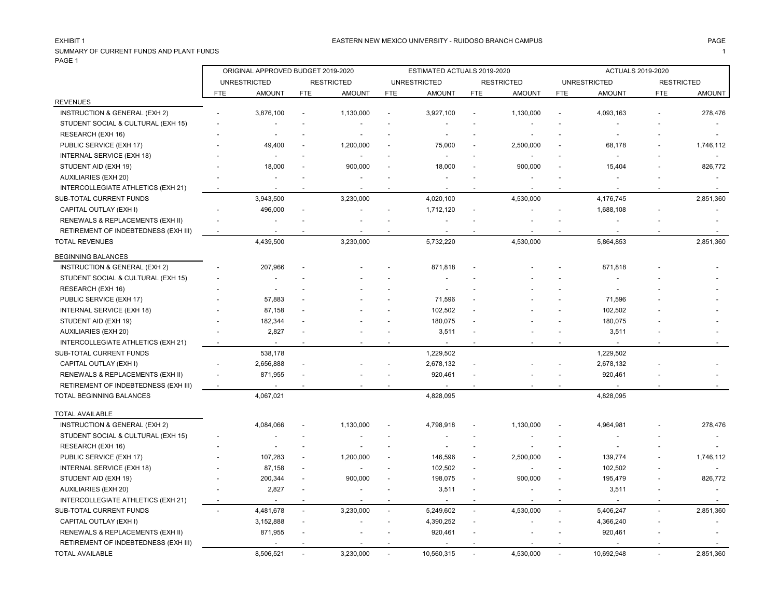#### EASTERN NEW MEXICO UNIVERSITY - RUIDOSO BRANCH CAMPUS AND THE MAGE PAGE PAGE AND THE SAME AND THE SAME HAGE PAGE

SUMMARY OF CURRENT FUNDS AND PLANT FUNDS 1 PAGE 1

|                                      | ORIGINAL APPROVED BUDGET 2019-2020 |                     |                          |                   | ESTIMATED ACTUALS 2019-2020 |                     |            |                   | <b>ACTUALS 2019-2020</b> |                     |                   |               |
|--------------------------------------|------------------------------------|---------------------|--------------------------|-------------------|-----------------------------|---------------------|------------|-------------------|--------------------------|---------------------|-------------------|---------------|
|                                      |                                    | <b>UNRESTRICTED</b> |                          | <b>RESTRICTED</b> |                             | <b>UNRESTRICTED</b> |            | <b>RESTRICTED</b> |                          | <b>UNRESTRICTED</b> | <b>RESTRICTED</b> |               |
|                                      | FTE                                | <b>AMOUNT</b>       | <b>FTE</b>               | <b>AMOUNT</b>     | <b>FTE</b>                  | <b>AMOUNT</b>       | <b>FTE</b> | <b>AMOUNT</b>     | <b>FTE</b>               | <b>AMOUNT</b>       | <b>FTE</b>        | <b>AMOUNT</b> |
| <b>REVENUES</b>                      |                                    |                     |                          |                   |                             |                     |            |                   |                          |                     |                   |               |
| INSTRUCTION & GENERAL (EXH 2)        |                                    | 3,876,100           |                          | 1,130,000         |                             | 3,927,100           |            | 1,130,000         |                          | 4,093,163           |                   | 278,476       |
| STUDENT SOCIAL & CULTURAL (EXH 15)   |                                    |                     |                          |                   |                             |                     |            |                   |                          |                     |                   |               |
| RESEARCH (EXH 16)                    |                                    |                     |                          |                   |                             |                     |            |                   |                          |                     |                   |               |
| PUBLIC SERVICE (EXH 17)              |                                    | 49,400              |                          | 1,200,000         |                             | 75,000              |            | 2,500,000         |                          | 68,178              |                   | 1,746,112     |
| INTERNAL SERVICE (EXH 18)            |                                    |                     |                          |                   |                             |                     |            | $\blacksquare$    |                          |                     |                   |               |
| STUDENT AID (EXH 19)                 |                                    | 18,000              |                          | 900,000           |                             | 18,000              |            | 900,000           |                          | 15,404              |                   | 826,772       |
| AUXILIARIES (EXH 20)                 |                                    |                     |                          |                   |                             |                     |            | $\blacksquare$    |                          |                     |                   |               |
| INTERCOLLEGIATE ATHLETICS (EXH 21)   |                                    |                     |                          |                   |                             |                     |            |                   |                          |                     |                   |               |
| SUB-TOTAL CURRENT FUNDS              |                                    | 3,943,500           |                          | 3,230,000         |                             | 4,020,100           |            | 4,530,000         |                          | 4,176,745           |                   | 2,851,360     |
| CAPITAL OUTLAY (EXH I)               |                                    | 496,000             | $\overline{\phantom{a}}$ |                   |                             | 1,712,120           |            |                   |                          | 1,688,108           |                   |               |
| RENEWALS & REPLACEMENTS (EXH II)     |                                    |                     |                          |                   |                             |                     |            |                   |                          |                     |                   |               |
| RETIREMENT OF INDEBTEDNESS (EXH III) |                                    |                     |                          |                   |                             |                     |            |                   |                          |                     |                   |               |
| <b>TOTAL REVENUES</b>                |                                    | 4,439,500           |                          | 3,230,000         |                             | 5,732,220           |            | 4,530,000         |                          | 5,864,853           |                   | 2,851,360     |
| <b>BEGINNING BALANCES</b>            |                                    |                     |                          |                   |                             |                     |            |                   |                          |                     |                   |               |
| INSTRUCTION & GENERAL (EXH 2)        |                                    | 207,966             |                          |                   |                             | 871,818             |            |                   |                          | 871,818             |                   |               |
| STUDENT SOCIAL & CULTURAL (EXH 15)   |                                    |                     |                          |                   |                             |                     |            |                   |                          |                     |                   |               |
| RESEARCH (EXH 16)                    |                                    |                     |                          |                   |                             |                     |            |                   |                          | $\overline{a}$      |                   |               |
| PUBLIC SERVICE (EXH 17)              |                                    | 57,883              |                          |                   |                             | 71,596              |            |                   |                          | 71,596              |                   |               |
| INTERNAL SERVICE (EXH 18)            |                                    | 87,158              |                          |                   |                             | 102,502             |            |                   |                          | 102,502             |                   |               |
| STUDENT AID (EXH 19)                 |                                    | 182,344             |                          |                   |                             | 180,075             |            |                   |                          | 180,075             |                   |               |
| <b>AUXILIARIES (EXH 20)</b>          |                                    | 2,827               |                          |                   |                             | 3,511               |            |                   |                          | 3,511               |                   |               |
| INTERCOLLEGIATE ATHLETICS (EXH 21)   | $\overline{\phantom{a}}$           |                     |                          |                   |                             |                     |            |                   |                          |                     |                   |               |
| SUB-TOTAL CURRENT FUNDS              |                                    | 538,178             |                          |                   |                             | 1,229,502           |            |                   |                          | 1,229,502           |                   |               |
| CAPITAL OUTLAY (EXH I)               |                                    | 2,656,888           |                          |                   |                             | 2,678,132           |            |                   |                          | 2,678,132           |                   |               |
| RENEWALS & REPLACEMENTS (EXH II)     |                                    | 871,955             |                          |                   |                             | 920,461             |            |                   |                          | 920,461             |                   |               |
| RETIREMENT OF INDEBTEDNESS (EXH III) | $\sim$                             |                     | $\overline{a}$           |                   |                             |                     |            |                   |                          |                     |                   |               |
| TOTAL BEGINNING BALANCES             |                                    | 4,067,021           |                          |                   |                             | 4,828,095           |            |                   |                          | 4,828,095           |                   |               |
| <b>TOTAL AVAILABLE</b>               |                                    |                     |                          |                   |                             |                     |            |                   |                          |                     |                   |               |
| INSTRUCTION & GENERAL (EXH 2)        |                                    | 4,084,066           |                          | 1,130,000         |                             | 4,798,918           |            | 1,130,000         |                          | 4,964,981           |                   | 278,476       |
| STUDENT SOCIAL & CULTURAL (EXH 15)   |                                    |                     |                          |                   |                             |                     |            |                   |                          |                     |                   |               |
| RESEARCH (EXH 16)                    |                                    |                     |                          |                   |                             |                     |            |                   |                          |                     |                   |               |
| PUBLIC SERVICE (EXH 17)              |                                    | 107,283             | $\overline{\phantom{a}}$ | 1,200,000         |                             | 146,596             |            | 2,500,000         |                          | 139,774             |                   | 1,746,112     |
| INTERNAL SERVICE (EXH 18)            |                                    | 87,158              |                          |                   |                             | 102,502             |            |                   |                          | 102,502             |                   |               |
| STUDENT AID (EXH 19)                 |                                    | 200,344             | $\sim$                   | 900,000           |                             | 198,075             |            | 900,000           |                          | 195,479             |                   | 826,772       |
| <b>AUXILIARIES (EXH 20)</b>          |                                    | 2,827               | $\overline{\phantom{a}}$ |                   |                             | 3,511               |            |                   |                          | 3,511               |                   |               |
| INTERCOLLEGIATE ATHLETICS (EXH 21)   | ÷,                                 | $\overline{a}$      | $\overline{a}$           |                   |                             |                     |            |                   |                          | $\overline{a}$      |                   |               |
| SUB-TOTAL CURRENT FUNDS              | $\overline{a}$                     | 4,481,678           | $\overline{a}$           | 3,230,000         | $\sim$                      | 5,249,602           | $\sim$     | 4,530,000         | $\sim$                   | 5,406,247           |                   | 2,851,360     |
| CAPITAL OUTLAY (EXH I)               |                                    | 3,152,888           |                          |                   |                             | 4,390,252           |            |                   |                          | 4,366,240           |                   |               |
| RENEWALS & REPLACEMENTS (EXH II)     |                                    | 871,955             |                          |                   |                             | 920,461             |            |                   |                          | 920,461             |                   |               |
| RETIREMENT OF INDEBTEDNESS (EXH III) |                                    |                     |                          |                   |                             |                     |            |                   |                          |                     |                   |               |
| TOTAL AVAILABLE                      |                                    | 8,506,521           |                          | 3,230,000         |                             | 10,560,315          |            | 4,530,000         |                          | 10,692,948          |                   | 2.851.360     |
|                                      |                                    |                     |                          |                   |                             |                     |            |                   |                          |                     |                   |               |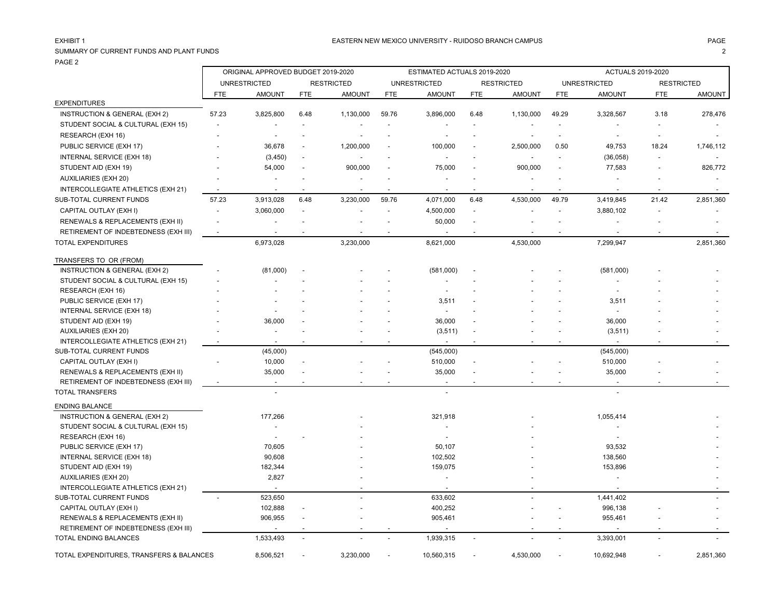## SUMMARY OF CURRENT FUNDS AND PLANT FUNDS 2

PAGE 2

|                                          | ORIGINAL APPROVED BUDGET 2019-2020 |                          |                          |                   |                          | ESTIMATED ACTUALS 2019-2020 |                |                          |                          | <b>ACTUALS 2019-2020</b> |                          |           |
|------------------------------------------|------------------------------------|--------------------------|--------------------------|-------------------|--------------------------|-----------------------------|----------------|--------------------------|--------------------------|--------------------------|--------------------------|-----------|
|                                          |                                    | <b>UNRESTRICTED</b>      |                          | <b>RESTRICTED</b> |                          | <b>UNRESTRICTED</b>         |                | <b>RESTRICTED</b>        |                          | <b>UNRESTRICTED</b>      | <b>RESTRICTED</b>        |           |
|                                          | <b>FTE</b>                         | <b>AMOUNT</b>            | <b>FTE</b>               | <b>AMOUNT</b>     | <b>FTE</b>               | <b>AMOUNT</b>               | <b>FTE</b>     | <b>AMOUNT</b>            | <b>FTE</b>               | <b>AMOUNT</b>            | <b>FTE</b>               | AMOUNT    |
| <b>EXPENDITURES</b>                      |                                    |                          |                          |                   |                          |                             |                |                          |                          |                          |                          |           |
| INSTRUCTION & GENERAL (EXH 2)            | 57.23                              | 3,825,800                | 6.48                     | 1,130,000         | 59.76                    | 3,896,000                   | 6.48           | 1,130,000                | 49.29                    | 3,328,567                | 3.18                     | 278,476   |
| STUDENT SOCIAL & CULTURAL (EXH 15)       | $\overline{\phantom{a}}$           |                          |                          |                   | $\overline{\phantom{a}}$ |                             |                |                          |                          | $\overline{\phantom{a}}$ | $\overline{a}$           |           |
| RESEARCH (EXH 16)                        |                                    | $\overline{\phantom{a}}$ | $\overline{a}$           |                   | $\overline{a}$           |                             |                |                          | $\overline{\phantom{a}}$ | $\overline{\phantom{a}}$ | $\blacksquare$           |           |
| PUBLIC SERVICE (EXH 17)                  |                                    | 36,678                   | ÷,                       | 1,200,000         | $\overline{a}$           | 100,000                     |                | 2,500,000                | 0.50                     | 49,753                   | 18.24                    | 1,746,112 |
| INTERNAL SERVICE (EXH 18)                |                                    | (3,450)                  | $\sim$                   |                   | $\overline{a}$           |                             |                |                          | $\sim$                   | (36,058)                 | $\sim$                   |           |
| STUDENT AID (EXH 19)                     |                                    | 54,000                   |                          | 900,000           |                          | 75,000                      |                | 900,000                  |                          | 77,583                   |                          | 826,772   |
| <b>AUXILIARIES (EXH 20)</b>              |                                    | $\overline{\phantom{a}}$ |                          |                   |                          | $\overline{\phantom{a}}$    |                |                          |                          |                          |                          |           |
| INTERCOLLEGIATE ATHLETICS (EXH 21)       | $\overline{\phantom{a}}$           | $\overline{\phantom{a}}$ | $\overline{\phantom{a}}$ | $\overline{a}$    | $\overline{\phantom{a}}$ | $\overline{\phantom{a}}$    | $\blacksquare$ | $\overline{\phantom{a}}$ | $\sim$                   | $\overline{\phantom{a}}$ | $\overline{\phantom{a}}$ |           |
| SUB-TOTAL CURRENT FUNDS                  | 57.23                              | 3,913,028                | 6.48                     | 3,230,000         | 59.76                    | 4,071,000                   | 6.48           | 4,530,000                | 49.79                    | 3,419,845                | 21.42                    | 2,851,360 |
| CAPITAL OUTLAY (EXH I)                   | $\overline{a}$                     | 3,060,000                | $\sim$                   |                   | $\overline{\phantom{a}}$ | 4,500,000                   | $\sim$         |                          |                          | 3,880,102                | $\overline{\phantom{a}}$ |           |
| RENEWALS & REPLACEMENTS (EXH II)         | $\overline{\phantom{a}}$           | $\blacksquare$           | ÷,                       |                   | $\overline{\phantom{a}}$ | 50,000                      |                |                          |                          |                          |                          |           |
| RETIREMENT OF INDEBTEDNESS (EXH III)     | $\sim$                             | $\overline{\phantom{a}}$ |                          |                   |                          |                             |                |                          |                          | $\overline{\phantom{a}}$ |                          |           |
| <b>TOTAL EXPENDITURES</b>                |                                    | 6,973,028                |                          | 3,230,000         |                          | 8,621,000                   |                | 4,530,000                |                          | 7,299,947                |                          | 2,851,360 |
|                                          |                                    |                          |                          |                   |                          |                             |                |                          |                          |                          |                          |           |
| TRANSFERS TO OR (FROM)                   |                                    |                          |                          |                   |                          |                             |                |                          |                          |                          |                          |           |
| INSTRUCTION & GENERAL (EXH 2)            |                                    | (81,000)                 |                          |                   |                          | (581,000)                   |                |                          |                          | (581,000)                |                          |           |
| STUDENT SOCIAL & CULTURAL (EXH 15)       |                                    |                          |                          |                   |                          |                             |                |                          |                          | $\blacksquare$           |                          |           |
| RESEARCH (EXH 16)                        |                                    |                          |                          |                   |                          |                             |                |                          |                          |                          |                          |           |
| PUBLIC SERVICE (EXH 17)                  |                                    |                          |                          |                   |                          | 3,511                       |                |                          |                          | 3,511                    |                          |           |
| INTERNAL SERVICE (EXH 18)                |                                    |                          |                          |                   |                          | $\overline{\phantom{a}}$    |                |                          |                          | $\overline{\phantom{a}}$ |                          |           |
| STUDENT AID (EXH 19)                     |                                    | 36,000                   |                          |                   |                          | 36,000                      |                |                          |                          | 36,000                   |                          |           |
| AUXILIARIES (EXH 20)                     |                                    | $\blacksquare$           |                          |                   |                          | (3, 511)                    |                |                          |                          | (3,511)                  |                          |           |
| INTERCOLLEGIATE ATHLETICS (EXH 21)       |                                    | $\overline{a}$           | $\overline{a}$           |                   |                          |                             |                |                          |                          | $\overline{a}$           |                          |           |
| SUB-TOTAL CURRENT FUNDS                  |                                    | (45,000)                 |                          |                   |                          | (545,000)                   |                |                          |                          | (545,000)                |                          |           |
| CAPITAL OUTLAY (EXH I)                   |                                    | 10,000                   | $\overline{\phantom{a}}$ |                   |                          | 510,000                     |                |                          |                          | 510,000                  |                          |           |
| RENEWALS & REPLACEMENTS (EXH II)         |                                    | 35,000                   |                          |                   |                          | 35,000                      |                |                          |                          | 35,000                   |                          |           |
| RETIREMENT OF INDEBTEDNESS (EXH III)     |                                    | $\sim$                   |                          |                   |                          | $\overline{\phantom{a}}$    |                |                          |                          | $\blacksquare$           |                          |           |
| TOTAL TRANSFERS                          |                                    | $\overline{a}$           |                          |                   |                          |                             |                |                          |                          | $\overline{a}$           |                          |           |
| <b>ENDING BALANCE</b>                    |                                    |                          |                          |                   |                          |                             |                |                          |                          |                          |                          |           |
| INSTRUCTION & GENERAL (EXH 2)            |                                    | 177,266                  |                          |                   |                          | 321,918                     |                |                          |                          | 1,055,414                |                          |           |
| STUDENT SOCIAL & CULTURAL (EXH 15)       |                                    |                          |                          |                   |                          |                             |                |                          |                          | $\blacksquare$           |                          |           |
| RESEARCH (EXH 16)                        |                                    |                          |                          |                   |                          | $\overline{\phantom{a}}$    |                |                          |                          |                          |                          |           |
| PUBLIC SERVICE (EXH 17)                  |                                    | 70,605                   |                          |                   |                          | 50,107                      |                |                          |                          | 93,532                   |                          |           |
| <b>INTERNAL SERVICE (EXH 18)</b>         |                                    | 90,608                   |                          |                   |                          | 102,502                     |                |                          |                          | 138,560                  |                          |           |
| STUDENT AID (EXH 19)                     |                                    | 182,344                  |                          |                   |                          | 159,075                     |                |                          |                          | 153,896                  |                          |           |
| <b>AUXILIARIES (EXH 20)</b>              |                                    | 2,827                    |                          |                   |                          | $\overline{\phantom{a}}$    |                |                          |                          | $\blacksquare$           |                          |           |
| INTERCOLLEGIATE ATHLETICS (EXH 21)       |                                    | $\overline{\phantom{a}}$ |                          |                   |                          | $\overline{\phantom{a}}$    |                |                          |                          |                          |                          |           |
| SUB-TOTAL CURRENT FUNDS                  | $\overline{a}$                     | 523,650                  |                          |                   |                          | 633,602                     |                |                          |                          | 1,441,402                |                          |           |
| CAPITAL OUTLAY (EXH I)                   |                                    | 102,888                  |                          |                   |                          | 400,252                     |                |                          |                          | 996,138                  |                          |           |
| RENEWALS & REPLACEMENTS (EXH II)         |                                    | 906,955                  |                          |                   |                          | 905,461                     |                |                          |                          | 955,461                  |                          |           |
| RETIREMENT OF INDEBTEDNESS (EXH III)     |                                    |                          |                          |                   |                          |                             |                |                          |                          |                          |                          |           |
| TOTAL ENDING BALANCES                    |                                    | 1,533,493                | $\overline{\phantom{a}}$ |                   | $\overline{a}$           | 1,939,315                   |                |                          |                          | 3,393,001                |                          |           |
| TOTAL EXPENDITURES, TRANSFERS & BALANCES |                                    | 8,506,521                |                          | 3,230,000         |                          | 10,560,315                  |                | 4,530,000                |                          | 10,692,948               |                          | 2,851,360 |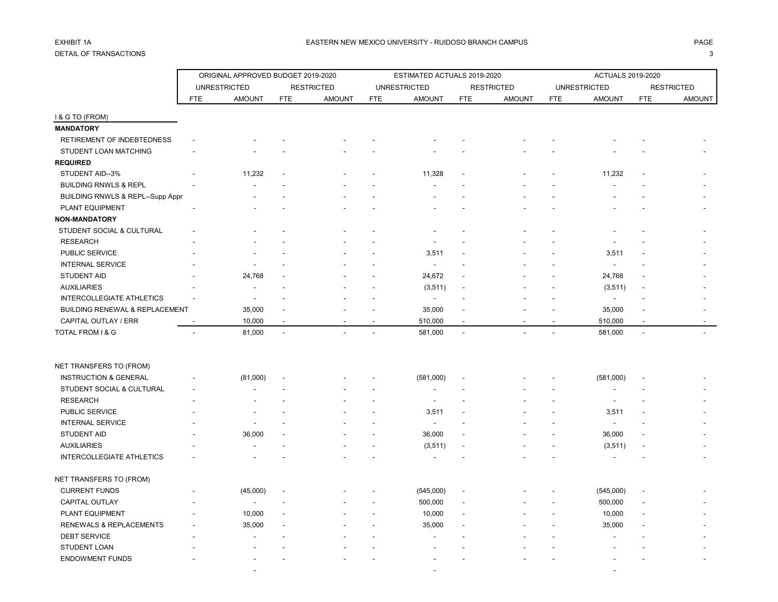# DETAIL OF TRANSACTIONS 3

|                                             |            | ORIGINAL APPROVED BUDGET 2019-2020 |            |                   |            | ESTIMATED ACTUALS 2019-2020 |                          |                   |            | ACTUALS 2019-2020        |            |                   |
|---------------------------------------------|------------|------------------------------------|------------|-------------------|------------|-----------------------------|--------------------------|-------------------|------------|--------------------------|------------|-------------------|
|                                             |            | <b>UNRESTRICTED</b>                |            | <b>RESTRICTED</b> |            | <b>UNRESTRICTED</b>         |                          | <b>RESTRICTED</b> |            | <b>UNRESTRICTED</b>      |            | <b>RESTRICTED</b> |
|                                             | <b>FTE</b> | <b>AMOUNT</b>                      | <b>FTE</b> | <b>AMOUNT</b>     | <b>FTE</b> | <b>AMOUNT</b>               | <b>FTE</b>               | <b>AMOUNT</b>     | <b>FTE</b> | <b>AMOUNT</b>            | <b>FTE</b> | <b>AMOUNT</b>     |
| I & G TO (FROM)                             |            |                                    |            |                   |            |                             |                          |                   |            |                          |            |                   |
| <b>MANDATORY</b>                            |            |                                    |            |                   |            |                             |                          |                   |            |                          |            |                   |
| RETIREMENT OF INDEBTEDNESS                  |            |                                    |            |                   |            |                             |                          |                   |            |                          |            |                   |
| STUDENT LOAN MATCHING                       |            |                                    |            |                   |            |                             |                          |                   |            |                          |            |                   |
| <b>REQUIRED</b>                             |            |                                    |            |                   |            |                             |                          |                   |            |                          |            |                   |
| STUDENT AID--3%                             |            | 11,232                             |            |                   |            | 11,328                      |                          |                   |            | 11,232                   |            |                   |
| <b>BUILDING RNWLS &amp; REPL</b>            |            |                                    |            |                   |            |                             |                          |                   |            |                          |            |                   |
| <b>BUILDING RNWLS &amp; REPL--Supp Appr</b> |            |                                    |            |                   |            |                             |                          |                   |            |                          |            |                   |
| PLANT EQUIPMENT                             |            |                                    |            |                   |            |                             |                          |                   |            |                          |            |                   |
| <b>NON-MANDATORY</b>                        |            |                                    |            |                   |            |                             |                          |                   |            |                          |            |                   |
| STUDENT SOCIAL & CULTURAL                   |            |                                    |            |                   |            |                             |                          |                   |            |                          |            |                   |
| <b>RESEARCH</b>                             |            |                                    |            |                   |            |                             |                          |                   |            |                          |            |                   |
| PUBLIC SERVICE                              |            |                                    |            |                   |            | 3,511                       |                          |                   |            | 3,511                    |            |                   |
| <b>INTERNAL SERVICE</b>                     |            |                                    |            |                   |            | $\blacksquare$              |                          |                   |            | $\overline{\phantom{a}}$ |            |                   |
| <b>STUDENT AID</b>                          |            | 24,768                             |            |                   |            | 24,672                      |                          |                   |            | 24,768                   |            |                   |
| <b>AUXILIARIES</b>                          |            |                                    |            |                   |            | (3, 511)                    |                          |                   |            | (3, 511)                 |            |                   |
| <b>INTERCOLLEGIATE ATHLETICS</b>            |            |                                    |            |                   |            | $\overline{\phantom{a}}$    |                          |                   |            | $\sim$                   |            |                   |
| BUILDING RENEWAL & REPLACEMENT              |            | 35,000                             |            |                   |            | 35,000                      |                          |                   |            | 35,000                   |            |                   |
| CAPITAL OUTLAY / ERR                        |            | 10,000                             |            |                   |            | 510,000                     | $\overline{\phantom{a}}$ |                   |            | 510,000                  |            |                   |
| TOTAL FROM I & G                            |            | 81,000                             |            |                   |            | 581,000                     |                          |                   |            | 581,000                  |            |                   |
|                                             |            |                                    |            |                   |            |                             |                          |                   |            |                          |            |                   |
| NET TRANSFERS TO (FROM)                     |            |                                    |            |                   |            |                             |                          |                   |            |                          |            |                   |
| <b>INSTRUCTION &amp; GENERAL</b>            |            | (81,000)                           |            |                   |            | (581,000)                   |                          |                   |            | (581,000)                |            |                   |
| STUDENT SOCIAL & CULTURAL                   |            |                                    |            |                   |            |                             |                          |                   |            |                          |            |                   |
| <b>RESEARCH</b>                             |            |                                    |            |                   |            |                             |                          |                   |            |                          |            |                   |
| PUBLIC SERVICE                              |            |                                    |            |                   |            | 3,511                       |                          |                   |            | 3,511                    |            |                   |
| <b>INTERNAL SERVICE</b>                     |            |                                    |            |                   |            | $\overline{\phantom{a}}$    |                          |                   |            | $\overline{\phantom{a}}$ |            |                   |
| STUDENT AID                                 |            | 36,000                             |            |                   |            | 36,000                      |                          |                   |            | 36,000                   |            |                   |
| <b>AUXILIARIES</b>                          |            |                                    |            |                   |            | (3, 511)                    |                          |                   |            | (3, 511)                 |            |                   |
| <b>INTERCOLLEGIATE ATHLETICS</b>            |            |                                    |            |                   |            |                             |                          |                   |            |                          |            |                   |
| NET TRANSFERS TO (FROM)                     |            |                                    |            |                   |            |                             |                          |                   |            |                          |            |                   |
| <b>CURRENT FUNDS</b>                        |            | (45,000)                           |            |                   |            | (545,000)                   |                          |                   |            | (545,000)                |            |                   |
| CAPITAL OUTLAY                              |            |                                    |            |                   |            | 500,000                     |                          |                   |            | 500,000                  |            |                   |
| PLANT EQUIPMENT                             |            | 10,000                             |            |                   |            | 10,000                      |                          |                   |            | 10,000                   |            |                   |
| RENEWALS & REPLACEMENTS                     |            | 35,000                             |            |                   |            | 35,000                      |                          |                   |            | 35,000                   |            |                   |
| <b>DEBT SERVICE</b>                         |            |                                    |            |                   |            |                             |                          |                   |            |                          |            |                   |
| <b>STUDENT LOAN</b>                         |            |                                    |            |                   |            |                             |                          |                   |            |                          |            |                   |
| <b>ENDOWMENT FUNDS</b>                      |            |                                    |            |                   |            |                             |                          |                   |            |                          |            |                   |
|                                             |            |                                    |            |                   |            |                             |                          |                   |            |                          |            |                   |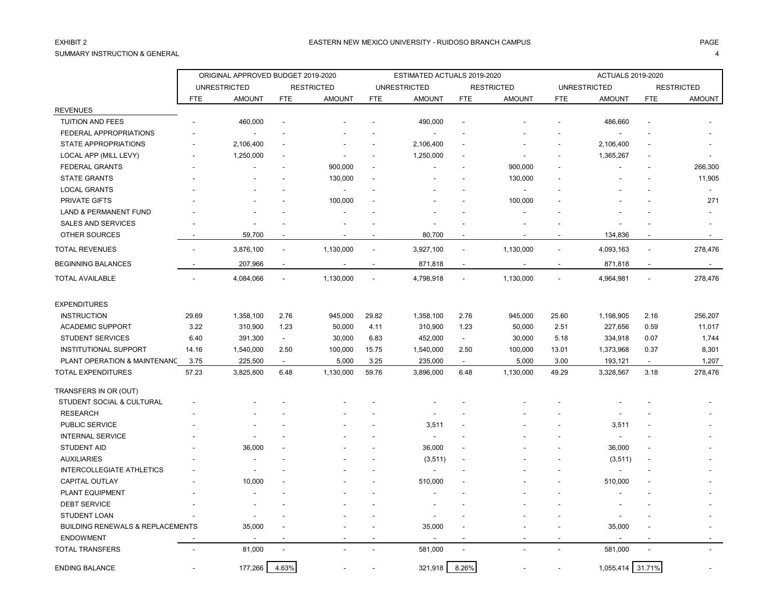## SUMMARY INSTRUCTION & GENERAL 4

|                                             |            | ORIGINAL APPROVED BUDGET 2019-2020 |                |                   |                | ESTIMATED ACTUALS 2019-2020 |                          |                   |            | <b>ACTUALS 2019-2020</b> |                |                   |
|---------------------------------------------|------------|------------------------------------|----------------|-------------------|----------------|-----------------------------|--------------------------|-------------------|------------|--------------------------|----------------|-------------------|
|                                             |            | <b>UNRESTRICTED</b>                |                | <b>RESTRICTED</b> |                | <b>UNRESTRICTED</b>         |                          | <b>RESTRICTED</b> |            | <b>UNRESTRICTED</b>      |                | <b>RESTRICTED</b> |
|                                             | <b>FTE</b> | <b>AMOUNT</b>                      | <b>FTE</b>     | <b>AMOUNT</b>     | <b>FTE</b>     | <b>AMOUNT</b>               | <b>FTE</b>               | <b>AMOUNT</b>     | <b>FTE</b> | <b>AMOUNT</b>            | <b>FTE</b>     | <b>AMOUNT</b>     |
| <b>REVENUES</b>                             |            |                                    |                |                   |                |                             |                          |                   |            |                          |                |                   |
| <b>TUITION AND FEES</b>                     |            | 460,000                            |                |                   |                | 490,000                     |                          |                   |            | 486,660                  |                |                   |
| FEDERAL APPROPRIATIONS                      |            | $\blacksquare$                     |                |                   |                | $\blacksquare$              |                          |                   |            |                          |                |                   |
| <b>STATE APPROPRIATIONS</b>                 |            | 2,106,400                          |                |                   |                | 2,106,400                   |                          |                   |            | 2,106,400                |                |                   |
| LOCAL APP (MILL LEVY)                       |            | 1,250,000                          |                |                   |                | 1,250,000                   |                          |                   |            | 1,365,267                |                |                   |
| <b>FEDERAL GRANTS</b>                       |            |                                    |                | 900,000           |                |                             |                          | 900,000           |            |                          |                | 266,300           |
| <b>STATE GRANTS</b>                         |            |                                    |                | 130,000           |                |                             |                          | 130,000           |            |                          |                | 11,905            |
| <b>LOCAL GRANTS</b>                         |            |                                    |                |                   |                |                             |                          | $\blacksquare$    |            |                          |                |                   |
| PRIVATE GIFTS                               |            |                                    |                | 100,000           |                |                             |                          | 100,000           |            |                          |                | 271               |
| <b>LAND &amp; PERMANENT FUND</b>            |            |                                    |                |                   |                |                             |                          |                   |            |                          |                |                   |
| SALES AND SERVICES                          |            |                                    |                |                   |                |                             |                          |                   |            |                          |                |                   |
| OTHER SOURCES                               |            | 59,700                             |                |                   |                | 80,700                      | $\overline{\phantom{a}}$ |                   |            | 134,836                  |                |                   |
| <b>TOTAL REVENUES</b>                       |            | 3,876,100                          | $\overline{a}$ | 1,130,000         | $\sim$         | 3,927,100                   | $\overline{\phantom{a}}$ | 1,130,000         | $\sim$     | 4,093,163                | ÷,             | 278,476           |
| <b>BEGINNING BALANCES</b>                   |            | 207,966                            | $\blacksquare$ |                   | $\blacksquare$ | 871,818                     | $\blacksquare$           |                   |            | 871,818                  |                |                   |
| <b>TOTAL AVAILABLE</b>                      |            | 4,084,066                          | $\blacksquare$ | 1,130,000         | $\blacksquare$ | 4,798,918                   | $\blacksquare$           | 1,130,000         |            | 4,964,981                |                | 278,476           |
| <b>EXPENDITURES</b>                         |            |                                    |                |                   |                |                             |                          |                   |            |                          |                |                   |
| <b>INSTRUCTION</b>                          | 29.69      | 1,358,100                          | 2.76           | 945,000           | 29.82          | 1,358,100                   | 2.76                     | 945,000           | 25.60      | 1,198,905                | 2.16           | 256,207           |
| <b>ACADEMIC SUPPORT</b>                     | 3.22       | 310,900                            | 1.23           | 50,000            | 4.11           | 310,900                     | 1.23                     | 50,000            | 2.51       | 227,656                  | 0.59           | 11,017            |
| <b>STUDENT SERVICES</b>                     | 6.40       | 391,300                            | $\blacksquare$ | 30,000            | 6.83           | 452,000                     | $\sim$                   | 30,000            | 5.18       | 334,918                  | 0.07           | 1,744             |
| <b>INSTITUTIONAL SUPPORT</b>                | 14.16      | 1,540,000                          | 2.50           | 100,000           | 15.75          | 1,540,000                   | 2.50                     | 100,000           | 13.01      | 1,373,968                | 0.37           | 8,301             |
| PLANT OPERATION & MAINTENANC                | 3.75       | 225,500                            | $\sim$         | 5,000             | 3.25           | 235,000                     | $\sim$                   | 5,000             | 3.00       | 193,121                  | $\blacksquare$ | 1,207             |
| <b>TOTAL EXPENDITURES</b>                   | 57.23      | 3,825,800                          | 6.48           | 1,130,000         | 59.76          | 3,896,000                   | 6.48                     | 1,130,000         | 49.29      | 3,328,567                | 3.18           | 278,476           |
| TRANSFERS IN OR (OUT)                       |            |                                    |                |                   |                |                             |                          |                   |            |                          |                |                   |
| STUDENT SOCIAL & CULTURAL                   |            |                                    |                |                   |                |                             |                          |                   |            |                          |                |                   |
| <b>RESEARCH</b>                             |            |                                    |                |                   |                |                             |                          |                   |            |                          |                |                   |
| PUBLIC SERVICE                              |            |                                    |                |                   |                | 3,511                       |                          |                   |            | 3,511                    |                |                   |
| <b>INTERNAL SERVICE</b>                     |            |                                    |                |                   |                | $\sim$                      |                          |                   |            |                          |                |                   |
| <b>STUDENT AID</b>                          |            | 36,000                             |                |                   |                | 36,000                      |                          |                   |            | 36,000                   |                |                   |
| <b>AUXILIARIES</b>                          |            |                                    |                |                   |                | (3, 511)                    |                          |                   |            | (3, 511)                 |                |                   |
| <b>INTERCOLLEGIATE ATHLETICS</b>            |            |                                    |                |                   |                |                             |                          |                   |            |                          |                |                   |
| <b>CAPITAL OUTLAY</b>                       |            | 10,000                             |                |                   |                | 510,000                     |                          |                   |            | 510,000                  |                |                   |
| PLANT EQUIPMENT                             |            |                                    |                |                   |                |                             |                          |                   |            |                          |                |                   |
| <b>DEBT SERVICE</b>                         |            |                                    |                |                   |                |                             |                          |                   |            |                          |                |                   |
| <b>STUDENT LOAN</b>                         |            |                                    |                |                   |                |                             |                          |                   |            |                          |                |                   |
| <b>BUILDING RENEWALS &amp; REPLACEMENTS</b> |            | 35,000                             |                |                   |                | 35,000                      |                          |                   |            | 35,000                   |                |                   |
| <b>ENDOWMENT</b>                            |            |                                    |                |                   |                |                             |                          |                   |            |                          |                |                   |
| <b>TOTAL TRANSFERS</b>                      |            | 81,000                             |                |                   |                | 581,000                     | $\overline{a}$           |                   |            | 581,000                  |                |                   |

ENDING BALANCE **177,266** 177,266 4.63% - 177,266 4.63% - 321,918 8.26% - 1,055,414 31.71%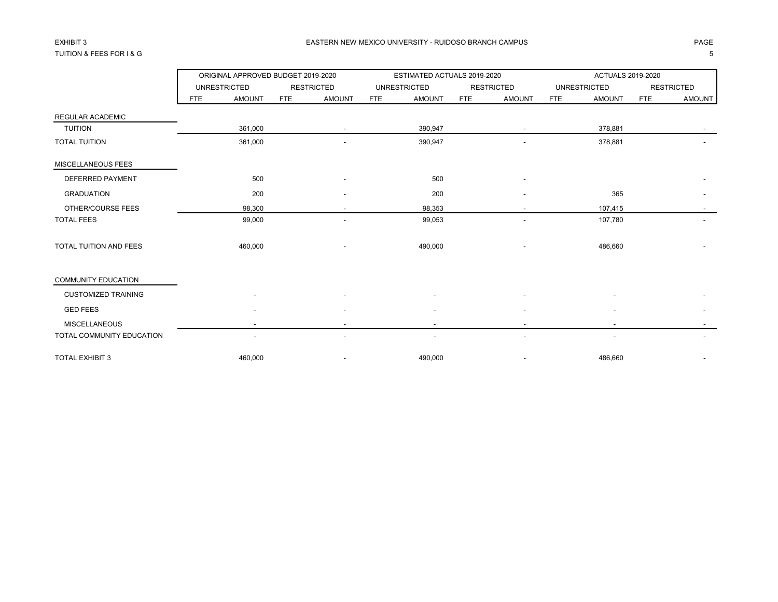## TUITION & FEES FOR I & G 5

### EASTERN NEW MEXICO UNIVERSITY - RUIDOSO BRANCH CAMPUS AND THE REASTERN AGE. THE REASTERN NEW MEXICO UNIVERSITY - RUIDOSO BRANCH CAMPUS

|                               |            | ORIGINAL APPROVED BUDGET 2019-2020 |            |                   |            | ESTIMATED ACTUALS 2019-2020 |     |                   |            | <b>ACTUALS 2019-2020</b> |            |                          |
|-------------------------------|------------|------------------------------------|------------|-------------------|------------|-----------------------------|-----|-------------------|------------|--------------------------|------------|--------------------------|
|                               |            | <b>UNRESTRICTED</b>                |            | <b>RESTRICTED</b> |            | <b>UNRESTRICTED</b>         |     | <b>RESTRICTED</b> |            | <b>UNRESTRICTED</b>      |            | <b>RESTRICTED</b>        |
|                               | <b>FTE</b> | <b>AMOUNT</b>                      | <b>FTE</b> | <b>AMOUNT</b>     | <b>FTE</b> | <b>AMOUNT</b>               | FTE | <b>AMOUNT</b>     | <b>FTE</b> | <b>AMOUNT</b>            | <b>FTE</b> | <b>AMOUNT</b>            |
| <b>REGULAR ACADEMIC</b>       |            |                                    |            |                   |            |                             |     |                   |            |                          |            |                          |
| <b>TUITION</b>                |            | 361,000                            |            |                   |            | 390,947                     |     |                   |            | 378,881                  |            |                          |
| <b>TOTAL TUITION</b>          |            | 361,000                            |            |                   |            | 390,947                     |     |                   |            | 378,881                  |            |                          |
| MISCELLANEOUS FEES            |            |                                    |            |                   |            |                             |     |                   |            |                          |            |                          |
| <b>DEFERRED PAYMENT</b>       |            | 500                                |            |                   |            | 500                         |     |                   |            |                          |            |                          |
| <b>GRADUATION</b>             |            | 200                                |            |                   |            | 200                         |     |                   |            | 365                      |            |                          |
| OTHER/COURSE FEES             |            | 98,300                             |            |                   |            | 98,353                      |     |                   |            | 107,415                  |            |                          |
| <b>TOTAL FEES</b>             |            | 99,000                             |            |                   |            | 99,053                      |     |                   |            | 107,780                  |            |                          |
| <b>TOTAL TUITION AND FEES</b> |            | 460,000                            |            |                   |            | 490,000                     |     |                   |            | 486,660                  |            |                          |
| <b>COMMUNITY EDUCATION</b>    |            |                                    |            |                   |            |                             |     |                   |            |                          |            |                          |
| <b>CUSTOMIZED TRAINING</b>    |            |                                    |            |                   |            |                             |     |                   |            |                          |            |                          |
| <b>GED FEES</b>               |            |                                    |            |                   |            |                             |     |                   |            |                          |            |                          |
| <b>MISCELLANEOUS</b>          |            |                                    |            |                   |            |                             |     |                   |            | $\overline{\phantom{a}}$ |            |                          |
| TOTAL COMMUNITY EDUCATION     |            | $\overline{\phantom{a}}$           |            | ۰                 |            | $\overline{\phantom{a}}$    |     |                   |            | $\overline{\phantom{a}}$ |            |                          |
| <b>TOTAL EXHIBIT 3</b>        |            | 460.000                            |            |                   |            | 490,000                     |     |                   |            | 486,660                  |            | $\overline{\phantom{a}}$ |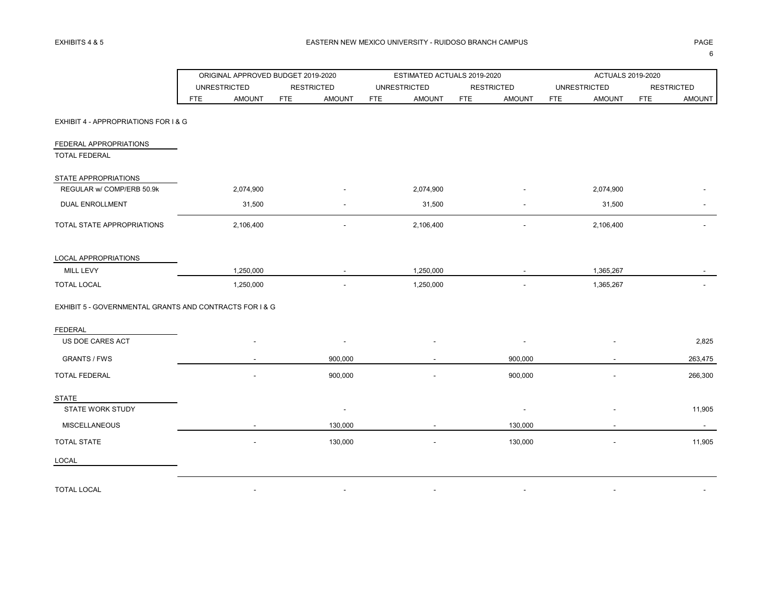|                                                         |            | ORIGINAL APPROVED BUDGET 2019-2020 |            |                          |            | ESTIMATED ACTUALS 2019-2020 |            |                          |            | <b>ACTUALS 2019-2020</b> |            |                   |
|---------------------------------------------------------|------------|------------------------------------|------------|--------------------------|------------|-----------------------------|------------|--------------------------|------------|--------------------------|------------|-------------------|
|                                                         |            | <b>UNRESTRICTED</b>                |            | <b>RESTRICTED</b>        |            | <b>UNRESTRICTED</b>         |            | <b>RESTRICTED</b>        |            | <b>UNRESTRICTED</b>      |            | <b>RESTRICTED</b> |
|                                                         | <b>FTE</b> | <b>AMOUNT</b>                      | <b>FTE</b> | <b>AMOUNT</b>            | <b>FTE</b> | <b>AMOUNT</b>               | <b>FTE</b> | <b>AMOUNT</b>            | <b>FTE</b> | <b>AMOUNT</b>            | <b>FTE</b> | AMOUNT            |
| EXHIBIT 4 - APPROPRIATIONS FOR I & G                    |            |                                    |            |                          |            |                             |            |                          |            |                          |            |                   |
| FEDERAL APPROPRIATIONS                                  |            |                                    |            |                          |            |                             |            |                          |            |                          |            |                   |
| <b>TOTAL FEDERAL</b>                                    |            |                                    |            |                          |            |                             |            |                          |            |                          |            |                   |
| STATE APPROPRIATIONS                                    |            |                                    |            |                          |            |                             |            |                          |            |                          |            |                   |
| REGULAR w/ COMP/ERB 50.9k                               |            | 2,074,900                          |            |                          |            | 2,074,900                   |            |                          |            | 2,074,900                |            |                   |
| <b>DUAL ENROLLMENT</b>                                  |            | 31,500                             |            |                          |            | 31,500                      |            |                          |            | 31,500                   |            |                   |
| TOTAL STATE APPROPRIATIONS                              |            | 2,106,400                          |            |                          |            | 2,106,400                   |            |                          |            | 2,106,400                |            |                   |
| LOCAL APPROPRIATIONS                                    |            |                                    |            |                          |            |                             |            |                          |            |                          |            |                   |
| MILL LEVY                                               |            | 1,250,000                          |            |                          |            | 1,250,000                   |            |                          |            | 1,365,267                |            |                   |
| <b>TOTAL LOCAL</b>                                      |            | 1,250,000                          |            |                          |            | 1,250,000                   |            |                          |            | 1,365,267                |            |                   |
| EXHIBIT 5 - GOVERNMENTAL GRANTS AND CONTRACTS FOR I & G |            |                                    |            |                          |            |                             |            |                          |            |                          |            |                   |
| <b>FEDERAL</b>                                          |            |                                    |            |                          |            |                             |            |                          |            |                          |            |                   |
| US DOE CARES ACT                                        |            |                                    |            |                          |            |                             |            |                          |            |                          |            | 2,825             |
| <b>GRANTS / FWS</b>                                     |            |                                    |            | 900,000                  |            |                             |            | 900,000                  |            | $\overline{\phantom{a}}$ |            | 263,475           |
| TOTAL FEDERAL                                           |            |                                    |            | 900,000                  |            |                             |            | 900,000                  |            |                          |            | 266,300           |
| <b>STATE</b>                                            |            |                                    |            |                          |            |                             |            |                          |            |                          |            |                   |
| <b>STATE WORK STUDY</b>                                 |            |                                    |            | $\overline{\phantom{a}}$ |            |                             |            | $\overline{\phantom{a}}$ |            |                          |            | 11,905            |
| <b>MISCELLANEOUS</b>                                    |            |                                    |            | 130,000                  |            |                             |            | 130,000                  |            |                          |            | $\sim$            |
| <b>TOTAL STATE</b>                                      |            |                                    |            | 130,000                  |            |                             |            | 130,000                  |            |                          |            | 11,905            |
| LOCAL                                                   |            |                                    |            |                          |            |                             |            |                          |            |                          |            |                   |
| <b>TOTAL LOCAL</b>                                      |            |                                    |            |                          |            |                             |            |                          |            |                          |            |                   |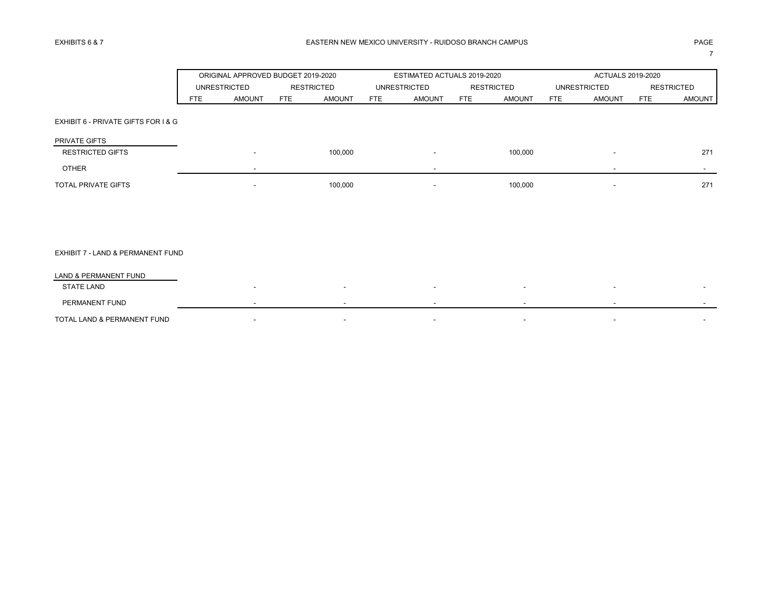7

|                                     |            | ORIGINAL APPROVED BUDGET 2019-2020 |                   |               |            | ESTIMATED ACTUALS 2019-2020 |            |               |            | ACTUALS 2019-2020   |            |                   |
|-------------------------------------|------------|------------------------------------|-------------------|---------------|------------|-----------------------------|------------|---------------|------------|---------------------|------------|-------------------|
|                                     |            | <b>UNRESTRICTED</b>                | <b>RESTRICTED</b> |               |            | <b>UNRESTRICTED</b>         |            | RESTRICTED    |            | <b>UNRESTRICTED</b> |            | <b>RESTRICTED</b> |
|                                     | <b>FTE</b> | <b>AMOUNT</b>                      | <b>FTE</b>        | <b>AMOUNT</b> | <b>FTE</b> | <b>AMOUNT</b>               | <b>FTE</b> | <b>AMOUNT</b> | <b>FTE</b> | <b>AMOUNT</b>       | <b>FTE</b> | AMOUNT            |
| EXHIBIT 6 - PRIVATE GIFTS FOR I & G |            |                                    |                   |               |            |                             |            |               |            |                     |            |                   |
| PRIVATE GIFTS                       |            |                                    |                   |               |            |                             |            |               |            |                     |            |                   |
| <b>RESTRICTED GIFTS</b>             |            |                                    |                   | 100,000       |            |                             |            | 100,000       |            |                     |            | 271               |
| <b>OTHER</b>                        |            |                                    |                   |               |            |                             |            |               |            |                     |            | $\sim$            |
| TOTAL PRIVATE GIFTS                 |            | $\overline{\phantom{a}}$           |                   | 100,000       |            |                             |            | 100,000       |            |                     |            | 271               |
|                                     |            |                                    |                   |               |            |                             |            |               |            |                     |            |                   |
|                                     |            |                                    |                   |               |            |                             |            |               |            |                     |            |                   |
|                                     |            |                                    |                   |               |            |                             |            |               |            |                     |            |                   |
| EXHIBIT 7 - LAND & PERMANENT FUND   |            |                                    |                   |               |            |                             |            |               |            |                     |            |                   |
| LAND & PERMANENT FUND               |            |                                    |                   |               |            |                             |            |               |            |                     |            |                   |
| <b>STATE LAND</b>                   |            |                                    |                   |               |            |                             |            |               |            |                     |            |                   |
| PERMANENT FUND                      |            |                                    |                   |               |            |                             |            |               |            |                     |            |                   |
| TOTAL LAND & PERMANENT FUND         |            | ٠                                  |                   |               |            |                             |            |               |            |                     |            |                   |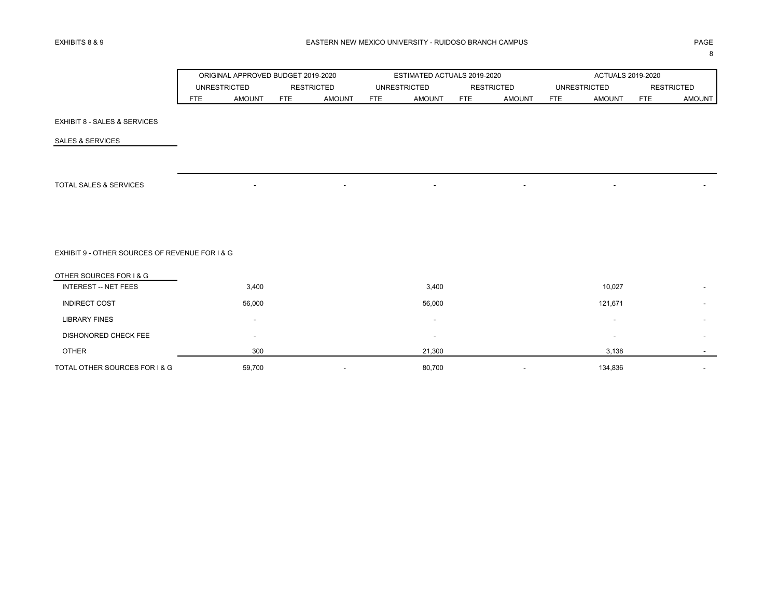8

|  | ORIGINAL APPROVED BUDGET 2019-2020 |     |        |              | ESTIMATED ACTUALS 2019-2020 |                   |               |                     | ACTUALS 2019-2020 |                   |               |
|--|------------------------------------|-----|--------|--------------|-----------------------------|-------------------|---------------|---------------------|-------------------|-------------------|---------------|
|  | <b>RESTRICTED</b><br>UNRESTRICTED  |     |        | UNRESTRICTED |                             | <b>RESTRICTED</b> |               | <b>UNRESTRICTED</b> |                   | <b>RESTRICTED</b> |               |
|  | AMOUNT                             | FTE | AMOUNT | <b>FTE</b>   | AMOUNT                      | <b>FTE</b>        | <b>AMOUNT</b> | <b>FTF</b>          | <b>AMOUN7</b>     | <b>FTE</b>        | <b>AMOUNT</b> |

EXHIBIT 8 - SALES & SERVICES

SALES & SERVICES

TOTAL SALES & SERVICES A SERVICES A SERVICE OF A SERVICE OF A SERVICE OF A SERVICE OF A SERVICE OF A SERVICE O

EXHIBIT 9 - OTHER SOURCES OF REVENUE FOR I & G

| OTHER SOURCES FOR I & G       |                          |                          |   |                          |                          |
|-------------------------------|--------------------------|--------------------------|---|--------------------------|--------------------------|
| <b>INTEREST -- NET FEES</b>   | 3,400                    | 3,400                    |   | 10,027                   | $\overline{\phantom{0}}$ |
| <b>INDIRECT COST</b>          | 56,000                   | 56,000                   |   | 121,671                  | -                        |
| <b>LIBRARY FINES</b>          | $\overline{\phantom{a}}$ | $\overline{\phantom{0}}$ |   | $\overline{\phantom{0}}$ | $\overline{\phantom{0}}$ |
| DISHONORED CHECK FEE          | -                        | $\overline{\phantom{0}}$ |   | $\overline{\phantom{0}}$ | $\overline{\phantom{0}}$ |
| <b>OTHER</b>                  | 300                      | 21,300                   |   | 3,138                    | $\overline{\phantom{0}}$ |
| TOTAL OTHER SOURCES FOR I & G | 59,700                   | 80,700                   | - | 134,836                  | $\overline{\phantom{0}}$ |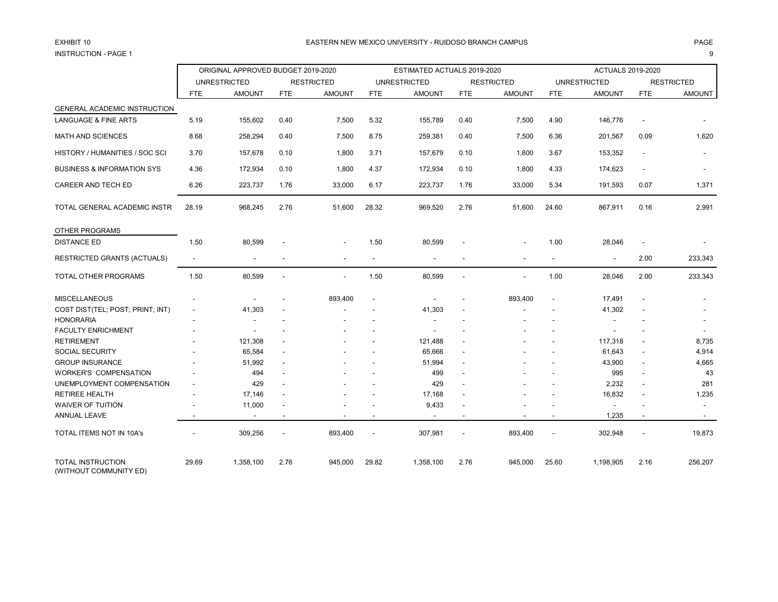# INSTRUCTION - PAGE 1 9

### EXHIBIT 10 PAGE PAGE IN PAGE IN THE SEASTERN NEW MEXICO UNIVERSITY - RUIDOSO BRANCH CAMPUS AND THE SEASTERN NEW MEXICO UNIVERSITY - RUIDOSO BRANCH CAMPUS

|                                                    |                | ORIGINAL APPROVED BUDGET 2019-2020 |                          |                   |                          | ESTIMATED ACTUALS 2019-2020 |                          |                   |                          | <b>ACTUALS 2019-2020</b> |                          |                          |
|----------------------------------------------------|----------------|------------------------------------|--------------------------|-------------------|--------------------------|-----------------------------|--------------------------|-------------------|--------------------------|--------------------------|--------------------------|--------------------------|
|                                                    |                | <b>UNRESTRICTED</b>                |                          | <b>RESTRICTED</b> |                          | <b>UNRESTRICTED</b>         |                          | <b>RESTRICTED</b> |                          | <b>UNRESTRICTED</b>      |                          | <b>RESTRICTED</b>        |
|                                                    | FTE            | <b>AMOUNT</b>                      | <b>FTE</b>               | <b>AMOUNT</b>     | <b>FTE</b>               | <b>AMOUNT</b>               | <b>FTE</b>               | <b>AMOUNT</b>     | <b>FTE</b>               | <b>AMOUNT</b>            | <b>FTE</b>               | <b>AMOUNT</b>            |
| <b>GENERAL ACADEMIC INSTRUCTION</b>                |                |                                    |                          |                   |                          |                             |                          |                   |                          |                          |                          |                          |
| LANGUAGE & FINE ARTS                               | 5.19           | 155,602                            | 0.40                     | 7,500             | 5.32                     | 155,789                     | 0.40                     | 7,500             | 4.90                     | 146,776                  | $\blacksquare$           |                          |
| <b>MATH AND SCIENCES</b>                           | 8.68           | 258,294                            | 0.40                     | 7,500             | 8.75                     | 259,381                     | 0.40                     | 7,500             | 6.36                     | 201,567                  | 0.09                     | 1,620                    |
| HISTORY / HUMANITIES / SOC SCI                     | 3.70           | 157,678                            | 0.10                     | 1,800             | 3.71                     | 157,679                     | 0.10                     | 1,800             | 3.67                     | 153,352                  | $\overline{\phantom{a}}$ | $\overline{\phantom{a}}$ |
| <b>BUSINESS &amp; INFORMATION SYS</b>              | 4.36           | 172,934                            | 0.10                     | 1,800             | 4.37                     | 172,934                     | 0.10                     | 1,800             | 4.33                     | 174,623                  | $\overline{\phantom{a}}$ |                          |
| CAREER AND TECH ED                                 | 6.26           | 223,737                            | 1.76                     | 33,000            | 6.17                     | 223,737                     | 1.76                     | 33,000            | 5.34                     | 191,593                  | 0.07                     | 1,371                    |
| TOTAL GENERAL ACADEMIC INSTR                       | 28.19          | 968,245                            | 2.76                     | 51,600            | 28.32                    | 969,520                     | 2.76                     | 51,600            | 24.60                    | 867,911                  | 0.16                     | 2,991                    |
| OTHER PROGRAMS                                     |                |                                    |                          |                   |                          |                             |                          |                   |                          |                          |                          |                          |
| <b>DISTANCE ED</b>                                 | 1.50           | 80,599                             |                          |                   | 1.50                     | 80,599                      | $\overline{\phantom{a}}$ |                   | 1.00                     | 28,046                   | $\blacksquare$           |                          |
| <b>RESTRICTED GRANTS (ACTUALS)</b>                 | $\blacksquare$ |                                    |                          |                   | $\overline{\phantom{a}}$ |                             |                          |                   | $\blacksquare$           | $\blacksquare$           | 2.00                     | 233,343                  |
| TOTAL OTHER PROGRAMS                               | 1.50           | 80,599                             | $\overline{a}$           |                   | 1.50                     | 80,599                      | $\overline{a}$           |                   | 1.00                     | 28,046                   | 2.00                     | 233,343                  |
| <b>MISCELLANEOUS</b>                               |                |                                    |                          | 893,400           |                          |                             |                          | 893,400           | $\overline{\phantom{a}}$ | 17,491                   | $\blacksquare$           |                          |
| COST DIST(TEL; POST; PRINT; INT)                   | $\blacksquare$ | 41,303                             |                          |                   |                          | 41,303                      | $\overline{a}$           |                   |                          | 41,302                   | $\overline{a}$           |                          |
| <b>HONORARIA</b>                                   |                |                                    |                          |                   |                          |                             |                          |                   |                          |                          |                          |                          |
| <b>FACULTY ENRICHMENT</b>                          |                |                                    |                          |                   |                          |                             |                          |                   |                          |                          |                          |                          |
| <b>RETIREMENT</b>                                  |                | 121,308                            |                          |                   |                          | 121,488                     | $\overline{\phantom{a}}$ |                   |                          | 117,318                  | $\overline{\phantom{a}}$ | 8,735                    |
| <b>SOCIAL SECURITY</b>                             |                | 65,584                             |                          |                   |                          | 65,666                      | $\overline{\phantom{a}}$ |                   |                          | 61,643                   | $\blacksquare$           | 4,914                    |
| <b>GROUP INSURANCE</b>                             |                | 51,992                             | $\overline{\phantom{a}}$ |                   |                          | 51,994                      | $\blacksquare$           |                   |                          | 43,900                   | $\blacksquare$           | 4,665                    |
| <b>WORKER'S COMPENSATION</b>                       |                | 494                                | $\blacksquare$           |                   |                          | 499                         | $\overline{\phantom{a}}$ |                   |                          | 995                      |                          | 43                       |
| UNEMPLOYMENT COMPENSATION                          |                | 429                                |                          |                   |                          | 429                         | $\overline{a}$           |                   |                          | 2,232                    | $\blacksquare$           | 281                      |
| <b>RETIREE HEALTH</b>                              |                | 17,146                             |                          |                   |                          | 17,168                      | $\overline{a}$           |                   |                          | 16,832                   | $\blacksquare$           | 1,235                    |
| WAIVER OF TUITION                                  |                | 11,000                             |                          |                   |                          | 9,433                       |                          |                   |                          |                          |                          | $\overline{\phantom{a}}$ |
| ANNUAL LEAVE                                       |                | $\overline{\phantom{a}}$           | $\overline{\phantom{a}}$ |                   |                          | $\overline{\phantom{a}}$    | $\overline{\phantom{a}}$ |                   | $\overline{\phantom{a}}$ | 1,235                    | $\overline{\phantom{a}}$ | $\sim$                   |
| TOTAL ITEMS NOT IN 10A's                           |                | 309,256                            |                          | 893,400           |                          | 307,981                     |                          | 893,400           |                          | 302,948                  |                          | 19,873                   |
| <b>TOTAL INSTRUCTION</b><br>(WITHOUT COMMUNITY ED) | 29.69          | 1,358,100                          | 2.76                     | 945,000           | 29.82                    | 1,358,100                   | 2.76                     | 945,000           | 25.60                    | 1,198,905                | 2.16                     | 256,207                  |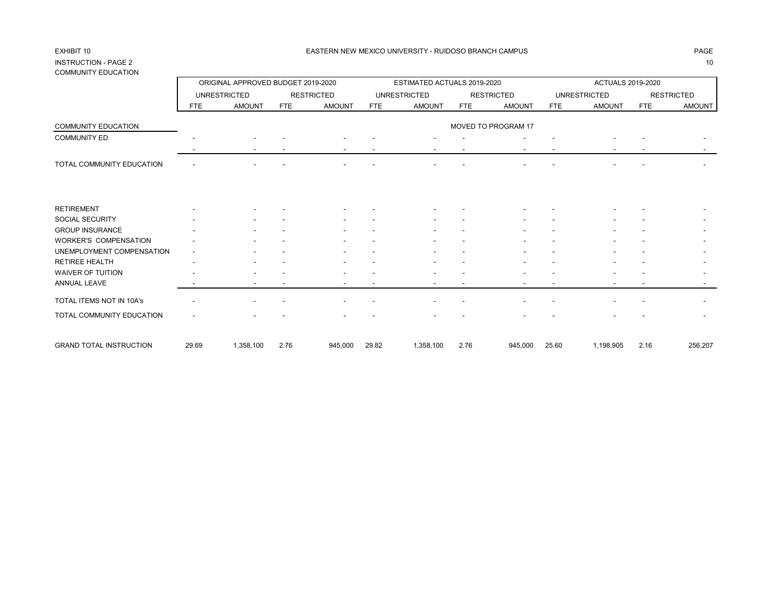## INSTRUCTION - PAGE 2 10 COMMUNITY EDUCATION

|                                |            | ORIGINAL APPROVED BUDGET 2019-2020 |            |                   |            | ESTIMATED ACTUALS 2019-2020 |            |                     |            | <b>ACTUALS 2019-2020</b> |            |                   |
|--------------------------------|------------|------------------------------------|------------|-------------------|------------|-----------------------------|------------|---------------------|------------|--------------------------|------------|-------------------|
|                                |            | <b>UNRESTRICTED</b>                |            | <b>RESTRICTED</b> |            | <b>UNRESTRICTED</b>         |            | <b>RESTRICTED</b>   |            | <b>UNRESTRICTED</b>      |            | <b>RESTRICTED</b> |
|                                | <b>FTE</b> | <b>AMOUNT</b>                      | <b>FTE</b> | <b>AMOUNT</b>     | <b>FTE</b> | <b>AMOUNT</b>               | <b>FTE</b> | <b>AMOUNT</b>       | <b>FTE</b> | <b>AMOUNT</b>            | <b>FTE</b> | <b>AMOUNT</b>     |
| <b>COMMUNITY EDUCATION</b>     |            |                                    |            |                   |            |                             |            | MOVED TO PROGRAM 17 |            |                          |            |                   |
| <b>COMMUNITY ED</b>            |            |                                    |            |                   |            |                             |            |                     |            |                          |            |                   |
|                                |            |                                    |            |                   |            |                             |            |                     |            |                          |            |                   |
| TOTAL COMMUNITY EDUCATION      |            |                                    |            |                   |            |                             |            |                     |            |                          |            |                   |
|                                |            |                                    |            |                   |            |                             |            |                     |            |                          |            |                   |
| <b>RETIREMENT</b>              |            |                                    |            |                   |            |                             |            |                     |            |                          |            |                   |
| SOCIAL SECURITY                |            |                                    |            |                   |            |                             |            |                     |            |                          |            |                   |
| <b>GROUP INSURANCE</b>         |            |                                    |            |                   |            |                             |            |                     |            |                          |            |                   |
| <b>WORKER'S COMPENSATION</b>   |            |                                    |            |                   |            |                             |            |                     |            |                          |            |                   |
| UNEMPLOYMENT COMPENSATION      |            |                                    |            |                   |            |                             |            |                     |            |                          |            |                   |
| <b>RETIREE HEALTH</b>          |            |                                    |            |                   |            |                             |            |                     |            |                          |            |                   |
| <b>WAIVER OF TUITION</b>       |            |                                    |            |                   |            |                             |            |                     |            |                          |            |                   |
| <b>ANNUAL LEAVE</b>            |            |                                    |            |                   |            |                             |            |                     |            |                          |            |                   |
| TOTAL ITEMS NOT IN 10A's       |            |                                    |            |                   |            |                             |            |                     |            |                          |            |                   |
| TOTAL COMMUNITY EDUCATION      |            |                                    |            |                   |            |                             |            |                     |            |                          |            |                   |
| <b>GRAND TOTAL INSTRUCTION</b> | 29.69      | 1,358,100                          | 2.76       | 945,000           | 29.82      | 1,358,100                   | 2.76       | 945,000             | 25.60      | 1,198,905                | 2.16       | 256,207           |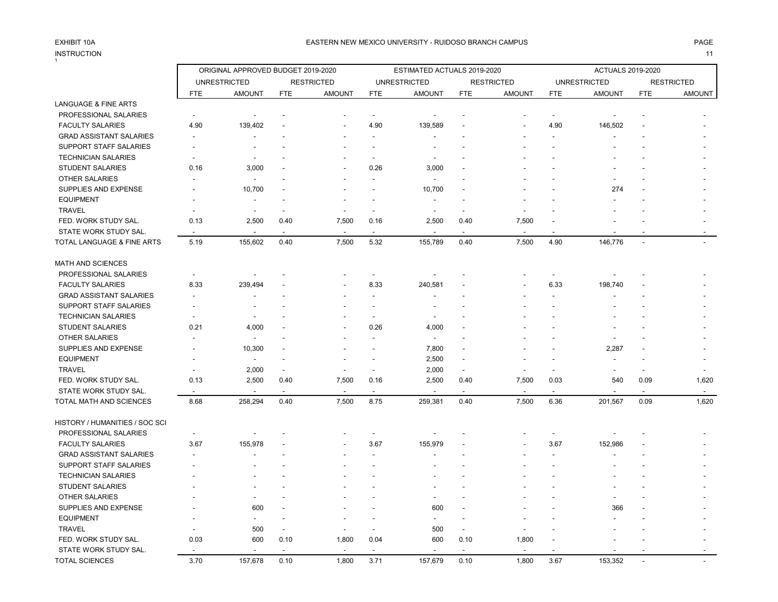## INSTRUCTION 11 INSTRUCTION

|                                 |                          | ORIGINAL APPROVED BUDGET 2019-2020 |                          |                   |                          | ESTIMATED ACTUALS 2019-2020 |                          |                          |                | ACTUALS 2019-2020   |                          |                          |
|---------------------------------|--------------------------|------------------------------------|--------------------------|-------------------|--------------------------|-----------------------------|--------------------------|--------------------------|----------------|---------------------|--------------------------|--------------------------|
|                                 |                          | <b>UNRESTRICTED</b>                |                          | <b>RESTRICTED</b> |                          | <b>UNRESTRICTED</b>         |                          | <b>RESTRICTED</b>        |                | <b>UNRESTRICTED</b> |                          | <b>RESTRICTED</b>        |
|                                 | <b>FTE</b>               | <b>AMOUNT</b>                      | <b>FTE</b>               | <b>AMOUNT</b>     | <b>FTE</b>               | <b>AMOUNT</b>               | <b>FTE</b>               | <b>AMOUNT</b>            | <b>FTE</b>     | <b>AMOUNT</b>       | <b>FTE</b>               | <b>AMOUNT</b>            |
| <b>LANGUAGE &amp; FINE ARTS</b> |                          |                                    |                          |                   |                          |                             |                          |                          |                |                     |                          |                          |
| PROFESSIONAL SALARIES           | $\overline{\phantom{a}}$ |                                    |                          |                   | $\overline{a}$           |                             |                          |                          | $\sim$         |                     |                          |                          |
| <b>FACULTY SALARIES</b>         | 4.90                     | 139,402                            |                          |                   | 4.90                     | 139,589                     |                          |                          | 4.90           | 146,502             |                          |                          |
| <b>GRAD ASSISTANT SALARIES</b>  | $\overline{a}$           |                                    |                          |                   | $\blacksquare$           |                             |                          |                          |                |                     |                          |                          |
| SUPPORT STAFF SALARIES          |                          |                                    |                          |                   |                          |                             |                          |                          |                |                     |                          |                          |
| <b>TECHNICIAN SALARIES</b>      |                          |                                    |                          |                   |                          |                             |                          |                          |                |                     |                          |                          |
| <b>STUDENT SALARIES</b>         | 0.16                     | 3,000                              |                          |                   | 0.26                     | 3,000                       |                          |                          |                |                     |                          |                          |
| <b>OTHER SALARIES</b>           |                          |                                    |                          |                   |                          |                             |                          |                          |                |                     |                          |                          |
| SUPPLIES AND EXPENSE            |                          | 10,700                             |                          |                   |                          | 10,700                      |                          |                          |                | 274                 |                          |                          |
| <b>EQUIPMENT</b>                |                          | $\overline{\phantom{a}}$           |                          |                   | $\overline{\phantom{a}}$ |                             |                          |                          |                |                     |                          |                          |
| <b>TRAVEL</b>                   |                          |                                    |                          |                   | ÷                        |                             |                          |                          |                |                     |                          |                          |
| FED. WORK STUDY SAL.            | 0.13                     | 2,500                              | 0.40                     | 7,500             | 0.16                     | 2,500                       | 0.40                     | 7,500                    |                |                     |                          |                          |
| STATE WORK STUDY SAL.           | $\overline{\phantom{a}}$ |                                    |                          |                   | $\ddot{\phantom{a}}$     |                             |                          |                          |                |                     |                          |                          |
| TOTAL LANGUAGE & FINE ARTS      | 5.19                     | 155,602                            | 0.40                     | 7,500             | 5.32                     | 155,789                     | 0.40                     | 7,500                    | 4.90           | 146,776             | $\overline{\phantom{a}}$ |                          |
| MATH AND SCIENCES               |                          |                                    |                          |                   |                          |                             |                          |                          |                |                     |                          |                          |
| PROFESSIONAL SALARIES           | $\overline{\phantom{a}}$ |                                    |                          |                   | $\blacksquare$           |                             |                          |                          | $\blacksquare$ |                     |                          |                          |
| <b>FACULTY SALARIES</b>         | 8.33                     | 239,494                            |                          |                   | 8.33                     | 240,581                     |                          |                          | 6.33           | 198,740             |                          |                          |
| <b>GRAD ASSISTANT SALARIES</b>  | ٠                        |                                    |                          |                   | $\overline{\phantom{a}}$ |                             |                          |                          |                |                     |                          |                          |
| SUPPORT STAFF SALARIES          |                          |                                    |                          |                   | $\blacksquare$           |                             |                          |                          |                |                     |                          |                          |
| <b>TECHNICIAN SALARIES</b>      |                          |                                    |                          |                   |                          |                             |                          |                          |                |                     |                          |                          |
| <b>STUDENT SALARIES</b>         | 0.21                     | 4,000                              |                          |                   | 0.26                     | 4,000                       |                          |                          |                |                     |                          |                          |
| <b>OTHER SALARIES</b>           |                          |                                    |                          |                   | $\overline{a}$           | $\overline{\phantom{a}}$    |                          |                          |                |                     |                          |                          |
| SUPPLIES AND EXPENSE            |                          | 10,300                             |                          |                   |                          | 7,800                       |                          |                          |                | 2,287               |                          |                          |
| <b>EQUIPMENT</b>                |                          | $\overline{\phantom{a}}$           |                          |                   |                          | 2,500                       |                          |                          |                |                     |                          |                          |
| <b>TRAVEL</b>                   |                          | 2,000                              |                          |                   | $\blacksquare$           | 2,000                       | $\sim$                   |                          | ä,             |                     |                          |                          |
| FED. WORK STUDY SAL.            | 0.13                     | 2,500                              | 0.40                     | 7,500             | 0.16                     | 2,500                       | 0.40                     | 7,500                    | 0.03           | 540                 | 0.09                     | 1,620                    |
| STATE WORK STUDY SAL.           |                          |                                    |                          |                   |                          |                             |                          |                          | $\blacksquare$ |                     | $\overline{\phantom{a}}$ | $\overline{\phantom{a}}$ |
| TOTAL MATH AND SCIENCES         | 8.68                     | 258,294                            | 0.40                     | 7,500             | 8.75                     | 259,381                     | 0.40                     | 7,500                    | 6.36           | 201,567             | 0.09                     | 1,620                    |
| HISTORY / HUMANITIES / SOC SCI  |                          |                                    |                          |                   |                          |                             |                          |                          |                |                     |                          |                          |
| PROFESSIONAL SALARIES           | $\overline{\phantom{a}}$ |                                    |                          |                   |                          |                             |                          |                          |                |                     |                          |                          |
| <b>FACULTY SALARIES</b>         | 3.67                     | 155,978                            |                          |                   | 3.67                     | 155,979                     |                          |                          | 3.67           | 152,986             |                          |                          |
| <b>GRAD ASSISTANT SALARIES</b>  | $\overline{\phantom{a}}$ |                                    |                          |                   |                          |                             |                          |                          | ä,             |                     |                          |                          |
| SUPPORT STAFF SALARIES          |                          |                                    |                          |                   |                          |                             |                          |                          |                |                     |                          |                          |
| <b>TECHNICIAN SALARIES</b>      |                          |                                    |                          |                   |                          |                             |                          |                          |                |                     |                          |                          |
| <b>STUDENT SALARIES</b>         |                          |                                    |                          |                   |                          |                             |                          |                          |                |                     |                          |                          |
| <b>OTHER SALARIES</b>           |                          |                                    |                          |                   |                          |                             |                          |                          |                |                     |                          |                          |
| SUPPLIES AND EXPENSE            |                          | 600                                |                          |                   |                          | 600                         |                          |                          |                | 366                 |                          |                          |
| <b>EQUIPMENT</b>                |                          |                                    |                          |                   |                          | $\overline{\phantom{a}}$    |                          |                          |                |                     |                          |                          |
| <b>TRAVEL</b>                   |                          | 500                                | $\overline{\phantom{a}}$ |                   | $\sim$                   | 500                         | $\overline{\phantom{a}}$ |                          |                |                     |                          |                          |
| FED. WORK STUDY SAL.            | 0.03                     | 600                                | 0.10                     | 1,800             | 0.04                     | 600                         | 0.10                     | 1,800                    |                |                     |                          |                          |
| STATE WORK STUDY SAL.           |                          |                                    |                          |                   |                          |                             |                          | $\overline{\phantom{a}}$ |                |                     |                          |                          |
| <b>TOTAL SCIENCES</b>           | 3.70                     | 157,678                            | 0.10                     | 1,800             | 3.71                     | 157,679                     | 0.10                     | 1,800                    | 3.67           | 153,352             |                          |                          |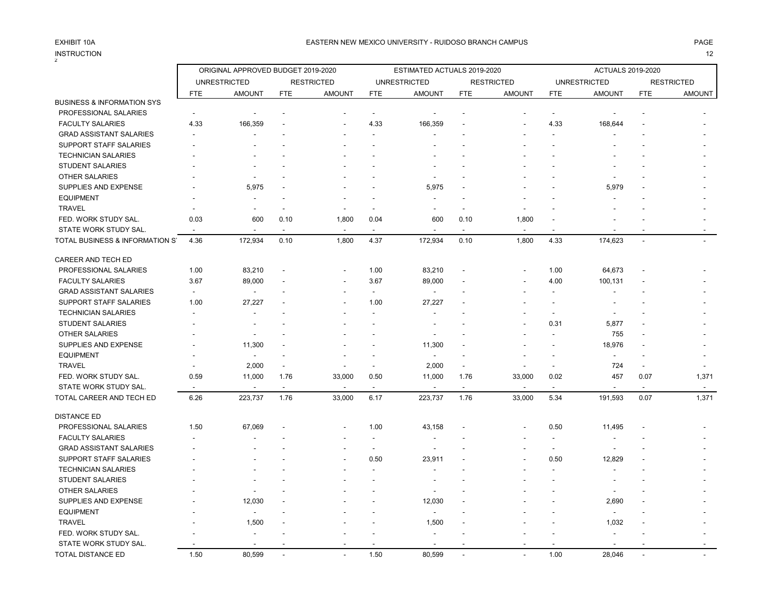INSTRUCTION

 $\Gamma$ 

 $\overline{\phantom{0}}$ 

## INSTRUCTION 12

|                                       |                          | ORIGINAL APPROVED BUDGET 2019-2020 |            |                   |                          | ESTIMATED ACTUALS 2019-2020 |                          |                   |                          | <b>ACTUALS 2019-2020</b> |                |                   |
|---------------------------------------|--------------------------|------------------------------------|------------|-------------------|--------------------------|-----------------------------|--------------------------|-------------------|--------------------------|--------------------------|----------------|-------------------|
|                                       |                          | <b>UNRESTRICTED</b>                |            | <b>RESTRICTED</b> |                          | <b>UNRESTRICTED</b>         |                          | <b>RESTRICTED</b> |                          | <b>UNRESTRICTED</b>      |                | <b>RESTRICTED</b> |
|                                       | <b>FTE</b>               | <b>AMOUNT</b>                      | <b>FTE</b> | <b>AMOUNT</b>     | <b>FTE</b>               | <b>AMOUNT</b>               | FTE                      | <b>AMOUNT</b>     | <b>FTE</b>               | <b>AMOUNT</b>            | <b>FTE</b>     | <b>AMOUNT</b>     |
| <b>BUSINESS &amp; INFORMATION SYS</b> |                          |                                    |            |                   |                          |                             |                          |                   |                          |                          |                |                   |
| PROFESSIONAL SALARIES                 | $\overline{\phantom{a}}$ |                                    |            |                   | $\overline{\phantom{a}}$ | $\overline{\phantom{a}}$    |                          |                   | $\overline{\phantom{a}}$ | $\blacksquare$           |                |                   |
| <b>FACULTY SALARIES</b>               | 4.33                     | 166,359                            |            |                   | 4.33                     | 166,359                     |                          |                   | 4.33                     | 168,644                  |                |                   |
| <b>GRAD ASSISTANT SALARIES</b>        |                          |                                    |            |                   |                          |                             |                          |                   |                          |                          |                |                   |
| <b>SUPPORT STAFF SALARIES</b>         |                          |                                    |            |                   |                          |                             |                          |                   |                          |                          |                |                   |
| <b>TECHNICIAN SALARIES</b>            |                          |                                    |            |                   |                          |                             |                          |                   |                          |                          |                |                   |
| <b>STUDENT SALARIES</b>               |                          |                                    |            |                   |                          |                             |                          |                   |                          |                          |                |                   |
| <b>OTHER SALARIES</b>                 |                          |                                    |            |                   |                          |                             |                          |                   |                          |                          |                |                   |
| SUPPLIES AND EXPENSE                  |                          | 5,975                              |            |                   |                          | 5,975                       |                          |                   |                          | 5,979                    |                |                   |
| <b>EQUIPMENT</b>                      |                          |                                    |            |                   |                          |                             |                          |                   |                          |                          |                |                   |
| <b>TRAVEL</b>                         |                          | ٠                                  |            |                   |                          | ٠                           |                          |                   |                          |                          |                |                   |
| FED. WORK STUDY SAL.                  | 0.03                     | 600                                | 0.10       | 1,800             | 0.04                     | 600                         | 0.10                     | 1,800             |                          |                          |                |                   |
| STATE WORK STUDY SAL.                 |                          |                                    |            |                   |                          | $\overline{a}$              |                          |                   |                          |                          |                |                   |
| TOTAL BUSINESS & INFORMATION S'       | 4.36                     | 172,934                            | 0.10       | 1,800             | 4.37                     | 172,934                     | 0.10                     | 1,800             | 4.33                     | 174,623                  | $\overline{a}$ |                   |
| CAREER AND TECH ED                    |                          |                                    |            |                   |                          |                             |                          |                   |                          |                          |                |                   |
| PROFESSIONAL SALARIES                 | 1.00                     | 83,210                             |            |                   | 1.00                     | 83,210                      |                          |                   | 1.00                     | 64,673                   |                |                   |
| <b>FACULTY SALARIES</b>               | 3.67                     | 89,000                             |            | ۰.                | 3.67                     | 89,000                      |                          |                   | 4.00                     | 100,131                  |                |                   |
| <b>GRAD ASSISTANT SALARIES</b>        | $\overline{\phantom{a}}$ | $\overline{a}$                     |            |                   | $\overline{\phantom{a}}$ | $\overline{\phantom{a}}$    |                          |                   |                          |                          |                |                   |
| SUPPORT STAFF SALARIES                | 1.00                     | 27,227                             |            |                   | 1.00                     | 27,227                      |                          |                   |                          |                          |                |                   |
| <b>TECHNICIAN SALARIES</b>            |                          |                                    |            |                   |                          |                             |                          |                   | $\blacksquare$           |                          |                |                   |
| <b>STUDENT SALARIES</b>               |                          | $\overline{\phantom{a}}$           |            |                   |                          |                             |                          |                   | 0.31                     | 5,877                    |                |                   |
| <b>OTHER SALARIES</b>                 |                          |                                    |            |                   |                          |                             |                          |                   |                          | 755                      |                |                   |
| SUPPLIES AND EXPENSE                  |                          | 11,300                             |            |                   |                          | 11,300                      |                          |                   |                          | 18,976                   |                |                   |
| <b>EQUIPMENT</b>                      |                          | $\overline{\phantom{a}}$           |            |                   |                          | $\blacksquare$              |                          |                   |                          | $\blacksquare$           |                |                   |
| <b>TRAVEL</b>                         |                          | 2,000                              |            |                   |                          | 2,000                       | $\blacksquare$           |                   |                          | 724                      |                |                   |
| FED. WORK STUDY SAL.                  | 0.59                     | 11,000                             | 1.76       | 33,000            | 0.50                     | 11,000                      | 1.76                     | 33,000            | 0.02                     | 457                      | 0.07           | 1,371             |
| STATE WORK STUDY SAL.                 |                          |                                    |            |                   |                          |                             | $\overline{\phantom{a}}$ |                   |                          | $\blacksquare$           |                |                   |
| TOTAL CAREER AND TECH ED              | 6.26                     | 223,737                            | 1.76       | 33,000            | 6.17                     | 223,737                     | 1.76                     | 33,000            | 5.34                     | 191,593                  | 0.07           | 1,371             |
| <b>DISTANCE ED</b>                    |                          |                                    |            |                   |                          |                             |                          |                   |                          |                          |                |                   |
| PROFESSIONAL SALARIES                 | 1.50                     | 67,069                             |            |                   | 1.00                     | 43,158                      |                          |                   | 0.50                     | 11,495                   |                |                   |
| <b>FACULTY SALARIES</b>               |                          |                                    |            |                   | $\blacksquare$           |                             |                          |                   |                          |                          |                |                   |
| <b>GRAD ASSISTANT SALARIES</b>        |                          |                                    |            |                   | $\blacksquare$           | $\overline{\phantom{a}}$    |                          |                   | $\blacksquare$           | $\blacksquare$           |                |                   |
| SUPPORT STAFF SALARIES                |                          |                                    |            |                   | 0.50                     | 23,911                      |                          |                   | 0.50                     | 12,829                   |                |                   |
| <b>TECHNICIAN SALARIES</b>            |                          |                                    |            |                   |                          |                             |                          |                   |                          |                          |                |                   |
| STUDENT SALARIES                      |                          |                                    |            |                   |                          |                             |                          |                   |                          |                          |                |                   |
| <b>OTHER SALARIES</b>                 |                          |                                    |            |                   |                          |                             |                          |                   |                          |                          |                |                   |
| SUPPLIES AND EXPENSE                  |                          | 12,030                             |            |                   |                          | 12,030                      |                          |                   |                          | 2,690                    |                |                   |
| <b>EQUIPMENT</b>                      |                          | ä,                                 |            |                   |                          | $\overline{\phantom{a}}$    |                          |                   |                          | $\overline{\phantom{a}}$ |                |                   |
| <b>TRAVEL</b>                         |                          | 1,500                              |            |                   |                          | 1,500                       |                          |                   |                          | 1,032                    |                |                   |
| FED. WORK STUDY SAL.                  |                          |                                    |            |                   |                          |                             |                          |                   |                          |                          |                |                   |
| STATE WORK STUDY SAL.                 |                          |                                    |            |                   |                          |                             |                          |                   |                          |                          |                |                   |
| TOTAL DISTANCE ED                     | 1.50                     | 80.599                             |            |                   | 1.50                     | 80.599                      |                          |                   | 1.00                     | 28.046                   |                |                   |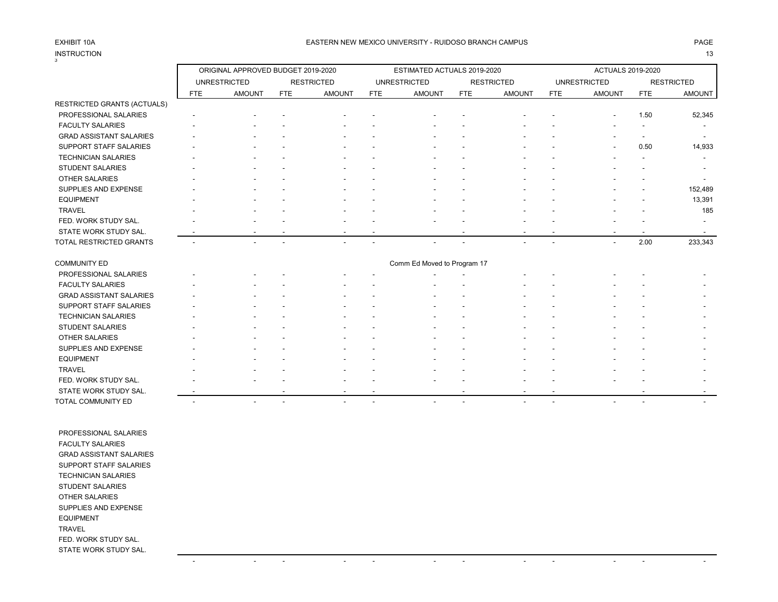# INSTRUCTION<br>3

### EXHIBIT 10A PAGE PAGE AND THE SEASTERN NEW MEXICO UNIVERSITY - RUIDOSO BRANCH CAMPUS AND THE SEASTERN NEW MEXICO UNIVERSITY - RUIDOSO BRANCH CAMPUS

INSTRUCTION 13

|                                | ORIGINAL APPROVED BUDGET 2019-2020 |                          |                          |                          |                          | ESTIMATED ACTUALS 2019-2020 |                          |                   |            | <b>ACTUALS 2019-2020</b> |                          |                   |
|--------------------------------|------------------------------------|--------------------------|--------------------------|--------------------------|--------------------------|-----------------------------|--------------------------|-------------------|------------|--------------------------|--------------------------|-------------------|
|                                |                                    | <b>UNRESTRICTED</b>      |                          | <b>RESTRICTED</b>        |                          | <b>UNRESTRICTED</b>         |                          | <b>RESTRICTED</b> |            | <b>UNRESTRICTED</b>      |                          | <b>RESTRICTED</b> |
|                                | <b>FTE</b>                         | <b>AMOUNT</b>            | <b>FTE</b>               | <b>AMOUNT</b>            | FTE                      | <b>AMOUNT</b>               | <b>FTE</b>               | <b>AMOUNT</b>     | <b>FTE</b> | <b>AMOUNT</b>            | <b>FTE</b>               | <b>AMOUNT</b>     |
| RESTRICTED GRANTS (ACTUALS)    |                                    |                          |                          |                          |                          |                             |                          |                   |            |                          |                          |                   |
| PROFESSIONAL SALARIES          |                                    |                          |                          |                          |                          |                             |                          |                   |            |                          | 1.50                     | 52,345            |
| <b>FACULTY SALARIES</b>        |                                    |                          |                          |                          |                          |                             |                          |                   |            |                          |                          |                   |
| <b>GRAD ASSISTANT SALARIES</b> |                                    |                          |                          |                          |                          |                             |                          |                   |            |                          |                          |                   |
| SUPPORT STAFF SALARIES         |                                    |                          |                          |                          |                          |                             |                          |                   |            |                          | 0.50                     | 14,933            |
| <b>TECHNICIAN SALARIES</b>     |                                    |                          |                          |                          |                          |                             |                          |                   |            |                          |                          |                   |
| STUDENT SALARIES               |                                    |                          |                          |                          |                          |                             |                          |                   |            |                          |                          |                   |
| <b>OTHER SALARIES</b>          |                                    |                          |                          |                          |                          |                             |                          |                   |            |                          |                          |                   |
| SUPPLIES AND EXPENSE           |                                    |                          |                          |                          |                          |                             |                          |                   |            |                          |                          | 152,489           |
| <b>EQUIPMENT</b>               |                                    |                          |                          |                          |                          |                             |                          |                   |            |                          |                          | 13,391            |
| <b>TRAVEL</b>                  |                                    |                          |                          |                          |                          |                             |                          |                   |            |                          |                          | 185               |
| FED. WORK STUDY SAL.           |                                    |                          |                          |                          |                          |                             |                          |                   |            |                          |                          |                   |
| STATE WORK STUDY SAL.          |                                    |                          |                          |                          |                          |                             |                          |                   |            |                          |                          |                   |
| TOTAL RESTRICTED GRANTS        |                                    |                          |                          |                          |                          |                             |                          |                   |            |                          | 2.00                     | 233,343           |
| <b>COMMUNITY ED</b>            |                                    |                          |                          |                          |                          | Comm Ed Moved to Program 17 |                          |                   |            |                          |                          |                   |
| PROFESSIONAL SALARIES          |                                    |                          |                          |                          |                          |                             |                          |                   |            |                          |                          |                   |
| <b>FACULTY SALARIES</b>        |                                    |                          |                          |                          |                          |                             |                          |                   |            |                          |                          |                   |
| <b>GRAD ASSISTANT SALARIES</b> |                                    |                          |                          |                          |                          |                             |                          |                   |            |                          |                          |                   |
| SUPPORT STAFF SALARIES         |                                    |                          |                          |                          |                          |                             |                          |                   |            |                          |                          |                   |
| <b>TECHNICIAN SALARIES</b>     |                                    |                          |                          |                          |                          |                             |                          |                   |            |                          |                          |                   |
| <b>STUDENT SALARIES</b>        |                                    |                          |                          |                          |                          |                             |                          |                   |            |                          |                          |                   |
| <b>OTHER SALARIES</b>          |                                    |                          |                          |                          |                          |                             |                          |                   |            |                          |                          |                   |
| SUPPLIES AND EXPENSE           |                                    |                          |                          |                          |                          |                             |                          |                   |            |                          |                          |                   |
| <b>EQUIPMENT</b>               |                                    |                          |                          |                          |                          |                             |                          |                   |            |                          |                          |                   |
| <b>TRAVEL</b>                  |                                    |                          |                          |                          |                          |                             |                          |                   |            |                          |                          |                   |
| FED. WORK STUDY SAL.           |                                    |                          |                          |                          |                          |                             |                          |                   |            |                          |                          |                   |
| STATE WORK STUDY SAL.          |                                    |                          |                          |                          |                          |                             |                          |                   |            |                          |                          |                   |
| TOTAL COMMUNITY ED             |                                    | $\overline{\phantom{a}}$ | $\overline{\phantom{a}}$ | $\overline{\phantom{a}}$ | $\overline{\phantom{a}}$ |                             | $\overline{\phantom{a}}$ |                   |            |                          | $\overline{\phantom{a}}$ |                   |
|                                |                                    |                          |                          |                          |                          |                             |                          |                   |            |                          |                          |                   |

 PROFESSIONAL SALARIES FACULTY SALARIES GRAD ASSISTANT SALARIES SUPPORT STAFF SALARIES TECHNICIAN SALARIES STUDENT SALARIES OTHER SALARIES SUPPLIES AND EXPENSE EQUIPMENT TRAVEL FED. WORK STUDY SAL. STATE WORK STUDY SAL.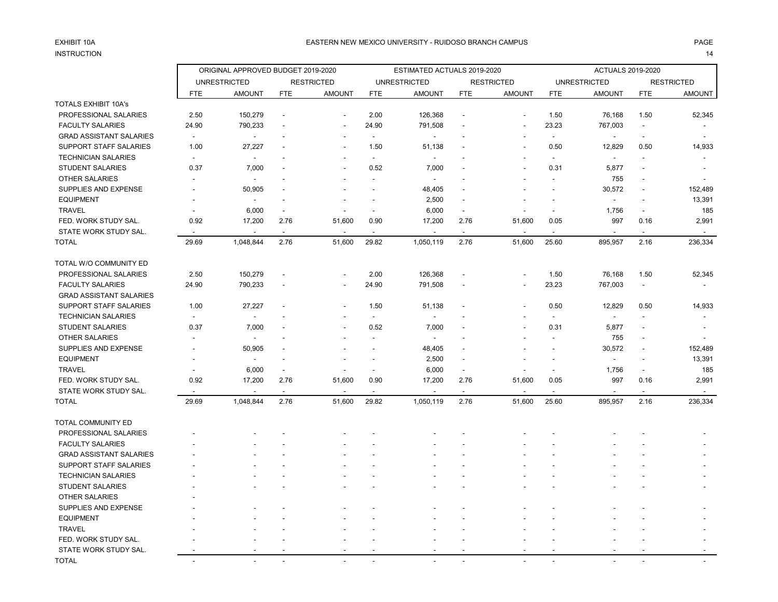# INSTRUCTION 14

|                                |                          | ORIGINAL APPROVED BUDGET 2019-2020 |                          |                          |                | ESTIMATED ACTUALS 2019-2020 |                          |                          |                          | <b>ACTUALS 2019-2020</b> |                          |                   |
|--------------------------------|--------------------------|------------------------------------|--------------------------|--------------------------|----------------|-----------------------------|--------------------------|--------------------------|--------------------------|--------------------------|--------------------------|-------------------|
|                                |                          | <b>UNRESTRICTED</b>                |                          | <b>RESTRICTED</b>        |                | <b>UNRESTRICTED</b>         |                          | <b>RESTRICTED</b>        |                          | <b>UNRESTRICTED</b>      |                          | <b>RESTRICTED</b> |
|                                | <b>FTE</b>               | <b>AMOUNT</b>                      | <b>FTE</b>               | <b>AMOUNT</b>            | <b>FTE</b>     | <b>AMOUNT</b>               | <b>FTE</b>               | <b>AMOUNT</b>            | <b>FTE</b>               | <b>AMOUNT</b>            | <b>FTE</b>               | <b>AMOUNT</b>     |
| <b>TOTALS EXHIBIT 10A's</b>    |                          |                                    |                          |                          |                |                             |                          |                          |                          |                          |                          |                   |
| PROFESSIONAL SALARIES          | 2.50                     | 150,279                            | $\overline{\phantom{a}}$ |                          | 2.00           | 126,368                     |                          |                          | 1.50                     | 76,168                   | 1.50                     | 52,345            |
| <b>FACULTY SALARIES</b>        | 24.90                    | 790,233                            |                          | $\overline{\phantom{a}}$ | 24.90          | 791,508                     |                          | $\overline{\phantom{a}}$ | 23.23                    | 767,003                  |                          |                   |
| <b>GRAD ASSISTANT SALARIES</b> | $\overline{\phantom{a}}$ | $\overline{a}$                     |                          | $\blacksquare$           | $\blacksquare$ | $\blacksquare$              |                          | ٠                        | $\blacksquare$           | $\overline{\phantom{a}}$ | $\overline{\phantom{a}}$ |                   |
| SUPPORT STAFF SALARIES         | 1.00                     | 27,227                             |                          | $\overline{a}$           | 1.50           | 51,138                      |                          |                          | 0.50                     | 12,829                   | 0.50                     | 14,933            |
| <b>TECHNICIAN SALARIES</b>     | $\overline{\phantom{a}}$ | $\overline{a}$                     |                          |                          | $\blacksquare$ |                             |                          |                          | $\blacksquare$           |                          |                          |                   |
| <b>STUDENT SALARIES</b>        | 0.37                     | 7,000                              |                          | $\overline{\phantom{a}}$ | 0.52           | 7,000                       |                          |                          | 0.31                     | 5,877                    |                          |                   |
| <b>OTHER SALARIES</b>          |                          |                                    |                          |                          | $\overline{a}$ |                             |                          |                          | $\overline{a}$           | 755                      |                          |                   |
| <b>SUPPLIES AND EXPENSE</b>    |                          | 50,905                             |                          |                          |                | 48,405                      |                          |                          |                          | 30,572                   |                          | 152,489           |
| <b>EQUIPMENT</b>               |                          | $\overline{a}$                     | $\overline{a}$           |                          |                | 2,500                       |                          |                          |                          | $\sim$                   |                          | 13,391            |
| <b>TRAVEL</b>                  |                          | 6,000                              | $\overline{\phantom{a}}$ |                          |                | 6,000                       |                          |                          | $\blacksquare$           | 1,756                    |                          | 185               |
| FED. WORK STUDY SAL.           | 0.92                     | 17,200                             | 2.76                     | 51,600                   | 0.90           | 17,200                      | 2.76                     | 51,600                   | 0.05                     | 997                      | 0.16                     | 2,991             |
| STATE WORK STUDY SAL.          | $\overline{\phantom{a}}$ | $\blacksquare$                     | $\blacksquare$           |                          | $\blacksquare$ | $\blacksquare$              | $\sim$                   |                          | $\overline{a}$           | $\overline{\phantom{a}}$ |                          | $\blacksquare$    |
| <b>TOTAL</b>                   | 29.69                    | 1,048,844                          | 2.76                     | 51,600                   | 29.82          | 1,050,119                   | 2.76                     | 51,600                   | 25.60                    | 895,957                  | 2.16                     | 236,334           |
| TOTAL W/O COMMUNITY ED         |                          |                                    |                          |                          |                |                             |                          |                          |                          |                          |                          |                   |
| PROFESSIONAL SALARIES          | 2.50                     | 150,279                            | $\overline{\phantom{a}}$ | $\blacksquare$           | 2.00           | 126,368                     | $\blacksquare$           | $\blacksquare$           | 1.50                     | 76,168                   | 1.50                     | 52,345            |
| <b>FACULTY SALARIES</b>        | 24.90                    | 790,233                            | $\overline{\phantom{a}}$ |                          | 24.90          | 791,508                     |                          |                          | 23.23                    | 767,003                  | $\overline{\phantom{a}}$ |                   |
| <b>GRAD ASSISTANT SALARIES</b> |                          |                                    |                          |                          |                |                             |                          |                          |                          |                          |                          |                   |
| <b>SUPPORT STAFF SALARIES</b>  | 1.00                     | 27,227                             |                          | $\overline{\phantom{a}}$ | 1.50           | 51,138                      |                          |                          | 0.50                     | 12,829                   | 0.50                     | 14,933            |
| <b>TECHNICIAN SALARIES</b>     | $\sim$                   | $\overline{a}$                     |                          | $\overline{\phantom{a}}$ | $\blacksquare$ | $\overline{\phantom{a}}$    |                          |                          | $\sim$                   |                          |                          |                   |
| <b>STUDENT SALARIES</b>        | 0.37                     | 7,000                              |                          | $\overline{\phantom{a}}$ | 0.52           | 7,000                       |                          |                          | 0.31                     | 5,877                    |                          |                   |
| <b>OTHER SALARIES</b>          |                          |                                    |                          |                          | $\overline{a}$ |                             |                          |                          | $\blacksquare$           | 755                      |                          |                   |
| SUPPLIES AND EXPENSE           |                          | 50,905                             |                          |                          | $\overline{a}$ | 48,405                      |                          |                          | $\overline{\phantom{a}}$ | 30,572                   | $\overline{\phantom{a}}$ | 152,489           |
| <b>EQUIPMENT</b>               |                          |                                    |                          |                          |                | 2,500                       |                          |                          |                          |                          |                          | 13,391            |
| <b>TRAVEL</b>                  |                          | 6,000                              | $\sim$                   |                          |                | 6,000                       | $\sim$                   |                          | $\blacksquare$           | 1,756                    |                          | 185               |
| FED. WORK STUDY SAL.           | 0.92                     | 17,200                             | 2.76                     | 51,600                   | 0.90           | 17,200                      | 2.76                     | 51,600                   | 0.05                     | 997                      | 0.16                     | 2,991             |
| STATE WORK STUDY SAL.          |                          |                                    |                          |                          |                |                             |                          |                          |                          |                          |                          |                   |
| <b>TOTAL</b>                   | 29.69                    | 1,048,844                          | 2.76                     | 51,600                   | 29.82          | 1,050,119                   | 2.76                     | 51,600                   | 25.60                    | 895,957                  | 2.16                     | 236,334           |
| <b>TOTAL COMMUNITY ED</b>      |                          |                                    |                          |                          |                |                             |                          |                          |                          |                          |                          |                   |
| PROFESSIONAL SALARIES          |                          |                                    |                          |                          |                |                             |                          |                          |                          |                          |                          |                   |
| <b>FACULTY SALARIES</b>        |                          |                                    |                          |                          |                |                             |                          |                          |                          |                          |                          |                   |
| <b>GRAD ASSISTANT SALARIES</b> |                          |                                    |                          |                          |                |                             |                          |                          |                          |                          |                          |                   |
| SUPPORT STAFF SALARIES         |                          |                                    |                          |                          |                |                             |                          |                          |                          |                          |                          |                   |
| <b>TECHNICIAN SALARIES</b>     |                          |                                    |                          |                          |                |                             |                          |                          |                          |                          |                          |                   |
| <b>STUDENT SALARIES</b>        |                          |                                    |                          |                          |                |                             |                          |                          |                          |                          |                          |                   |
| <b>OTHER SALARIES</b>          |                          |                                    |                          |                          |                |                             |                          |                          |                          |                          |                          |                   |
| <b>SUPPLIES AND EXPENSE</b>    |                          |                                    |                          |                          |                |                             |                          |                          |                          |                          |                          |                   |
| <b>EQUIPMENT</b>               |                          |                                    |                          |                          |                |                             |                          |                          |                          |                          |                          |                   |
| <b>TRAVEL</b>                  |                          |                                    |                          |                          |                |                             |                          |                          |                          |                          |                          |                   |
| FED. WORK STUDY SAL.           |                          |                                    |                          |                          |                |                             |                          |                          |                          |                          |                          |                   |
| STATE WORK STUDY SAL.          |                          |                                    |                          |                          |                |                             |                          |                          |                          |                          |                          |                   |
| <b>TOTAL</b>                   | $\sim$                   | $\overline{a}$                     | $\overline{a}$           | $\overline{a}$           | $\overline{a}$ | $\overline{\phantom{a}}$    | $\overline{\phantom{a}}$ |                          | $\overline{\phantom{a}}$ |                          |                          |                   |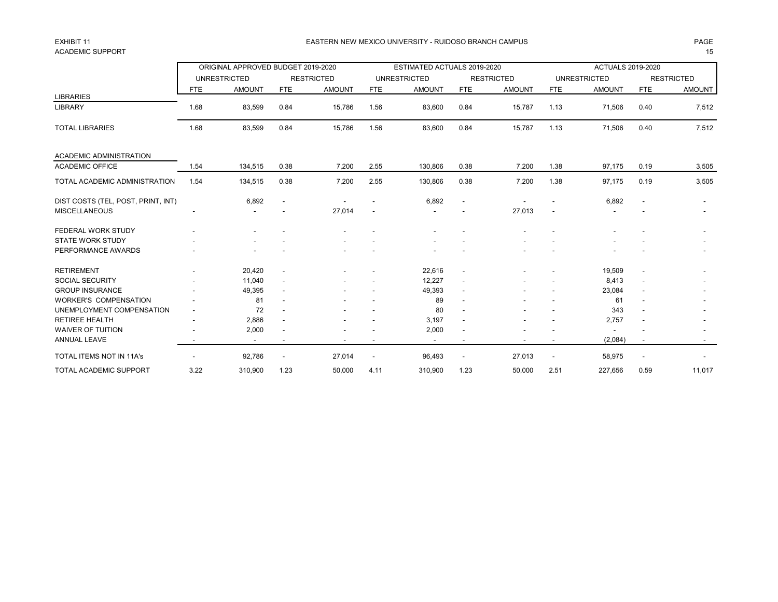## ACADEMIC SUPPORT THE RESERVED OF STRAIGHT AND STRAIGHT AND STRAIGHT AND STRAIGHT AND STRAIGHT AND STRAIGHT AND STRAIGHT AND STRAIGHT AND STRAIGHT AND STRAIGHT AND STRAIGHT AND STRAIGHT AND STRAIGHT AND STRAIGHT AND STRAIGH

### EXHIBIT 11 PAGE EASTERN NEW MEXICO UNIVERSITY - RUIDOSO BRANCH CAMPUS

|                                    |            | ORIGINAL APPROVED BUDGET 2019-2020 |                          |                   |                          | ESTIMATED ACTUALS 2019-2020 |                          |                   |                          | <b>ACTUALS 2019-2020</b> |                          |                   |
|------------------------------------|------------|------------------------------------|--------------------------|-------------------|--------------------------|-----------------------------|--------------------------|-------------------|--------------------------|--------------------------|--------------------------|-------------------|
|                                    |            | <b>UNRESTRICTED</b>                |                          | <b>RESTRICTED</b> |                          | <b>UNRESTRICTED</b>         |                          | <b>RESTRICTED</b> |                          | <b>UNRESTRICTED</b>      |                          | <b>RESTRICTED</b> |
|                                    | <b>FTE</b> | <b>AMOUNT</b>                      | <b>FTE</b>               | <b>AMOUNT</b>     | <b>FTE</b>               | <b>AMOUNT</b>               | <b>FTE</b>               | <b>AMOUNT</b>     | <b>FTE</b>               | <b>AMOUNT</b>            | <b>FTE</b>               | <b>AMOUNT</b>     |
| <b>LIBRARIES</b>                   |            |                                    |                          |                   |                          |                             |                          |                   |                          |                          |                          |                   |
| <b>LIBRARY</b>                     | 1.68       | 83,599                             | 0.84                     | 15,786            | 1.56                     | 83,600                      | 0.84                     | 15,787            | 1.13                     | 71,506                   | 0.40                     | 7,512             |
| <b>TOTAL LIBRARIES</b>             | 1.68       | 83,599                             | 0.84                     | 15,786            | 1.56                     | 83,600                      | 0.84                     | 15,787            | 1.13                     | 71,506                   | 0.40                     | 7,512             |
| ACADEMIC ADMINISTRATION            |            |                                    |                          |                   |                          |                             |                          |                   |                          |                          |                          |                   |
| <b>ACADEMIC OFFICE</b>             | 1.54       | 134,515                            | 0.38                     | 7,200             | 2.55                     | 130,806                     | 0.38                     | 7,200             | 1.38                     | 97,175                   | 0.19                     | 3,505             |
| TOTAL ACADEMIC ADMINISTRATION      | 1.54       | 134,515                            | 0.38                     | 7,200             | 2.55                     | 130,806                     | 0.38                     | 7,200             | 1.38                     | 97,175                   | 0.19                     | 3,505             |
| DIST COSTS (TEL, POST, PRINT, INT) |            | 6,892                              | $\overline{\phantom{a}}$ |                   |                          | 6,892                       | $\overline{\phantom{a}}$ |                   |                          | 6,892                    |                          |                   |
| <b>MISCELLANEOUS</b>               |            |                                    |                          | 27,014            |                          |                             |                          | 27,013            |                          |                          |                          |                   |
| FEDERAL WORK STUDY                 |            |                                    |                          |                   |                          |                             |                          |                   |                          |                          |                          |                   |
| <b>STATE WORK STUDY</b>            |            |                                    |                          |                   |                          |                             |                          |                   |                          |                          |                          |                   |
| PERFORMANCE AWARDS                 |            |                                    |                          |                   |                          |                             |                          |                   |                          |                          |                          |                   |
| <b>RETIREMENT</b>                  |            | 20,420                             | $\overline{\phantom{a}}$ |                   |                          | 22,616                      | $\blacksquare$           |                   |                          | 19,509                   | $\blacksquare$           |                   |
| <b>SOCIAL SECURITY</b>             |            | 11,040                             | $\overline{\phantom{a}}$ |                   |                          | 12,227                      | $\blacksquare$           |                   |                          | 8,413                    | $\blacksquare$           |                   |
| <b>GROUP INSURANCE</b>             |            | 49,395                             |                          |                   |                          | 49,393                      | $\blacksquare$           |                   |                          | 23,084                   |                          |                   |
| <b>WORKER'S COMPENSATION</b>       |            | 81                                 |                          |                   |                          | 89                          | $\blacksquare$           |                   |                          | 61                       |                          |                   |
| UNEMPLOYMENT COMPENSATION          |            | 72                                 |                          |                   |                          | 80                          | $\blacksquare$           |                   |                          | 343                      |                          |                   |
| <b>RETIREE HEALTH</b>              |            | 2,886                              | ٠                        |                   |                          | 3,197                       | $\blacksquare$           |                   |                          | 2,757                    |                          |                   |
| <b>WAIVER OF TUITION</b>           |            | 2,000                              |                          |                   |                          | 2,000                       | $\blacksquare$           |                   |                          |                          |                          |                   |
| ANNUAL LEAVE                       |            | $\overline{\phantom{a}}$           |                          |                   |                          |                             | $\overline{\phantom{a}}$ |                   |                          | (2,084)                  | $\overline{\phantom{a}}$ |                   |
| <b>TOTAL ITEMS NOT IN 11A's</b>    |            | 92,786                             | $\overline{\phantom{a}}$ | 27,014            | $\overline{\phantom{a}}$ | 96,493                      | $\overline{\phantom{a}}$ | 27,013            | $\overline{\phantom{a}}$ | 58,975                   | $\overline{\phantom{a}}$ |                   |
| <b>TOTAL ACADEMIC SUPPORT</b>      | 3.22       | 310,900                            | 1.23                     | 50,000            | 4.11                     | 310,900                     | 1.23                     | 50,000            | 2.51                     | 227,656                  | 0.59                     | 11,017            |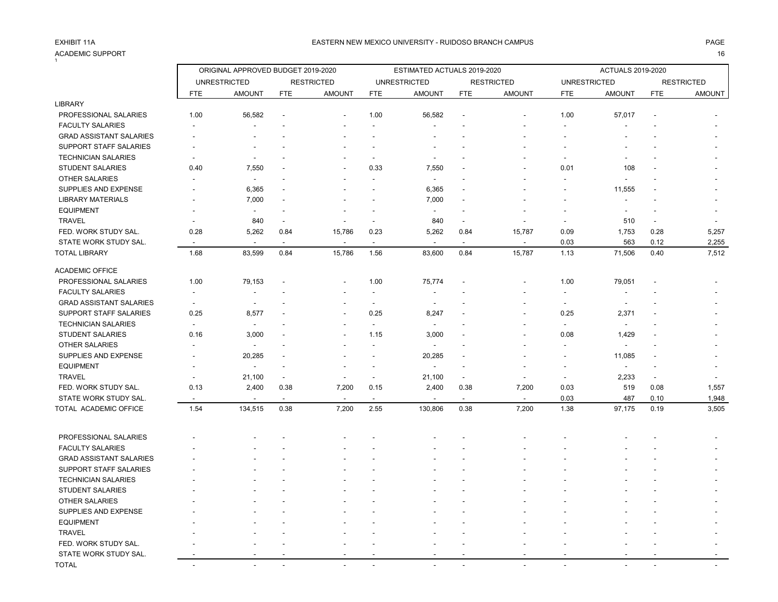#### ACADEMIC SUPPORT 16 .<br>4

|                                |                          | ORIGINAL APPROVED BUDGET 2019-2020 |                          |                          |                          | ESTIMATED ACTUALS 2019-2020 |                          |                          |                          | <b>ACTUALS 2019-2020</b> |                          |                   |
|--------------------------------|--------------------------|------------------------------------|--------------------------|--------------------------|--------------------------|-----------------------------|--------------------------|--------------------------|--------------------------|--------------------------|--------------------------|-------------------|
|                                |                          | <b>UNRESTRICTED</b>                |                          | <b>RESTRICTED</b>        |                          | <b>UNRESTRICTED</b>         |                          | <b>RESTRICTED</b>        | <b>UNRESTRICTED</b>      |                          |                          | <b>RESTRICTED</b> |
|                                | <b>FTE</b>               | <b>AMOUNT</b>                      | <b>FTE</b>               | <b>AMOUNT</b>            | <b>FTE</b>               | <b>AMOUNT</b>               | <b>FTE</b>               | <b>AMOUNT</b>            | <b>FTE</b>               | <b>AMOUNT</b>            | <b>FTE</b>               | <b>AMOUNT</b>     |
| LIBRARY                        |                          |                                    |                          |                          |                          |                             |                          |                          |                          |                          |                          |                   |
| PROFESSIONAL SALARIES          | 1.00                     | 56,582                             |                          |                          | 1.00                     | 56,582                      |                          |                          | 1.00                     | 57,017                   |                          |                   |
| <b>FACULTY SALARIES</b>        |                          | $\overline{\phantom{a}}$           |                          |                          | $\overline{a}$           |                             |                          |                          |                          |                          |                          |                   |
| <b>GRAD ASSISTANT SALARIES</b> |                          |                                    |                          |                          |                          |                             |                          |                          |                          |                          |                          |                   |
| SUPPORT STAFF SALARIES         |                          |                                    |                          |                          |                          |                             |                          |                          |                          |                          |                          |                   |
| <b>TECHNICIAN SALARIES</b>     |                          |                                    |                          |                          |                          |                             |                          |                          |                          |                          |                          |                   |
| <b>STUDENT SALARIES</b>        | 0.40                     | 7,550                              |                          |                          | 0.33                     | 7,550                       |                          |                          | 0.01                     | 108                      |                          |                   |
| <b>OTHER SALARIES</b>          |                          | $\sim$                             |                          |                          | $\overline{\phantom{a}}$ | $\sim$                      |                          |                          |                          | $\overline{a}$           |                          |                   |
| SUPPLIES AND EXPENSE           |                          | 6,365                              |                          |                          |                          | 6,365                       |                          |                          |                          | 11,555                   |                          |                   |
| <b>LIBRARY MATERIALS</b>       |                          | 7,000                              |                          |                          |                          | 7,000                       |                          |                          |                          | $\blacksquare$           |                          |                   |
| <b>EQUIPMENT</b>               |                          | $\blacksquare$                     |                          |                          |                          | $\overline{\phantom{a}}$    | $\blacksquare$           |                          |                          | $\overline{\phantom{a}}$ |                          |                   |
| <b>TRAVEL</b>                  |                          | 840                                | $\overline{\phantom{a}}$ |                          | $\overline{\phantom{a}}$ | 840                         | $\overline{\phantom{a}}$ |                          | $\blacksquare$           | 510                      | $\overline{\phantom{a}}$ |                   |
| FED. WORK STUDY SAL.           | 0.28                     | 5,262                              | 0.84                     | 15,786                   | 0.23                     | 5,262                       | 0.84                     | 15,787                   | 0.09                     | 1,753                    | 0.28                     | 5,257             |
| STATE WORK STUDY SAL.          | $\overline{\phantom{a}}$ | $\blacksquare$                     | $\sim$                   | $\blacksquare$           | $\overline{\phantom{a}}$ | $\blacksquare$              | $\blacksquare$           |                          | 0.03                     | 563                      | 0.12                     | 2,255             |
| <b>TOTAL LIBRARY</b>           | 1.68                     | 83,599                             | 0.84                     | 15,786                   | 1.56                     | 83,600                      | 0.84                     | 15,787                   | 1.13                     | 71,506                   | 0.40                     | 7,512             |
| <b>ACADEMIC OFFICE</b>         |                          |                                    |                          |                          |                          |                             |                          |                          |                          |                          |                          |                   |
| PROFESSIONAL SALARIES          | 1.00                     | 79,153                             |                          |                          | 1.00                     | 75,774                      |                          |                          | 1.00                     | 79,051                   |                          |                   |
| <b>FACULTY SALARIES</b>        | $\overline{\phantom{a}}$ | $\blacksquare$                     |                          |                          | $\overline{\phantom{a}}$ | $\overline{\phantom{a}}$    |                          |                          | $\overline{\phantom{a}}$ | $\overline{a}$           |                          |                   |
| <b>GRAD ASSISTANT SALARIES</b> | $\overline{\phantom{a}}$ | $\overline{\phantom{a}}$           |                          |                          | $\blacksquare$           | $\sim$                      |                          |                          | $\overline{\phantom{a}}$ | $\blacksquare$           |                          |                   |
| SUPPORT STAFF SALARIES         | 0.25                     | 8,577                              |                          |                          | 0.25                     | 8,247                       |                          |                          | 0.25                     | 2,371                    |                          |                   |
| <b>TECHNICIAN SALARIES</b>     | $\blacksquare$           | $\overline{\phantom{a}}$           |                          |                          | $\mathbf{r}$             | $\blacksquare$              |                          |                          | $\sim$                   | $\blacksquare$           |                          |                   |
| <b>STUDENT SALARIES</b>        | 0.16                     | 3,000                              |                          |                          | 1.15                     | 3,000                       |                          |                          | 0.08                     | 1,429                    |                          |                   |
| OTHER SALARIES                 |                          | $\blacksquare$                     |                          |                          | $\overline{a}$           | $\blacksquare$              |                          |                          |                          | $\overline{a}$           |                          |                   |
| SUPPLIES AND EXPENSE           |                          | 20,285                             |                          |                          |                          | 20,285                      | $\overline{\phantom{a}}$ |                          | $\overline{\phantom{a}}$ | 11,085                   |                          |                   |
| <b>EQUIPMENT</b>               |                          | $\ddot{\phantom{a}}$               |                          |                          |                          | $\overline{a}$              |                          |                          | ÷                        | $\ddot{\phantom{a}}$     |                          |                   |
| <b>TRAVEL</b>                  | $\overline{a}$           | 21,100                             | $\blacksquare$           | $\overline{\phantom{a}}$ | $\overline{\phantom{a}}$ | 21,100                      | $\overline{\phantom{a}}$ | $\overline{\phantom{a}}$ | $\overline{a}$           | 2,233                    | $\sim$                   |                   |
| FED. WORK STUDY SAL.           | 0.13                     | 2,400                              | 0.38                     | 7,200                    | 0.15                     | 2,400                       | 0.38                     | 7,200                    | 0.03                     | 519                      | 0.08                     | 1,557             |
| STATE WORK STUDY SAL.          |                          | $\overline{\phantom{a}}$           | $\blacksquare$           |                          | $\sim$                   |                             | $\mathbf{r}$             |                          | 0.03                     | 487                      | 0.10                     | 1,948             |
| TOTAL ACADEMIC OFFICE          | 1.54                     | 134,515                            | 0.38                     | 7,200                    | 2.55                     | 130,806                     | 0.38                     | 7,200                    | 1.38                     | 97,175                   | 0.19                     | 3,505             |
|                                |                          |                                    |                          |                          |                          |                             |                          |                          |                          |                          |                          |                   |
| PROFESSIONAL SALARIES          |                          |                                    |                          |                          |                          |                             |                          |                          |                          |                          |                          |                   |
| <b>FACULTY SALARIES</b>        |                          |                                    |                          |                          |                          |                             |                          |                          |                          |                          |                          |                   |
| <b>GRAD ASSISTANT SALARIES</b> |                          |                                    |                          |                          |                          |                             |                          |                          |                          |                          |                          |                   |
| <b>SUPPORT STAFF SALARIES</b>  |                          |                                    |                          |                          |                          |                             |                          |                          |                          |                          |                          |                   |
| <b>TECHNICIAN SALARIES</b>     |                          |                                    |                          |                          |                          |                             |                          |                          |                          |                          |                          |                   |
| <b>STUDENT SALARIES</b>        |                          |                                    |                          |                          |                          |                             |                          |                          |                          |                          |                          |                   |
| OTHER SALARIES                 |                          |                                    |                          |                          |                          |                             |                          |                          |                          |                          |                          |                   |
| SUPPLIES AND EXPENSE           |                          |                                    |                          |                          |                          |                             |                          |                          |                          |                          |                          |                   |
| <b>EQUIPMENT</b>               |                          |                                    |                          |                          |                          |                             |                          |                          |                          |                          |                          |                   |
| <b>TRAVEL</b>                  |                          |                                    |                          |                          |                          |                             |                          |                          |                          |                          |                          |                   |
| FED. WORK STUDY SAL.           |                          |                                    |                          |                          |                          |                             |                          |                          |                          |                          |                          |                   |
| STATE WORK STUDY SAL.          |                          |                                    |                          |                          |                          |                             |                          |                          |                          |                          |                          |                   |
| <b>TOTAL</b>                   | $\sim$                   | $\sim$                             |                          |                          |                          |                             |                          | <u>. .</u>               | $\overline{\phantom{a}}$ |                          |                          |                   |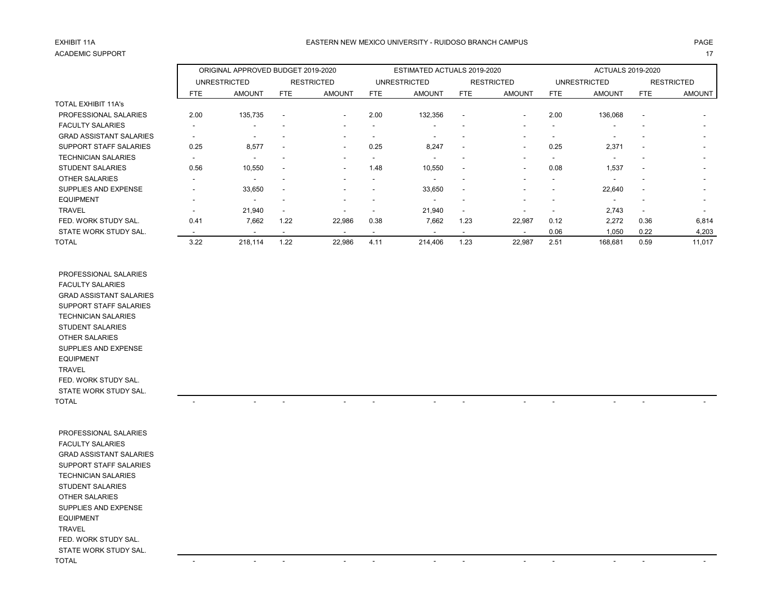# ACADEMIC SUPPORT And the contract of the contract of the contract of the contract of the contract of the contract of the contract of the contract of the contract of the contract of the contract of the contract of the contr

### EXHIBIT 11A CHANNEL ANN AN THROUGH THE SASTERN NEW MEXICO UNIVERSITY - RUIDOSO BRANCH CAMPUS CHANNEL AND THE SASTERN NEW MEXICO UNIVERSITY - RUIDOSO BRANCH CAMPUS

|                                |                          | ORIGINAL APPROVED BUDGET 2019-2020 |                          |                          |      | ESTIMATED ACTUALS 2019-2020 |                          |                          |                          | <b>ACTUALS 2019-2020</b> |                          |                          |
|--------------------------------|--------------------------|------------------------------------|--------------------------|--------------------------|------|-----------------------------|--------------------------|--------------------------|--------------------------|--------------------------|--------------------------|--------------------------|
|                                |                          | <b>UNRESTRICTED</b>                |                          | <b>RESTRICTED</b>        |      | <b>UNRESTRICTED</b>         |                          | <b>RESTRICTED</b>        |                          | <b>UNRESTRICTED</b>      |                          | <b>RESTRICTED</b>        |
|                                | <b>FTE</b>               | <b>AMOUNT</b>                      | FTE                      | <b>AMOUNT</b>            | FTE  | <b>AMOUNT</b>               | FTE                      | <b>AMOUNT</b>            | <b>FTE</b>               | <b>AMOUNT</b>            | <b>FTE</b>               | <b>AMOUNT</b>            |
| <b>TOTAL EXHIBIT 11A's</b>     |                          |                                    |                          |                          |      |                             |                          |                          |                          |                          |                          |                          |
| PROFESSIONAL SALARIES          | 2.00                     | 135,735                            | $\overline{\phantom{a}}$ | $\overline{\phantom{a}}$ | 2.00 | 132,356                     | $\overline{\phantom{a}}$ | ۰                        | 2.00                     | 136,068                  | $\overline{\phantom{a}}$ |                          |
| <b>FACULTY SALARIES</b>        | $\overline{\phantom{0}}$ |                                    |                          |                          |      | ۰                           |                          |                          | $\overline{\phantom{a}}$ | $\overline{\phantom{a}}$ | -                        | $\sim$                   |
| <b>GRAD ASSISTANT SALARIES</b> | $\overline{\phantom{a}}$ |                                    |                          |                          |      |                             |                          |                          |                          |                          |                          |                          |
| <b>SUPPORT STAFF SALARIES</b>  | 0.25                     | 8,577                              | $\overline{\phantom{a}}$ | $\overline{\phantom{a}}$ | 0.25 | 8,247                       | $\overline{\phantom{a}}$ | ۰                        | 0.25                     | 2,371                    | $\overline{\phantom{a}}$ | $\overline{\phantom{0}}$ |
| <b>TECHNICIAN SALARIES</b>     |                          |                                    |                          |                          |      |                             | $\overline{\phantom{a}}$ |                          | $\overline{\phantom{a}}$ |                          | $\overline{\phantom{a}}$ | $\overline{\phantom{a}}$ |
| <b>STUDENT SALARIES</b>        | 0.56                     | 10,550                             |                          | $\overline{\phantom{a}}$ | 1.48 | 10,550                      | $\overline{\phantom{a}}$ | $\overline{\phantom{a}}$ | 0.08                     | 1,537                    | $\overline{\phantom{a}}$ | $\sim$                   |
| <b>OTHER SALARIES</b>          | $\overline{\phantom{a}}$ | $\overline{\phantom{a}}$           |                          |                          |      |                             | $\overline{\phantom{a}}$ |                          | <b>-</b>                 |                          | $\overline{\phantom{a}}$ | $\overline{\phantom{0}}$ |
| SUPPLIES AND EXPENSE           |                          | 33,650                             |                          |                          |      | 33,650                      | $\overline{\phantom{a}}$ |                          |                          | 22,640                   | $\overline{\phantom{a}}$ | $\overline{\phantom{a}}$ |
| <b>EQUIPMENT</b>               | -                        |                                    |                          |                          |      |                             |                          |                          |                          |                          | -                        |                          |
| <b>TRAVEL</b>                  | $\overline{\phantom{a}}$ | 21,940                             | $\overline{\phantom{a}}$ |                          |      | 21,940                      | $\overline{\phantom{a}}$ |                          | $\overline{\phantom{a}}$ | 2,743                    | $\overline{\phantom{a}}$ |                          |
| FED. WORK STUDY SAL.           | 0.41                     | 7,662                              | 1.22                     | 22,986                   | 0.38 | 7,662                       | 1.23                     | 22,987                   | 0.12                     | 2,272                    | 0.36                     | 6,814                    |
| STATE WORK STUDY SAL.          |                          | $\overline{\phantom{a}}$           |                          |                          |      |                             | $\overline{\phantom{a}}$ | $\overline{\phantom{a}}$ | 0.06                     | 1,050                    | 0.22                     | 4,203                    |
| <b>TOTAL</b>                   | 3.22                     | 218,114                            | 1.22                     | 22,986                   | 4.11 | 214,406                     | 1.23                     | 22,987                   | 2.51                     | 168,681                  | 0.59                     | 11,017                   |

 PROFESSIONAL SALARIES FACULTY SALARIES GRAD ASSISTANT SALARIES SUPPORT STAFF SALARIES TECHNICIAN SALARIES STUDENT SALARIES OTHER SALARIES SUPPLIES AND EXPENSE EQUIPMENT TRAVEL FED. WORK STUDY SAL. STATE WORK STUDY SAL. TOTAL - - - - - - - - - - - -

| PROFESSIONAL SALARIES          |                          |                          |                          |                          |                                                      |                          |                          |
|--------------------------------|--------------------------|--------------------------|--------------------------|--------------------------|------------------------------------------------------|--------------------------|--------------------------|
| <b>FACULTY SALARIES</b>        |                          |                          |                          |                          |                                                      |                          |                          |
| <b>GRAD ASSISTANT SALARIES</b> |                          |                          |                          |                          |                                                      |                          |                          |
| SUPPORT STAFF SALARIES         |                          |                          |                          |                          |                                                      |                          |                          |
| <b>TECHNICIAN SALARIES</b>     |                          |                          |                          |                          |                                                      |                          |                          |
| <b>STUDENT SALARIES</b>        |                          |                          |                          |                          |                                                      |                          |                          |
| OTHER SALARIES                 |                          |                          |                          |                          |                                                      |                          |                          |
| SUPPLIES AND EXPENSE           |                          |                          |                          |                          |                                                      |                          |                          |
| <b>EQUIPMENT</b>               |                          |                          |                          |                          |                                                      |                          |                          |
| TRAVEL                         |                          |                          |                          |                          |                                                      |                          |                          |
| FED. WORK STUDY SAL.           |                          |                          |                          |                          |                                                      |                          |                          |
| STATE WORK STUDY SAL.          |                          |                          |                          |                          |                                                      |                          |                          |
| TOTAL                          | $\overline{\phantom{a}}$ | $\overline{\phantom{0}}$ | $\overline{\phantom{a}}$ | $\overline{\phantom{0}}$ | $\overline{\phantom{a}}$<br>$\overline{\phantom{a}}$ | $\overline{\phantom{0}}$ | $\overline{\phantom{0}}$ |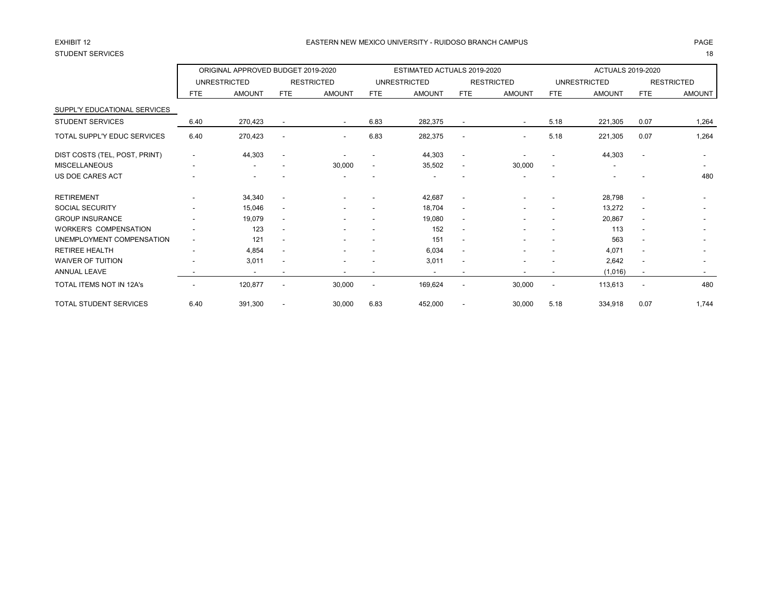# STUDENT SERVICES 18

### EASTERN NEW MEXICO UNIVERSITY - RUIDOSO BRANCH CAMPUS AND THE REASTERN AGE AND THE REASTERN NEW MEXICO UNIVERSITY - RUIDOSO BRANCH CAMPUS AND THE REASTERN NEW MEXICO UNIVERSITY - RUIDOSO BRANCH CAMPUS

|                               |                          | ORIGINAL APPROVED BUDGET 2019-2020 |                          |                          |                          | ESTIMATED ACTUALS 2019-2020 |                          |                          |                          | <b>ACTUALS 2019-2020</b> |                          |                          |
|-------------------------------|--------------------------|------------------------------------|--------------------------|--------------------------|--------------------------|-----------------------------|--------------------------|--------------------------|--------------------------|--------------------------|--------------------------|--------------------------|
|                               |                          | <b>UNRESTRICTED</b>                |                          | <b>RESTRICTED</b>        |                          | <b>UNRESTRICTED</b>         |                          | <b>RESTRICTED</b>        |                          | <b>UNRESTRICTED</b>      |                          | <b>RESTRICTED</b>        |
|                               | <b>FTE</b>               | <b>AMOUNT</b>                      | <b>FTE</b>               | <b>AMOUNT</b>            | FTE                      | <b>AMOUNT</b>               | <b>FTE</b>               | <b>AMOUNT</b>            | <b>FTE</b>               | <b>AMOUNT</b>            | <b>FTE</b>               | <b>AMOUNT</b>            |
| SUPPL'Y EDUCATIONAL SERVICES  |                          |                                    |                          |                          |                          |                             |                          |                          |                          |                          |                          |                          |
| <b>STUDENT SERVICES</b>       | 6.40                     | 270,423                            | $\overline{\phantom{a}}$ | $\sim$                   | 6.83                     | 282,375                     | $\overline{\phantom{a}}$ | $\overline{\phantom{a}}$ | 5.18                     | 221,305                  | 0.07                     | 1,264                    |
| TOTAL SUPPL'Y EDUC SERVICES   | 6.40                     | 270,423                            | $\overline{\phantom{a}}$ | $\overline{\phantom{a}}$ | 6.83                     | 282,375                     | $\overline{\phantom{a}}$ | $\overline{\phantom{a}}$ | 5.18                     | 221,305                  | 0.07                     | 1,264                    |
| DIST COSTS (TEL, POST, PRINT) | ۰                        | 44,303                             | $\overline{\phantom{a}}$ |                          | $\blacksquare$           | 44,303                      | $\overline{\phantom{a}}$ |                          | $\overline{\phantom{a}}$ | 44,303                   | $\blacksquare$           |                          |
| <b>MISCELLANEOUS</b>          | ۰                        |                                    |                          | 30,000                   | $\overline{\phantom{a}}$ | 35,502                      | $\overline{\phantom{a}}$ | 30,000                   | $\overline{\phantom{a}}$ |                          |                          |                          |
| US DOE CARES ACT              |                          |                                    |                          |                          |                          |                             |                          |                          |                          |                          |                          | 480                      |
| <b>RETIREMENT</b>             |                          | 34,340                             | $\overline{\phantom{a}}$ |                          |                          | 42,687                      | $\overline{\phantom{a}}$ |                          |                          | 28,798                   | $\overline{a}$           |                          |
| <b>SOCIAL SECURITY</b>        | $\overline{\phantom{0}}$ | 15,046                             | $\overline{\phantom{a}}$ |                          | $\blacksquare$           | 18,704                      | $\overline{\phantom{a}}$ | ۰                        | $\overline{\phantom{a}}$ | 13,272                   | $\overline{\phantom{a}}$ |                          |
| <b>GROUP INSURANCE</b>        | $\overline{\phantom{0}}$ | 19,079                             | $\overline{\phantom{a}}$ |                          | $\blacksquare$           | 19,080                      | $\sim$                   | ۰                        | $\overline{\phantom{a}}$ | 20,867                   | $\overline{\phantom{a}}$ |                          |
| <b>WORKER'S COMPENSATION</b>  |                          | 123                                | $\overline{\phantom{a}}$ |                          |                          | 152                         | $\overline{\phantom{a}}$ |                          |                          | 113                      | $\overline{\phantom{a}}$ | $\overline{\phantom{a}}$ |
| UNEMPLOYMENT COMPENSATION     | $\overline{\phantom{a}}$ | 121                                | $\overline{\phantom{a}}$ |                          |                          | 151                         | $\overline{\phantom{a}}$ |                          |                          | 563                      | $\overline{\phantom{a}}$ |                          |
| <b>RETIREE HEALTH</b>         | ۰                        | 4,854                              | $\overline{\phantom{a}}$ |                          |                          | 6.034                       | $\overline{\phantom{a}}$ |                          |                          | 4,071                    | $\overline{\phantom{a}}$ |                          |
| <b>WAIVER OF TUITION</b>      |                          | 3,011                              | $\overline{\phantom{a}}$ | ۰                        |                          | 3,011                       | $\overline{\phantom{a}}$ | ٠                        | $\overline{\phantom{a}}$ | 2,642                    | $\overline{\phantom{a}}$ | $\overline{\phantom{a}}$ |
| <b>ANNUAL LEAVE</b>           |                          | $\overline{\phantom{a}}$           | $\overline{\phantom{a}}$ |                          | $\overline{\phantom{a}}$ |                             | $\overline{\phantom{a}}$ |                          | $\overline{\phantom{a}}$ | (1,016)                  | $\overline{\phantom{a}}$ | $\sim$                   |
| TOTAL ITEMS NOT IN 12A's      |                          | 120,877                            | $\overline{\phantom{a}}$ | 30,000                   | $\overline{\phantom{a}}$ | 169,624                     | $\blacksquare$           | 30,000                   | $\overline{\phantom{0}}$ | 113,613                  | $\overline{\phantom{a}}$ | 480                      |
| <b>TOTAL STUDENT SERVICES</b> | 6.40                     | 391,300                            |                          | 30,000                   | 6.83                     | 452,000                     |                          | 30,000                   | 5.18                     | 334,918                  | 0.07                     | 1,744                    |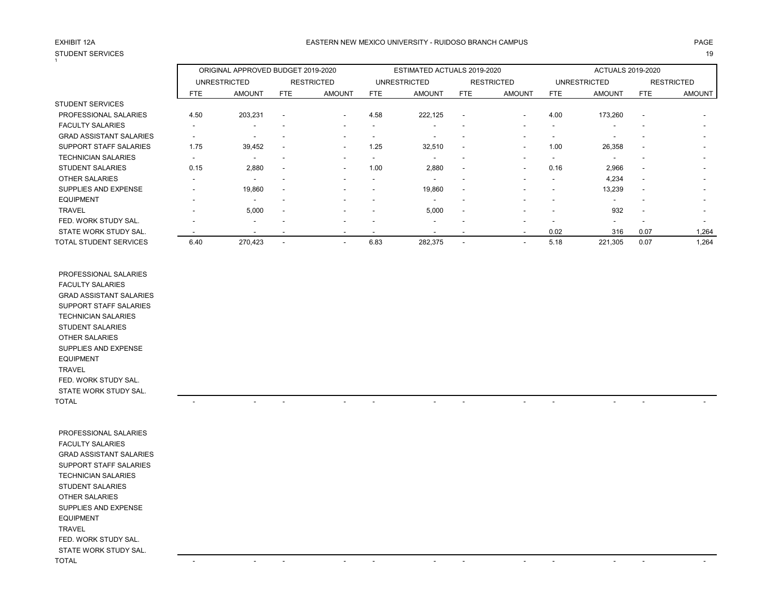## STUDENT SERVICES 19 1

### EXHIBIT 12A PAGE EASTERN NEW MEXICO UNIVERSITY - RUIDOSO BRANCH CAMPUS

|                                |                          | ORIGINAL APPROVED BUDGET 2019-2020 |                          |                          |                          | ESTIMATED ACTUALS 2019-2020 |                          |                          |                          | <b>ACTUALS 2019-2020</b> |                          |                          |
|--------------------------------|--------------------------|------------------------------------|--------------------------|--------------------------|--------------------------|-----------------------------|--------------------------|--------------------------|--------------------------|--------------------------|--------------------------|--------------------------|
|                                |                          | <b>UNRESTRICTED</b>                |                          | <b>RESTRICTED</b>        |                          | <b>UNRESTRICTED</b>         |                          | <b>RESTRICTED</b>        |                          | <b>UNRESTRICTED</b>      |                          | <b>RESTRICTED</b>        |
|                                | <b>FTE</b>               | <b>AMOUNT</b>                      | <b>FTE</b>               | <b>AMOUNT</b>            | FTE                      | <b>AMOUNT</b>               | FTE                      | <b>AMOUNT</b>            | <b>FTE</b>               | <b>AMOUNT</b>            | FTE                      | <b>AMOUNT</b>            |
| <b>STUDENT SERVICES</b>        |                          |                                    |                          |                          |                          |                             |                          |                          |                          |                          |                          |                          |
| PROFESSIONAL SALARIES          | 4.50                     | 203,231                            | $\overline{\phantom{a}}$ | $\overline{\phantom{a}}$ | 4.58                     | 222,125                     | $\overline{\phantom{a}}$ | $\overline{\phantom{a}}$ | 4.00                     | 173,260                  | $\overline{\phantom{a}}$ |                          |
| <b>FACULTY SALARIES</b>        |                          | $\overline{\phantom{a}}$           |                          |                          |                          |                             |                          |                          |                          |                          |                          |                          |
| <b>GRAD ASSISTANT SALARIES</b> | $\overline{\phantom{a}}$ | $\overline{\phantom{a}}$           | -                        | $\overline{\phantom{a}}$ | $\overline{\phantom{a}}$ | $\overline{\phantom{a}}$    | $\overline{\phantom{a}}$ | $\sim$                   | $\overline{\phantom{a}}$ | $\overline{\phantom{a}}$ | -                        | $\overline{\phantom{a}}$ |
| SUPPORT STAFF SALARIES         | 1.75                     | 39,452                             | $\overline{\phantom{a}}$ | $\overline{\phantom{a}}$ | 1.25                     | 32,510                      | $\overline{\phantom{a}}$ | $\overline{\phantom{a}}$ | 1.00                     | 26,358                   | $\overline{\phantom{0}}$ | $\sim$                   |
| <b>TECHNICIAN SALARIES</b>     |                          | $\overline{\phantom{a}}$           | -                        |                          |                          |                             |                          |                          |                          |                          |                          | $\overline{\phantom{0}}$ |
| <b>STUDENT SALARIES</b>        | 0.15                     | 2,880                              | $\overline{\phantom{a}}$ | $\overline{\phantom{a}}$ | 1.00                     | 2,880                       | $\blacksquare$           | $\overline{\phantom{0}}$ | 0.16                     | 2,966                    | $\blacksquare$           | $\overline{\phantom{a}}$ |
| OTHER SALARIES                 |                          |                                    |                          |                          |                          |                             |                          |                          |                          | 4,234                    | $\blacksquare$           |                          |
| SUPPLIES AND EXPENSE           |                          | 19,860                             | $\overline{\phantom{a}}$ |                          |                          | 19,860                      | $\overline{\phantom{a}}$ |                          |                          | 13,239                   | $\overline{\phantom{a}}$ |                          |
| <b>EQUIPMENT</b>               |                          | $\overline{\phantom{a}}$           |                          |                          |                          |                             |                          |                          |                          | $\sim$                   |                          |                          |
| <b>TRAVEL</b>                  |                          | 5,000                              | $\overline{\phantom{a}}$ |                          |                          | 5,000                       | $\blacksquare$           |                          |                          | 932                      | $\overline{\phantom{0}}$ | $\overline{\phantom{a}}$ |
| FED. WORK STUDY SAL.           |                          | $\overline{\phantom{a}}$           |                          |                          |                          |                             |                          |                          |                          |                          |                          |                          |
| STATE WORK STUDY SAL.          |                          | $\overline{\phantom{a}}$           | $\overline{\phantom{a}}$ | $\overline{\phantom{a}}$ | $\overline{\phantom{a}}$ | ۰                           | $\overline{\phantom{a}}$ | $\sim$                   | 0.02                     | 316                      | 0.07                     | 1,264                    |
| <b>TOTAL STUDENT SERVICES</b>  | 6.40                     | 270,423                            |                          |                          | 6.83                     | 282,375                     |                          | $\overline{\phantom{0}}$ | 5.18                     | 221,305                  | 0.07                     | 1,264                    |

 PROFESSIONAL SALARIES FACULTY SALARIES GRAD ASSISTANT SALARIES SUPPORT STAFF SALARIES TECHNICIAN SALARIES STUDENT SALARIES OTHER SALARIES SUPPLIES AND EXPENSE EQUIPMENT TRAVEL FED. WORK STUDY SAL. STATE WORK STUDY SAL. TOTAL - - - - - - - - - - - -

 PROFESSIONAL SALARIES FACULTY SALARIES GRAD ASSISTANT SALARIES SUPPORT STAFF SALARIES TECHNICIAN SALARIES STUDENT SALARIES OTHER SALARIES SUPPLIES AND EXPENSE EQUIPMENT TRAVEL FED. WORK STUDY SAL. STATE WORK STUDY SAL. TOTAL - - - - - - - - - - - -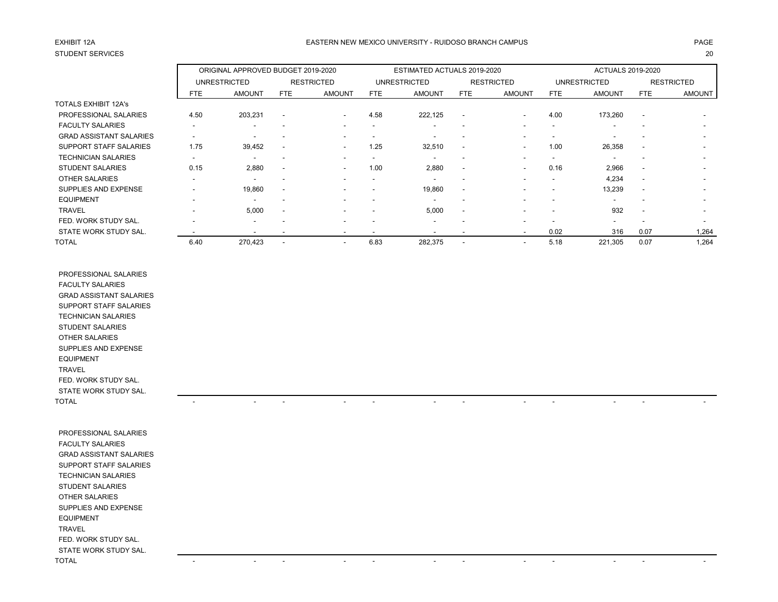# STUDENT SERVICES 20

### EXHIBIT 12A PAGE EASTERN NEW MEXICO UNIVERSITY - RUIDOSO BRANCH CAMPUS

|                                |                          | ORIGINAL APPROVED BUDGET 2019-2020 |                          |                          |                          | ESTIMATED ACTUALS 2019-2020 |                          |                          |                          | <b>ACTUALS 2019-2020</b> |                          |                          |
|--------------------------------|--------------------------|------------------------------------|--------------------------|--------------------------|--------------------------|-----------------------------|--------------------------|--------------------------|--------------------------|--------------------------|--------------------------|--------------------------|
|                                |                          | <b>UNRESTRICTED</b>                |                          | <b>RESTRICTED</b>        |                          | <b>UNRESTRICTED</b>         |                          | <b>RESTRICTED</b>        |                          | <b>UNRESTRICTED</b>      |                          | <b>RESTRICTED</b>        |
|                                | <b>FTE</b>               | <b>AMOUNT</b>                      | <b>FTE</b>               | <b>AMOUNT</b>            | <b>FTE</b>               | <b>AMOUNT</b>               | FTE                      | <b>AMOUNT</b>            | FTE                      | <b>AMOUNT</b>            | FTE                      | <b>AMOUNT</b>            |
| <b>TOTALS EXHIBIT 12A's</b>    |                          |                                    |                          |                          |                          |                             |                          |                          |                          |                          |                          |                          |
| PROFESSIONAL SALARIES          | 4.50                     | 203,231                            | $\overline{\phantom{a}}$ | $\sim$                   | 4.58                     | 222,125                     | $\overline{\phantom{a}}$ | $\overline{\phantom{a}}$ | 4.00                     | 173,260                  | $\overline{\phantom{a}}$ |                          |
| <b>FACULTY SALARIES</b>        |                          | $\overline{\phantom{a}}$           |                          |                          |                          |                             |                          |                          | $\overline{\phantom{a}}$ |                          |                          |                          |
| <b>GRAD ASSISTANT SALARIES</b> |                          | $\overline{\phantom{a}}$           | $\overline{\phantom{a}}$ |                          |                          |                             | $\overline{\phantom{a}}$ |                          | $\overline{\phantom{a}}$ |                          | $\overline{\phantom{a}}$ | $\overline{\phantom{a}}$ |
| <b>SUPPORT STAFF SALARIES</b>  | 1.75                     | 39,452                             | $\overline{\phantom{a}}$ | $\sim$                   | 1.25                     | 32,510                      | $\overline{\phantom{a}}$ |                          | 1.00                     | 26,358                   | $\overline{\phantom{a}}$ | $\sim$                   |
| <b>TECHNICIAN SALARIES</b>     |                          | $\overline{\phantom{a}}$           | $\overline{\phantom{a}}$ |                          | $\overline{\phantom{a}}$ |                             |                          |                          |                          |                          |                          | $\overline{\phantom{0}}$ |
| <b>STUDENT SALARIES</b>        | 0.15                     | 2,880                              | $\overline{\phantom{a}}$ | $\sim$                   | 1.00                     | 2,880                       |                          |                          | 0.16                     | 2,966                    | $\overline{\phantom{a}}$ | $\overline{\phantom{a}}$ |
| OTHER SALARIES                 |                          |                                    |                          |                          |                          |                             |                          |                          | ۰.                       | 4,234                    | $\blacksquare$           |                          |
| SUPPLIES AND EXPENSE           |                          | 19,860                             | $\overline{\phantom{a}}$ |                          |                          | 19,860                      | $\overline{\phantom{a}}$ |                          |                          | 13,239                   | $\overline{\phantom{a}}$ |                          |
| <b>EQUIPMENT</b>               | $\overline{\phantom{0}}$ | $\overline{\phantom{a}}$           | -                        |                          | $\overline{\phantom{a}}$ |                             | $\overline{\phantom{a}}$ |                          | $\overline{\phantom{a}}$ | $\overline{\phantom{a}}$ | $\overline{\phantom{a}}$ | $\overline{\phantom{a}}$ |
| <b>TRAVEL</b>                  |                          | 5,000                              | $\overline{\phantom{a}}$ |                          |                          | 5,000                       | $\blacksquare$           |                          | $\overline{\phantom{a}}$ | 932                      | $\overline{\phantom{a}}$ | $\overline{\phantom{a}}$ |
| FED. WORK STUDY SAL.           |                          | $\overline{\phantom{a}}$           |                          |                          |                          |                             |                          |                          |                          |                          |                          | $\sim$                   |
| STATE WORK STUDY SAL.          |                          | $\overline{\phantom{a}}$           |                          |                          |                          | $\overline{\phantom{a}}$    |                          | $\overline{\phantom{a}}$ | 0.02                     | 316                      | 0.07                     | 1,264                    |
| <b>TOTAL</b>                   | 6.40                     | 270,423                            | $\overline{\phantom{a}}$ | $\overline{\phantom{a}}$ | 6.83                     | 282,375                     |                          |                          | 5.18                     | 221,305                  | 0.07                     | 1,264                    |

 PROFESSIONAL SALARIES FACULTY SALARIES GRAD ASSISTANT SALARIES SUPPORT STAFF SALARIES TECHNICIAN SALARIES STUDENT SALARIES OTHER SALARIES SUPPLIES AND EXPENSE EQUIPMENT TRAVEL FED. WORK STUDY SAL. STATE WORK STUDY SAL. TOTAL - - - - - - - - - - - -

| PROFESSIONAL SALARIES          |                          |                          |                          |                          |                                                      |                          |                          |
|--------------------------------|--------------------------|--------------------------|--------------------------|--------------------------|------------------------------------------------------|--------------------------|--------------------------|
| <b>FACULTY SALARIES</b>        |                          |                          |                          |                          |                                                      |                          |                          |
| <b>GRAD ASSISTANT SALARIES</b> |                          |                          |                          |                          |                                                      |                          |                          |
| SUPPORT STAFF SALARIES         |                          |                          |                          |                          |                                                      |                          |                          |
| <b>TECHNICIAN SALARIES</b>     |                          |                          |                          |                          |                                                      |                          |                          |
| <b>STUDENT SALARIES</b>        |                          |                          |                          |                          |                                                      |                          |                          |
| OTHER SALARIES                 |                          |                          |                          |                          |                                                      |                          |                          |
| SUPPLIES AND EXPENSE           |                          |                          |                          |                          |                                                      |                          |                          |
| <b>EQUIPMENT</b>               |                          |                          |                          |                          |                                                      |                          |                          |
| TRAVEL                         |                          |                          |                          |                          |                                                      |                          |                          |
| FED. WORK STUDY SAL.           |                          |                          |                          |                          |                                                      |                          |                          |
| STATE WORK STUDY SAL.          |                          |                          |                          |                          |                                                      |                          |                          |
| TOTAL                          | $\overline{\phantom{a}}$ | $\overline{\phantom{0}}$ | $\overline{\phantom{a}}$ | $\overline{\phantom{0}}$ | $\overline{\phantom{a}}$<br>$\overline{\phantom{a}}$ | $\overline{\phantom{0}}$ | $\overline{\phantom{0}}$ |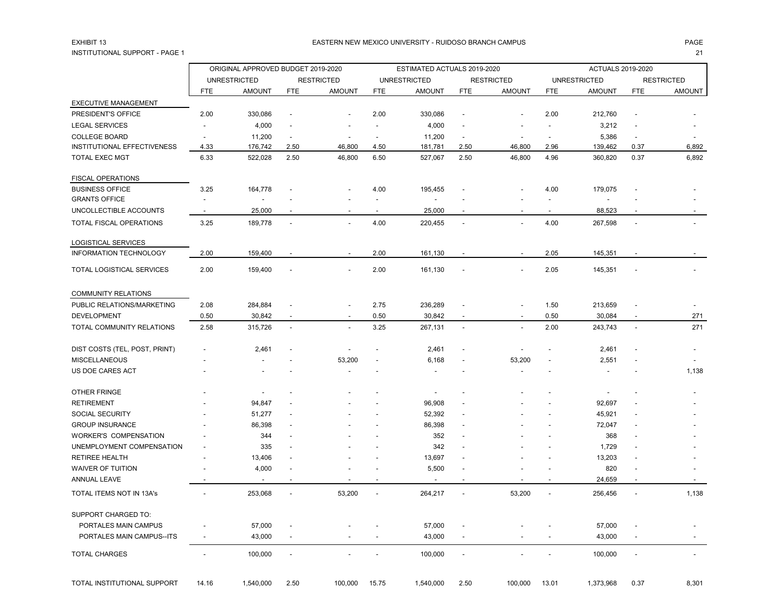## INSTITUTIONAL SUPPORT - PAGE 1 21

#### EXHIBIT 13 PAGE PAGE AND THE SERVICE OF THE SERVICE OF THE SERVICE OF THE SERVICE OF THE SERVICE OF THE SERVICE OF THE SERVICE OF THE SERVICE OF THE SERVICE OF THE SERVICE OF THE SERVICE OF THE SERVICE OF THE SERVICE OF TH

|                               | ORIGINAL APPROVED BUDGET 2019-2020 |                          |                          |                          |                | ESTIMATED ACTUALS 2019-2020 |                          |                          |                | <b>ACTUALS 2019-2020</b> |                          |                          |
|-------------------------------|------------------------------------|--------------------------|--------------------------|--------------------------|----------------|-----------------------------|--------------------------|--------------------------|----------------|--------------------------|--------------------------|--------------------------|
|                               |                                    | <b>UNRESTRICTED</b>      |                          | <b>RESTRICTED</b>        |                | <b>UNRESTRICTED</b>         |                          | <b>RESTRICTED</b>        |                | <b>UNRESTRICTED</b>      |                          | RESTRICTED               |
|                               | <b>FTE</b>                         | <b>AMOUNT</b>            | <b>FTE</b>               | <b>AMOUNT</b>            | FTE            | <b>AMOUNT</b>               | <b>FTE</b>               | <b>AMOUNT</b>            | <b>FTE</b>     | <b>AMOUNT</b>            | <b>FTE</b>               | <b>AMOUNT</b>            |
| <b>EXECUTIVE MANAGEMENT</b>   |                                    |                          |                          |                          |                |                             |                          |                          |                |                          |                          |                          |
| PRESIDENT'S OFFICE            | 2.00                               | 330,086                  |                          |                          | 2.00           | 330,086                     | $\overline{a}$           |                          | 2.00           | 212,760                  | $\overline{\phantom{a}}$ |                          |
| <b>LEGAL SERVICES</b>         |                                    | 4,000                    |                          |                          |                | 4,000                       |                          |                          |                | 3,212                    |                          |                          |
| <b>COLLEGE BOARD</b>          |                                    | 11,200                   |                          |                          |                | 11,200                      | $\overline{\phantom{a}}$ |                          |                | 5,386                    | $\overline{\phantom{a}}$ |                          |
| INSTITUTIONAL EFFECTIVENESS   | 4.33                               | 176,742                  | 2.50                     | 46,800                   | 4.50           | 181,781                     | 2.50                     | 46,800                   | 2.96           | 139,462                  | 0.37                     | 6,892                    |
| <b>TOTAL EXEC MGT</b>         | 6.33                               | 522,028                  | 2.50                     | 46,800                   | 6.50           | 527,067                     | 2.50                     | 46,800                   | 4.96           | 360,820                  | 0.37                     | 6,892                    |
| <b>FISCAL OPERATIONS</b>      |                                    |                          |                          |                          |                |                             |                          |                          |                |                          |                          |                          |
| <b>BUSINESS OFFICE</b>        | 3.25                               | 164,778                  |                          |                          | 4.00           | 195,455                     |                          |                          | 4.00           | 179,075                  |                          |                          |
| <b>GRANTS OFFICE</b>          |                                    | $\overline{\phantom{a}}$ |                          |                          |                | $\overline{\phantom{a}}$    |                          |                          |                | $\overline{\phantom{a}}$ |                          |                          |
| UNCOLLECTIBLE ACCOUNTS        |                                    | 25,000                   |                          |                          |                | 25,000                      |                          |                          |                | 88,523                   |                          |                          |
| TOTAL FISCAL OPERATIONS       | 3.25                               | 189,778                  | $\overline{\phantom{a}}$ |                          | 4.00           | 220,455                     | $\overline{\phantom{a}}$ |                          | 4.00           | 267,598                  | $\overline{\phantom{a}}$ |                          |
| <b>LOGISTICAL SERVICES</b>    |                                    |                          |                          |                          |                |                             |                          |                          |                |                          |                          |                          |
| <b>INFORMATION TECHNOLOGY</b> | 2.00                               | 159,400                  |                          | $\overline{\phantom{a}}$ | 2.00           | 161,130                     |                          |                          | 2.05           | 145,351                  |                          |                          |
| TOTAL LOGISTICAL SERVICES     | 2.00                               | 159,400                  |                          |                          | 2.00           | 161,130                     |                          |                          | 2.05           | 145,351                  |                          |                          |
| <b>COMMUNITY RELATIONS</b>    |                                    |                          |                          |                          |                |                             |                          |                          |                |                          |                          |                          |
| PUBLIC RELATIONS/MARKETING    | 2.08                               | 284,884                  |                          |                          | 2.75           | 236,289                     |                          |                          | 1.50           | 213,659                  |                          |                          |
| <b>DEVELOPMENT</b>            | 0.50                               | 30,842                   | $\overline{\phantom{a}}$ | $\overline{\phantom{a}}$ | 0.50           | 30,842                      | $\overline{\phantom{a}}$ | $\overline{\phantom{a}}$ | 0.50           | 30,084                   | $\overline{\phantom{0}}$ | 271                      |
| TOTAL COMMUNITY RELATIONS     | 2.58                               | 315,726                  | $\overline{\phantom{a}}$ | $\overline{\phantom{a}}$ | 3.25           | 267,131                     | $\overline{a}$           |                          | 2.00           | 243,743                  | ÷,                       | 271                      |
| DIST COSTS (TEL, POST, PRINT) |                                    | 2,461                    |                          |                          |                | 2,461                       |                          |                          |                | 2,461                    |                          |                          |
| <b>MISCELLANEOUS</b>          |                                    |                          |                          | 53,200                   |                | 6,168                       |                          | 53,200                   |                | 2,551                    |                          |                          |
| US DOE CARES ACT              |                                    |                          |                          |                          |                |                             |                          |                          |                |                          |                          | 1,138                    |
| OTHER FRINGE                  |                                    |                          |                          |                          |                |                             |                          |                          |                |                          |                          |                          |
| <b>RETIREMENT</b>             |                                    | 94,847                   |                          |                          |                | 96,908                      |                          |                          |                | 92,697                   |                          |                          |
| <b>SOCIAL SECURITY</b>        |                                    | 51,277                   |                          |                          |                | 52,392                      |                          |                          |                | 45,921                   |                          |                          |
| <b>GROUP INSURANCE</b>        |                                    | 86,398                   |                          |                          |                | 86,398                      |                          |                          |                | 72,047                   |                          |                          |
| WORKER'S COMPENSATION         |                                    | 344                      |                          |                          |                | 352                         |                          |                          |                | 368                      |                          |                          |
| UNEMPLOYMENT COMPENSATION     |                                    | 335                      |                          |                          |                | 342                         | $\overline{\phantom{a}}$ |                          |                | 1,729                    |                          |                          |
| <b>RETIREE HEALTH</b>         |                                    | 13,406                   |                          |                          |                | 13,697                      | $\overline{\phantom{a}}$ |                          |                | 13,203                   |                          |                          |
| <b>WAIVER OF TUITION</b>      |                                    | 4,000                    |                          |                          |                | 5,500                       | $\overline{a}$           |                          |                | 820                      |                          |                          |
| ANNUAL LEAVE                  |                                    |                          |                          |                          |                |                             |                          |                          |                | 24,659                   |                          |                          |
| TOTAL ITEMS NOT IN 13A's      |                                    | 253,068                  | $\overline{\phantom{a}}$ | 53,200                   | $\blacksquare$ | 264,217                     | $\overline{\phantom{a}}$ | 53,200                   | $\blacksquare$ | 256,456                  | $\overline{\phantom{a}}$ | 1,138                    |
| SUPPORT CHARGED TO:           |                                    |                          |                          |                          |                |                             |                          |                          |                |                          |                          |                          |
| PORTALES MAIN CAMPUS          |                                    | 57,000                   |                          |                          |                | 57,000                      |                          |                          |                | 57,000                   |                          |                          |
| PORTALES MAIN CAMPUS--ITS     |                                    | 43,000                   |                          |                          |                | 43,000                      |                          |                          |                | 43,000                   |                          |                          |
| <b>TOTAL CHARGES</b>          | $\overline{\phantom{a}}$           | 100,000                  | ÷,                       |                          |                | 100,000                     | $\overline{a}$           |                          |                | 100,000                  | $\overline{\phantom{a}}$ | $\overline{\phantom{a}}$ |
|                               |                                    |                          |                          |                          |                |                             |                          |                          |                |                          |                          |                          |

TOTAL INSTITUTIONAL SUPPORT 14.16 1,540,000 2.50 100,000 15.75 1,540,000 2.50 100,000 13.01 1,373,968 0.37 8,301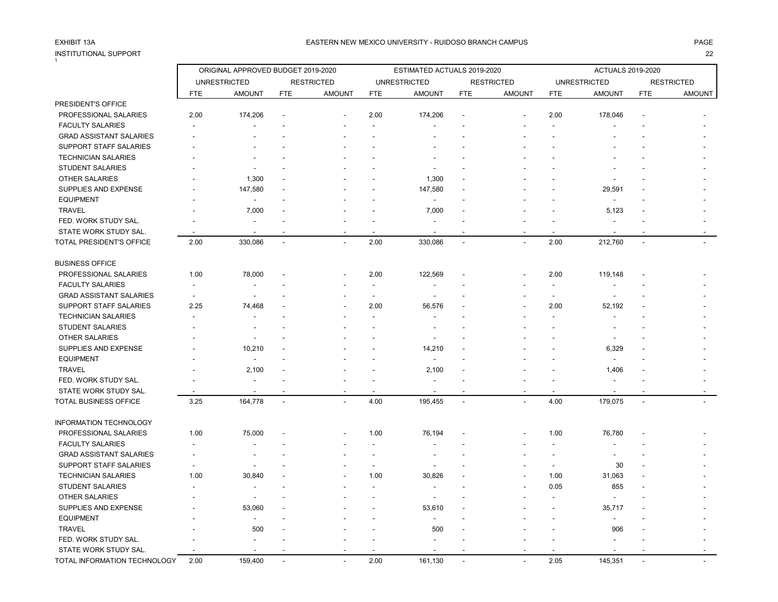# INSTITUTIONAL SUPPORT<br>1

### EASTERN NEW MEXICO UNIVERSITY - RUIDOSO BRANCH CAMPUS AND THE REASTERN AGE AND THE REASTERN NEW MEXICO UNIVERSITY - RUIDOSO BRANCH CAMPUS AND THE REASTERN NEW MEXICO UNIVERSITY - RUIDOSO BRANCH CAMPUS

|                                | ORIGINAL APPROVED BUDGET 2019-2020 |                          |                |                          | ESTIMATED ACTUALS 2019-2020 |                     |                |                   |            | <b>ACTUALS 2019-2020</b> |                |                   |  |
|--------------------------------|------------------------------------|--------------------------|----------------|--------------------------|-----------------------------|---------------------|----------------|-------------------|------------|--------------------------|----------------|-------------------|--|
|                                |                                    | <b>UNRESTRICTED</b>      |                | <b>RESTRICTED</b>        |                             | <b>UNRESTRICTED</b> |                | <b>RESTRICTED</b> |            | <b>UNRESTRICTED</b>      |                | <b>RESTRICTED</b> |  |
|                                | <b>FTE</b>                         | <b>AMOUNT</b>            | <b>FTE</b>     | <b>AMOUNT</b>            | <b>FTE</b>                  | <b>AMOUNT</b>       | <b>FTE</b>     | <b>AMOUNT</b>     | <b>FTE</b> | <b>AMOUNT</b>            | <b>FTE</b>     | <b>AMOUNT</b>     |  |
| PRESIDENT'S OFFICE             |                                    |                          |                |                          |                             |                     |                |                   |            |                          |                |                   |  |
| PROFESSIONAL SALARIES          | 2.00                               | 174,206                  |                |                          | 2.00                        | 174,206             |                |                   | 2.00       | 178,046                  |                |                   |  |
| <b>FACULTY SALARIES</b>        |                                    |                          |                |                          |                             |                     |                |                   |            |                          |                |                   |  |
| <b>GRAD ASSISTANT SALARIES</b> |                                    |                          |                |                          |                             |                     |                |                   |            |                          |                |                   |  |
| SUPPORT STAFF SALARIES         |                                    |                          |                |                          |                             |                     |                |                   |            |                          |                |                   |  |
| <b>TECHNICIAN SALARIES</b>     |                                    |                          |                |                          |                             |                     |                |                   |            |                          |                |                   |  |
| <b>STUDENT SALARIES</b>        |                                    |                          |                |                          |                             |                     |                |                   |            |                          |                |                   |  |
| <b>OTHER SALARIES</b>          |                                    | 1,300                    |                |                          |                             | 1,300               |                |                   |            |                          |                |                   |  |
| SUPPLIES AND EXPENSE           |                                    | 147,580                  |                |                          |                             | 147,580             |                |                   |            | 29,591                   |                |                   |  |
| <b>EQUIPMENT</b>               |                                    |                          |                |                          |                             |                     |                |                   |            | $\overline{\phantom{a}}$ |                |                   |  |
| <b>TRAVEL</b>                  |                                    | 7,000                    |                |                          |                             | 7,000               |                |                   |            | 5,123                    |                |                   |  |
| FED. WORK STUDY SAL.           |                                    |                          |                |                          |                             |                     |                |                   |            |                          |                |                   |  |
| STATE WORK STUDY SAL.          |                                    | $\blacksquare$           |                |                          |                             |                     |                |                   |            | $\overline{a}$           |                |                   |  |
| TOTAL PRESIDENT'S OFFICE       | 2.00                               | 330,086                  | $\blacksquare$ | $\overline{a}$           | 2.00                        | 330,086             | $\blacksquare$ |                   | 2.00       | 212,760                  | $\overline{a}$ |                   |  |
| <b>BUSINESS OFFICE</b>         |                                    |                          |                |                          |                             |                     |                |                   |            |                          |                |                   |  |
| PROFESSIONAL SALARIES          | 1.00                               | 78,000                   |                |                          | 2.00                        | 122,569             |                |                   | 2.00       | 119,148                  |                |                   |  |
| <b>FACULTY SALARIES</b>        |                                    |                          |                |                          |                             |                     |                |                   |            |                          |                |                   |  |
| <b>GRAD ASSISTANT SALARIES</b> |                                    |                          |                |                          |                             |                     |                |                   |            |                          |                |                   |  |
| <b>SUPPORT STAFF SALARIES</b>  | 2.25                               | 74,468                   |                |                          | 2.00                        | 56,576              |                |                   | 2.00       | 52,192                   |                |                   |  |
| <b>TECHNICIAN SALARIES</b>     |                                    |                          |                |                          |                             |                     |                |                   |            |                          |                |                   |  |
| <b>STUDENT SALARIES</b>        |                                    | $\overline{\phantom{a}}$ |                |                          |                             |                     |                |                   |            |                          |                |                   |  |
| <b>OTHER SALARIES</b>          |                                    |                          |                |                          |                             |                     |                |                   |            |                          |                |                   |  |
| SUPPLIES AND EXPENSE           |                                    | 10,210                   |                |                          |                             | 14,210              |                |                   |            | 6,329                    |                |                   |  |
| <b>EQUIPMENT</b>               |                                    |                          |                |                          |                             |                     |                |                   |            |                          |                |                   |  |
| <b>TRAVEL</b>                  |                                    | 2,100                    |                |                          |                             | 2,100               |                |                   |            | 1,406                    |                |                   |  |
| FED. WORK STUDY SAL.           |                                    |                          |                |                          |                             |                     |                |                   |            |                          |                |                   |  |
| STATE WORK STUDY SAL.          |                                    |                          |                |                          |                             |                     |                |                   |            |                          |                |                   |  |
| TOTAL BUSINESS OFFICE          | 3.25                               | 164,778                  | $\blacksquare$ |                          | 4.00                        | 195,455             | $\blacksquare$ |                   | 4.00       | 179,075                  | $\sim$         |                   |  |
| <b>INFORMATION TECHNOLOGY</b>  |                                    |                          |                |                          |                             |                     |                |                   |            |                          |                |                   |  |
| PROFESSIONAL SALARIES          | 1.00                               | 75,000                   |                |                          | 1.00                        | 76,194              |                |                   | 1.00       | 76,780                   |                |                   |  |
| <b>FACULTY SALARIES</b>        |                                    |                          |                |                          |                             |                     |                |                   |            |                          |                |                   |  |
| <b>GRAD ASSISTANT SALARIES</b> |                                    |                          |                |                          |                             |                     |                |                   |            |                          |                |                   |  |
| SUPPORT STAFF SALARIES         |                                    |                          |                |                          | $\overline{a}$              |                     |                |                   | $\sim$     | 30                       |                |                   |  |
| <b>TECHNICIAN SALARIES</b>     | 1.00                               | 30,840                   |                |                          | 1.00                        | 30,826              |                |                   | 1.00       | 31,063                   |                |                   |  |
| <b>STUDENT SALARIES</b>        |                                    |                          |                |                          |                             |                     |                |                   | 0.05       | 855                      |                |                   |  |
| OTHER SALARIES                 |                                    | $\overline{\phantom{a}}$ |                |                          |                             |                     |                |                   |            | $\overline{a}$           |                |                   |  |
| SUPPLIES AND EXPENSE           |                                    | 53,060                   |                |                          |                             | 53,610              |                |                   |            | 35,717                   |                |                   |  |
| <b>EQUIPMENT</b>               |                                    |                          |                |                          |                             |                     |                |                   |            | $\overline{\phantom{a}}$ |                |                   |  |
| <b>TRAVEL</b>                  |                                    | 500                      |                |                          |                             | 500                 |                |                   |            | 906                      |                |                   |  |
| FED. WORK STUDY SAL.           |                                    |                          |                |                          |                             |                     |                |                   |            |                          |                |                   |  |
| STATE WORK STUDY SAL.          |                                    |                          |                |                          |                             |                     |                |                   |            |                          |                |                   |  |
| TOTAL INFORMATION TECHNOLOGY   | 2.00                               | 159,400                  | $\overline{a}$ | $\overline{\phantom{a}}$ | 2.00                        | 161,130             |                |                   | 2.05       | 145,351                  |                |                   |  |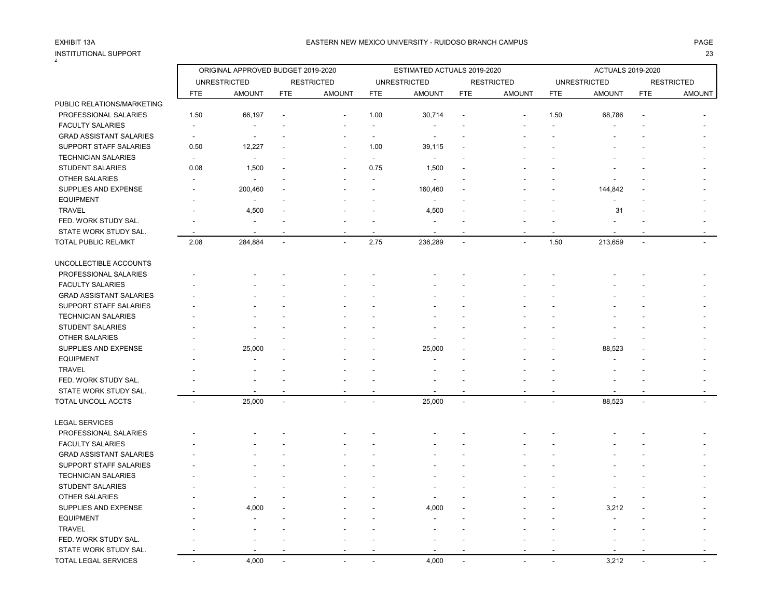#### INSTITUTIONAL SUPPORT 23 2

|                                | ORIGINAL APPROVED BUDGET 2019-2020 |                     |            |                   | ESTIMATED ACTUALS 2019-2020 |                     |                          |                   | <b>ACTUALS 2019-2020</b> |                     |              |                   |
|--------------------------------|------------------------------------|---------------------|------------|-------------------|-----------------------------|---------------------|--------------------------|-------------------|--------------------------|---------------------|--------------|-------------------|
|                                |                                    | <b>UNRESTRICTED</b> |            | <b>RESTRICTED</b> |                             | <b>UNRESTRICTED</b> |                          | <b>RESTRICTED</b> |                          | <b>UNRESTRICTED</b> |              | <b>RESTRICTED</b> |
|                                | <b>FTE</b>                         | <b>AMOUNT</b>       | <b>FTE</b> | <b>AMOUNT</b>     | <b>FTE</b>                  | <b>AMOUNT</b>       | <b>FTE</b>               | <b>AMOUNT</b>     | <b>FTE</b>               | <b>AMOUNT</b>       | <b>FTE</b>   | <b>AMOUNT</b>     |
| PUBLIC RELATIONS/MARKETING     |                                    |                     |            |                   |                             |                     |                          |                   |                          |                     |              |                   |
| PROFESSIONAL SALARIES          | 1.50                               | 66,197              |            |                   | 1.00                        | 30,714              |                          |                   | 1.50                     | 68,786              |              |                   |
| <b>FACULTY SALARIES</b>        |                                    | $\blacksquare$      |            |                   | $\overline{a}$              |                     |                          |                   |                          |                     |              |                   |
| <b>GRAD ASSISTANT SALARIES</b> | $\overline{\phantom{a}}$           |                     |            |                   |                             |                     |                          |                   |                          |                     |              |                   |
| SUPPORT STAFF SALARIES         | 0.50                               | 12,227              |            |                   | 1.00                        | 39,115              |                          |                   |                          |                     |              |                   |
| <b>TECHNICIAN SALARIES</b>     | $\overline{\phantom{a}}$           | $\blacksquare$      |            |                   | $\overline{\phantom{a}}$    | $\overline{a}$      |                          |                   |                          |                     |              |                   |
| <b>STUDENT SALARIES</b>        | 0.08                               | 1,500               |            |                   | 0.75                        | 1,500               |                          |                   |                          |                     |              |                   |
| OTHER SALARIES                 |                                    |                     |            |                   |                             |                     |                          |                   |                          |                     |              |                   |
| SUPPLIES AND EXPENSE           |                                    | 200,460             |            |                   |                             | 160,460             |                          |                   |                          | 144,842             |              |                   |
| <b>EQUIPMENT</b>               |                                    | $\blacksquare$      |            |                   |                             |                     |                          |                   |                          |                     |              |                   |
| <b>TRAVEL</b>                  |                                    | 4,500               |            |                   |                             | 4,500               |                          |                   |                          | 31                  |              |                   |
| FED. WORK STUDY SAL.           |                                    |                     |            |                   |                             |                     |                          |                   |                          |                     |              |                   |
| STATE WORK STUDY SAL.          |                                    |                     |            |                   |                             |                     |                          |                   |                          |                     |              |                   |
| TOTAL PUBLIC REL/MKT           | 2.08                               | 284,884             |            |                   | 2.75                        | 236,289             | $\ddot{\phantom{a}}$     |                   | 1.50                     | 213,659             |              |                   |
| UNCOLLECTIBLE ACCOUNTS         |                                    |                     |            |                   |                             |                     |                          |                   |                          |                     |              |                   |
| PROFESSIONAL SALARIES          |                                    |                     |            |                   |                             |                     |                          |                   |                          |                     |              |                   |
| <b>FACULTY SALARIES</b>        |                                    |                     |            |                   |                             |                     |                          |                   |                          |                     |              |                   |
| <b>GRAD ASSISTANT SALARIES</b> |                                    |                     |            |                   |                             |                     |                          |                   |                          |                     |              |                   |
| SUPPORT STAFF SALARIES         |                                    |                     |            |                   |                             |                     |                          |                   |                          |                     |              |                   |
| <b>TECHNICIAN SALARIES</b>     |                                    |                     |            |                   |                             |                     |                          |                   |                          |                     |              |                   |
| STUDENT SALARIES               |                                    |                     |            |                   |                             |                     |                          |                   |                          |                     |              |                   |
| <b>OTHER SALARIES</b>          |                                    |                     |            |                   |                             |                     |                          |                   |                          |                     |              |                   |
| SUPPLIES AND EXPENSE           |                                    | 25,000              |            |                   |                             | 25,000              |                          |                   |                          | 88,523              |              |                   |
| <b>EQUIPMENT</b>               |                                    |                     |            |                   |                             |                     |                          |                   |                          |                     |              |                   |
| <b>TRAVEL</b>                  |                                    |                     |            |                   |                             |                     |                          |                   |                          |                     |              |                   |
| FED. WORK STUDY SAL.           |                                    |                     |            |                   |                             |                     |                          |                   |                          |                     |              |                   |
| STATE WORK STUDY SAL.          |                                    |                     |            |                   |                             |                     |                          |                   |                          |                     |              |                   |
| TOTAL UNCOLL ACCTS             | $\blacksquare$                     | 25,000              | $\omega$   | $\overline{a}$    | $\sim$                      | 25,000              | $\sim$                   | $\mathbf{r}$      | $\overline{\phantom{a}}$ | 88,523              | $\mathbf{r}$ |                   |
| <b>LEGAL SERVICES</b>          |                                    |                     |            |                   |                             |                     |                          |                   |                          |                     |              |                   |
| PROFESSIONAL SALARIES          |                                    |                     |            |                   |                             |                     |                          |                   |                          |                     |              |                   |
| <b>FACULTY SALARIES</b>        |                                    |                     |            |                   |                             |                     |                          |                   |                          |                     |              |                   |
| <b>GRAD ASSISTANT SALARIES</b> |                                    |                     |            |                   |                             |                     |                          |                   |                          |                     |              |                   |
| SUPPORT STAFF SALARIES         |                                    |                     |            |                   |                             |                     |                          |                   |                          |                     |              |                   |
|                                |                                    |                     |            |                   |                             |                     |                          |                   |                          |                     |              |                   |
| <b>TECHNICIAN SALARIES</b>     |                                    |                     |            |                   |                             |                     |                          |                   |                          |                     |              |                   |
| <b>STUDENT SALARIES</b>        |                                    |                     |            |                   |                             |                     |                          |                   |                          |                     |              |                   |
| <b>OTHER SALARIES</b>          |                                    |                     |            |                   |                             |                     |                          |                   |                          |                     |              |                   |
| SUPPLIES AND EXPENSE           |                                    | 4,000               |            |                   |                             | 4,000               |                          |                   |                          | 3,212               |              |                   |
| <b>EQUIPMENT</b>               |                                    |                     |            |                   |                             |                     |                          |                   |                          |                     |              |                   |
| <b>TRAVEL</b>                  |                                    |                     |            |                   |                             |                     |                          |                   |                          |                     |              |                   |
| FED. WORK STUDY SAL.           |                                    |                     |            |                   |                             |                     |                          |                   |                          |                     |              |                   |
| STATE WORK STUDY SAL           |                                    |                     |            |                   |                             |                     |                          |                   |                          |                     |              |                   |
| TOTAL LEGAL SERVICES           | $\overline{\phantom{a}}$           | 4,000               |            | $\overline{a}$    | $\sim$                      | 4,000               | $\overline{\phantom{a}}$ | $\sim$            | $\overline{\phantom{a}}$ | 3.212               |              |                   |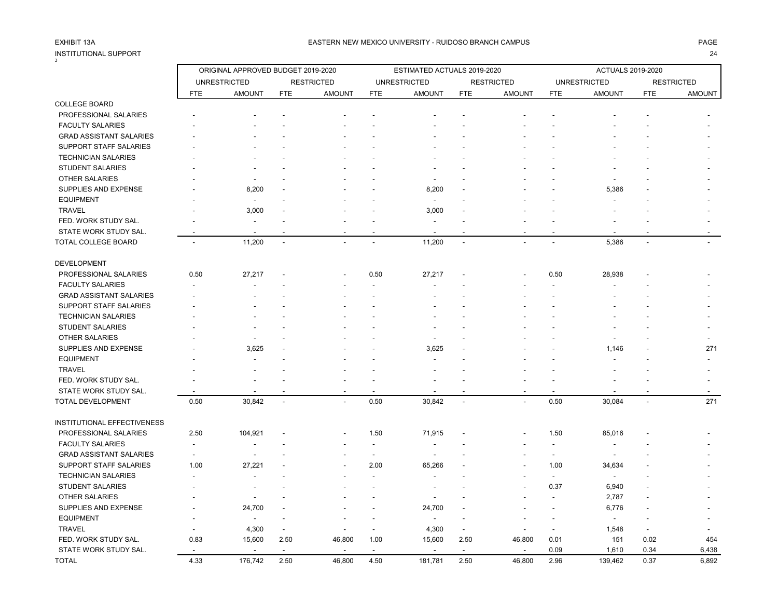| INSTITUTIONAL SUPPORT          |                          |                                    |            |                   |                |                             |                |                   |                          |                          |                          | 24                |
|--------------------------------|--------------------------|------------------------------------|------------|-------------------|----------------|-----------------------------|----------------|-------------------|--------------------------|--------------------------|--------------------------|-------------------|
|                                |                          | ORIGINAL APPROVED BUDGET 2019-2020 |            |                   |                | ESTIMATED ACTUALS 2019-2020 |                |                   |                          | <b>ACTUALS 2019-2020</b> |                          |                   |
|                                |                          | <b>UNRESTRICTED</b>                |            | <b>RESTRICTED</b> |                | <b>UNRESTRICTED</b>         |                | <b>RESTRICTED</b> |                          | <b>UNRESTRICTED</b>      |                          | <b>RESTRICTED</b> |
|                                | FTE                      | <b>AMOUNT</b>                      | <b>FTE</b> | <b>AMOUNT</b>     | <b>FTE</b>     | <b>AMOUNT</b>               | <b>FTE</b>     | <b>AMOUNT</b>     | <b>FTE</b>               | <b>AMOUNT</b>            | <b>FTE</b>               | <b>AMOUNT</b>     |
| <b>COLLEGE BOARD</b>           |                          |                                    |            |                   |                |                             |                |                   |                          |                          |                          |                   |
| PROFESSIONAL SALARIES          |                          |                                    |            |                   |                |                             |                |                   |                          |                          |                          |                   |
| <b>FACULTY SALARIES</b>        |                          |                                    |            |                   |                |                             |                |                   |                          |                          |                          |                   |
| <b>GRAD ASSISTANT SALARIES</b> |                          |                                    |            |                   |                |                             |                |                   |                          |                          |                          |                   |
| SUPPORT STAFF SALARIES         |                          |                                    |            |                   |                |                             |                |                   |                          |                          |                          |                   |
| <b>TECHNICIAN SALARIES</b>     |                          |                                    |            |                   |                |                             |                |                   |                          |                          |                          |                   |
| <b>STUDENT SALARIES</b>        |                          |                                    |            |                   |                |                             |                |                   |                          |                          |                          |                   |
| OTHER SALARIES                 |                          |                                    |            |                   |                |                             |                |                   |                          |                          |                          |                   |
| SUPPLIES AND EXPENSE           |                          | 8,200                              |            |                   |                | 8,200                       |                |                   |                          | 5,386                    |                          |                   |
| <b>EQUIPMENT</b>               |                          |                                    |            |                   |                |                             |                |                   |                          |                          |                          |                   |
| <b>TRAVEL</b>                  |                          | 3,000                              |            |                   |                | 3,000                       |                |                   |                          |                          |                          |                   |
| FED. WORK STUDY SAL.           |                          |                                    |            |                   |                |                             |                |                   |                          |                          |                          |                   |
| STATE WORK STUDY SAL.          |                          |                                    |            |                   |                |                             |                |                   |                          |                          |                          |                   |
| TOTAL COLLEGE BOARD            | $\overline{a}$           | 11,200                             | $\sim$     | $\overline{a}$    | $\overline{a}$ | 11,200                      | $\sim$         |                   | $\overline{\phantom{a}}$ | 5,386                    | $\sim$                   |                   |
| <b>DEVELOPMENT</b>             |                          |                                    |            |                   |                |                             |                |                   |                          |                          |                          |                   |
| PROFESSIONAL SALARIES          | 0.50                     | 27,217                             |            |                   | 0.50           | 27,217                      |                |                   | 0.50                     | 28,938                   |                          |                   |
| <b>FACULTY SALARIES</b>        |                          |                                    |            |                   |                |                             |                |                   |                          |                          |                          |                   |
| <b>GRAD ASSISTANT SALARIES</b> |                          |                                    |            |                   |                |                             |                |                   |                          |                          |                          |                   |
| SUPPORT STAFF SALARIES         |                          |                                    |            |                   |                |                             |                |                   |                          |                          |                          |                   |
| <b>TECHNICIAN SALARIES</b>     |                          |                                    |            |                   |                |                             |                |                   |                          |                          |                          |                   |
| <b>STUDENT SALARIES</b>        |                          |                                    |            |                   |                |                             |                |                   |                          |                          |                          |                   |
| OTHER SALARIES                 |                          |                                    |            |                   |                |                             |                |                   |                          |                          |                          |                   |
| SUPPLIES AND EXPENSE           |                          | 3,625                              |            |                   |                | 3,625                       |                |                   |                          | 1,146                    |                          | 271               |
| <b>EQUIPMENT</b>               |                          |                                    |            |                   |                |                             |                |                   |                          |                          |                          |                   |
| <b>TRAVEL</b>                  |                          |                                    |            |                   |                |                             |                |                   |                          |                          |                          |                   |
| FED. WORK STUDY SAL.           |                          |                                    |            |                   |                |                             |                |                   |                          |                          |                          |                   |
| STATE WORK STUDY SAL.          |                          |                                    |            |                   | $\overline{a}$ |                             |                |                   |                          |                          |                          |                   |
| TOTAL DEVELOPMENT              | 0.50                     | 30,842                             |            |                   | 0.50           | 30,842                      | $\overline{a}$ |                   | 0.50                     | 30,084                   | $\overline{a}$           | 271               |
| INSTITUTIONAL EFFECTIVENESS    |                          |                                    |            |                   |                |                             |                |                   |                          |                          |                          |                   |
| PROFESSIONAL SALARIES          | 2.50                     | 104,921                            |            |                   | 1.50           | 71,915                      |                |                   | 1.50                     | 85,016                   |                          |                   |
| <b>FACULTY SALARIES</b>        | $\overline{\phantom{a}}$ |                                    |            |                   | $\sim$         |                             |                |                   | $\overline{\phantom{a}}$ |                          |                          |                   |
| <b>GRAD ASSISTANT SALARIES</b> | $\overline{a}$           | $\overline{a}$                     |            |                   | $\overline{a}$ | $\overline{a}$              |                |                   | $\overline{\phantom{a}}$ |                          |                          |                   |
| SUPPORT STAFF SALARIES         | 1.00                     | 27,221                             |            |                   | 2.00           | 65,266                      |                |                   | 1.00                     | 34,634                   |                          |                   |
| <b>TECHNICIAN SALARIES</b>     |                          |                                    |            |                   |                |                             |                |                   |                          | $\overline{\phantom{a}}$ |                          |                   |
|                                |                          |                                    |            |                   |                |                             |                |                   | $\overline{\phantom{a}}$ |                          |                          |                   |
| <b>STUDENT SALARIES</b>        |                          | $\overline{\phantom{a}}$           |            |                   |                | $\overline{a}$              |                |                   | 0.37                     | 6,940                    |                          |                   |
| <b>OTHER SALARIES</b>          |                          |                                    |            |                   |                |                             |                |                   |                          | 2,787                    |                          |                   |
| SUPPLIES AND EXPENSE           |                          | 24,700                             |            |                   |                | 24,700                      |                |                   |                          | 6,776                    |                          |                   |
| <b>EQUIPMENT</b>               |                          |                                    |            |                   |                |                             |                |                   |                          | $\blacksquare$           |                          |                   |
| <b>TRAVEL</b>                  |                          | 4,300                              |            |                   |                | 4,300                       |                |                   |                          | 1,548                    | $\overline{\phantom{a}}$ |                   |
| FED. WORK STUDY SAL.           | 0.83                     | 15,600                             | 2.50       | 46,800            | 1.00           | 15,600                      | 2.50           | 46,800            | 0.01                     | 151                      | 0.02                     | 454               |
| STATE WORK STUDY SAL.          |                          |                                    |            |                   | $\overline{a}$ | $\overline{a}$              |                |                   | 0.09                     | 1,610                    | 0.34                     | 6,438             |
| TOTAL                          | 4.33                     | 176,742                            | 2.50       | 46,800            | 4.50           | 181,781                     | 2.50           | 46,800            | 2.96                     | 139,462                  | 0.37                     | 6,892             |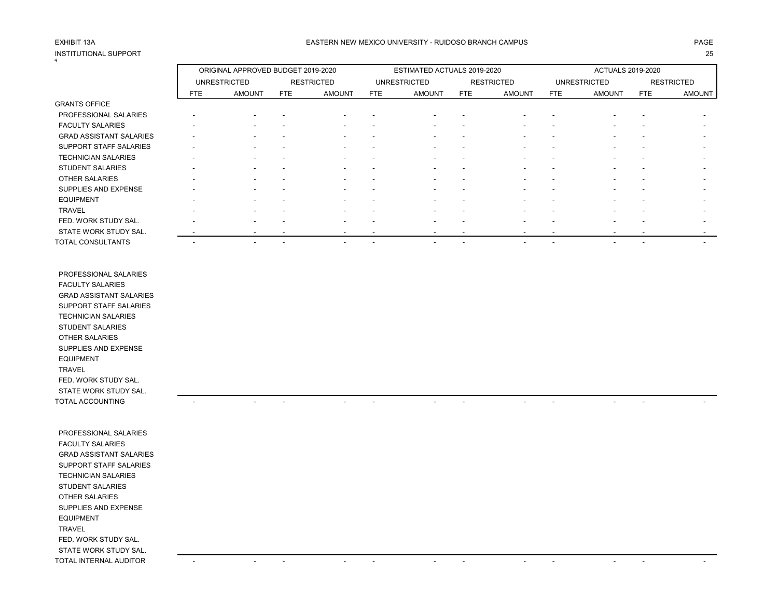## INSTITUTIONAL SUPPORT 25 4

|                                |     | ORIGINAL APPROVED BUDGET 2019-2020 |                          |                          |                          | ESTIMATED ACTUALS 2019-2020 |                          |                          |                          | <b>ACTUALS 2019-2020</b> |                          |                          |
|--------------------------------|-----|------------------------------------|--------------------------|--------------------------|--------------------------|-----------------------------|--------------------------|--------------------------|--------------------------|--------------------------|--------------------------|--------------------------|
|                                |     | <b>UNRESTRICTED</b>                |                          | <b>RESTRICTED</b>        |                          | <b>UNRESTRICTED</b>         |                          | <b>RESTRICTED</b>        |                          | <b>UNRESTRICTED</b>      |                          | <b>RESTRICTED</b>        |
|                                | FTE | <b>AMOUNT</b>                      | FTE                      | <b>AMOUNT</b>            | FTE                      | <b>AMOUNT</b>               | FTE                      | <b>AMOUNT</b>            | FTE                      | <b>AMOUNT</b>            | FTE                      | <b>AMOUNT</b>            |
| <b>GRANTS OFFICE</b>           |     |                                    |                          |                          |                          |                             |                          |                          |                          |                          |                          |                          |
| PROFESSIONAL SALARIES          |     |                                    |                          |                          |                          |                             |                          |                          |                          |                          |                          |                          |
| <b>FACULTY SALARIES</b>        |     |                                    |                          |                          |                          | $\overline{\phantom{a}}$    |                          | $\overline{\phantom{a}}$ | $\overline{\phantom{a}}$ | $\overline{\phantom{a}}$ |                          |                          |
| <b>GRAD ASSISTANT SALARIES</b> |     | $\overline{\phantom{a}}$           | $\overline{\phantom{a}}$ | $\overline{\phantom{a}}$ | $\overline{\phantom{a}}$ | $\sim$                      | $\overline{\phantom{a}}$ | $\overline{\phantom{a}}$ | $\overline{\phantom{a}}$ | $\overline{\phantom{a}}$ | -                        |                          |
| <b>SUPPORT STAFF SALARIES</b>  |     |                                    |                          | $\overline{\phantom{a}}$ | $\overline{\phantom{a}}$ | $\sim$                      | $\overline{\phantom{0}}$ | $\overline{\phantom{a}}$ |                          | $\overline{\phantom{a}}$ |                          | $\sim$                   |
| <b>TECHNICIAN SALARIES</b>     |     |                                    |                          |                          |                          | $\overline{\phantom{a}}$    |                          | $\overline{\phantom{a}}$ |                          | $\overline{\phantom{a}}$ |                          | $\sim$                   |
| <b>STUDENT SALARIES</b>        |     | $\overline{\phantom{a}}$           | $\overline{\phantom{a}}$ | $\overline{\phantom{a}}$ | $\overline{\phantom{a}}$ | $\overline{\phantom{a}}$    |                          | $\overline{\phantom{a}}$ |                          | $\overline{\phantom{a}}$ |                          | $\sim$                   |
| <b>OTHER SALARIES</b>          |     |                                    |                          |                          |                          | $\overline{\phantom{a}}$    |                          | $\blacksquare$           |                          |                          |                          | $\sim$                   |
| SUPPLIES AND EXPENSE           |     |                                    | $\overline{\phantom{a}}$ |                          | $\overline{\phantom{a}}$ | $\overline{\phantom{a}}$    | $\overline{\phantom{a}}$ | $\overline{\phantom{a}}$ | $\overline{\phantom{a}}$ |                          | $\overline{\phantom{a}}$ |                          |
| <b>EQUIPMENT</b>               |     | $\overline{\phantom{a}}$           | $\overline{\phantom{a}}$ | -                        | $\overline{\phantom{a}}$ | $\overline{\phantom{a}}$    |                          | $\overline{\phantom{a}}$ | $\overline{\phantom{a}}$ | $\overline{\phantom{a}}$ | -                        |                          |
| <b>TRAVEL</b>                  |     |                                    |                          |                          |                          | $\overline{\phantom{a}}$    |                          | $\overline{\phantom{0}}$ |                          | $\overline{\phantom{a}}$ |                          | $\overline{\phantom{a}}$ |
| FED. WORK STUDY SAL.           |     | -                                  |                          |                          |                          | $\overline{\phantom{a}}$    |                          | $\overline{\phantom{a}}$ |                          | $\overline{\phantom{a}}$ |                          | $\sim$                   |
| STATE WORK STUDY SAL.          |     | $\overline{\phantom{a}}$           | $\overline{\phantom{a}}$ |                          | $\overline{\phantom{a}}$ | $\overline{\phantom{a}}$    |                          | $\overline{\phantom{a}}$ |                          | $\overline{\phantom{a}}$ | $\overline{\phantom{a}}$ | $\overline{\phantom{a}}$ |
| TOTAL CONSULTANTS              |     |                                    | $\overline{\phantom{a}}$ | $\overline{\phantom{a}}$ | $\overline{\phantom{a}}$ | $\overline{\phantom{a}}$    | $\overline{\phantom{a}}$ | $\overline{\phantom{a}}$ | $\overline{\phantom{a}}$ | $\overline{\phantom{a}}$ | $\overline{\phantom{a}}$ |                          |

 PROFESSIONAL SALARIES FACULTY SALARIES GRAD ASSISTANT SALARIES SUPPORT STAFF SALARIES TECHNICIAN SALARIES STUDENT SALARIES OTHER SALARIES SUPPLIES AND EXPENSE EQUIPMENT TRAVEL FED. WORK STUDY SAL. STATE WORK STUDY SAL. TOTAL ACCOUNTING - - - - - - - - - - - -

 PROFESSIONAL SALARIES FACULTY SALARIES GRAD ASSISTANT SALARIES SUPPORT STAFF SALARIES TECHNICIAN SALARIES STUDENT SALARIES OTHER SALARIES SUPPLIES AND EXPENSE EQUIPMENT TRAVEL FED. WORK STUDY SAL. STATE WORK STUDY SAL. TOTAL INTERNAL AUDITOR A SUBSECTION CONTINUES A SUBSECTION OF A SUBSECTION OF A SUBSECTION OF A SUBSECTION OF A SUBSECTION OF A SUBSECTION OF A SUBSECTION OF A SUBSECTION OF A SUBSECTION OF A SUBSECTION OF A SUBSECTION OF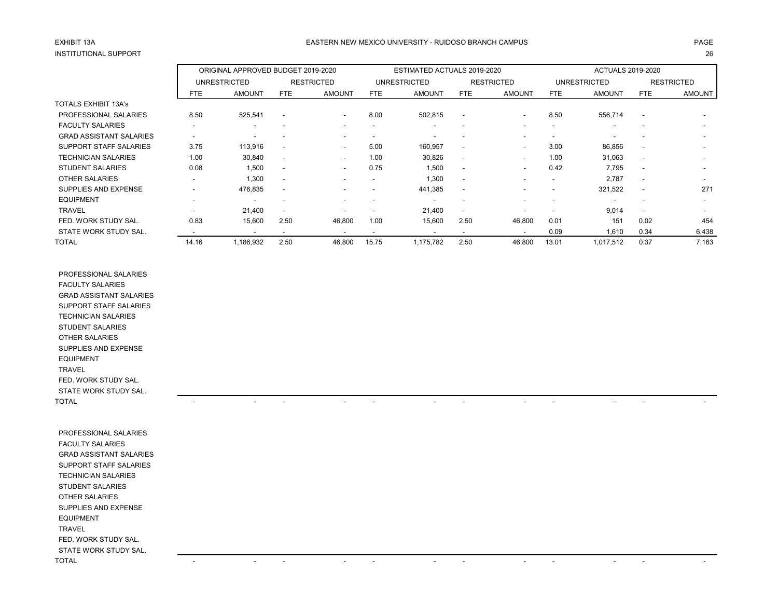## INSTITUTIONAL SUPPORT

### EASTERN NEW MEXICO UNIVERSITY - RUIDOSO BRANCH CAMPUS AND THE REASTERN AGE AND THE REASTERN NEW MEXICO UNIVERSITY - RUIDOSO BRANCH CAMPUS AND THE REASTERN NEW MEXICO UNIVERSITY - RUIDOSO BRANCH CAMPUS

|  | ×<br>I<br>$\sim$ |
|--|------------------|

|                                |            | ORIGINAL APPROVED BUDGET 2019-2020 |                          |                          |                          | ESTIMATED ACTUALS 2019-2020 |                          |                          | <b>ACTUALS 2019-2020</b> |                     |                          |                          |
|--------------------------------|------------|------------------------------------|--------------------------|--------------------------|--------------------------|-----------------------------|--------------------------|--------------------------|--------------------------|---------------------|--------------------------|--------------------------|
|                                |            | <b>UNRESTRICTED</b>                |                          | <b>RESTRICTED</b>        |                          | <b>UNRESTRICTED</b>         |                          | <b>RESTRICTED</b>        |                          | <b>UNRESTRICTED</b> | <b>RESTRICTED</b>        |                          |
|                                | <b>FTE</b> | <b>AMOUNT</b>                      | FTE                      | <b>AMOUNT</b>            | <b>FTE</b>               | <b>AMOUNT</b>               | <b>FTE</b>               | <b>AMOUNT</b>            | <b>FTE</b>               | <b>AMOUNT</b>       | FTE                      | <b>AMOUNT</b>            |
| <b>TOTALS EXHIBIT 13A's</b>    |            |                                    |                          |                          |                          |                             |                          |                          |                          |                     |                          |                          |
| PROFESSIONAL SALARIES          | 8.50       | 525,541                            | $\blacksquare$           | $\overline{\phantom{a}}$ | 8.00                     | 502,815                     | $\blacksquare$           | $\overline{\phantom{a}}$ | 8.50                     | 556,714             | $\overline{\phantom{a}}$ |                          |
| <b>FACULTY SALARIES</b>        |            | $\overline{\phantom{a}}$           |                          | $\overline{\phantom{a}}$ |                          |                             | $\overline{\phantom{a}}$ | ۰                        | $\blacksquare$           | $\sim$              |                          | $\overline{\phantom{a}}$ |
| <b>GRAD ASSISTANT SALARIES</b> |            | $\overline{\phantom{a}}$           |                          |                          |                          |                             |                          | ۰                        | -                        |                     |                          |                          |
| <b>SUPPORT STAFF SALARIES</b>  | 3.75       | 113,916                            | ٠                        | $\overline{\phantom{a}}$ | 5.00                     | 160.957                     | $\overline{\phantom{a}}$ | $\overline{\phantom{a}}$ | 3.00                     | 86,856              | $\overline{\phantom{a}}$ |                          |
| TECHNICIAN SALARIES            | 1.00       | 30,840                             | $\overline{\phantom{a}}$ | $\sim$                   | 1.00                     | 30,826                      | $\overline{\phantom{a}}$ | $\overline{\phantom{0}}$ | 1.00                     | 31,063              |                          |                          |
| <b>STUDENT SALARIES</b>        | 0.08       | 1,500                              | $\overline{\phantom{a}}$ | $\sim$                   | 0.75                     | 1,500                       | $\overline{\phantom{a}}$ | $\overline{\phantom{a}}$ | 0.42                     | 7,795               | $\overline{\phantom{a}}$ |                          |
| OTHER SALARIES                 | $\sim$     | 1,300                              | $\overline{\phantom{a}}$ |                          | $\overline{\phantom{0}}$ | 1,300                       | $\overline{\phantom{a}}$ | $\overline{\phantom{a}}$ | $\overline{\phantom{a}}$ | 2,787               | $\overline{\phantom{a}}$ |                          |
| SUPPLIES AND EXPENSE           |            | 476,835                            | $\blacksquare$           |                          |                          | 441,385                     | $\blacksquare$           | $\overline{\phantom{a}}$ |                          | 321,522             | $\overline{\phantom{a}}$ | 271                      |
| <b>EQUIPMENT</b>               |            | $\overline{\phantom{a}}$           | ٠                        |                          |                          | $\overline{\phantom{a}}$    | $\overline{\phantom{a}}$ |                          | -                        |                     | $\overline{\phantom{a}}$ |                          |
| <b>TRAVEL</b>                  | $\sim$     | 21,400                             | $\overline{\phantom{a}}$ |                          |                          | 21,400                      | $\overline{\phantom{a}}$ | -                        | $\overline{\phantom{a}}$ | 9,014               |                          |                          |
| FED. WORK STUDY SAL.           | 0.83       | 15,600                             | 2.50                     | 46,800                   | 1.00                     | 15,600                      | 2.50                     | 46,800                   | 0.01                     | 151                 | 0.02                     | 454                      |
| STATE WORK STUDY SAL.          |            | $\overline{\phantom{a}}$           | $\overline{\phantom{a}}$ |                          | $\overline{\phantom{a}}$ | $\overline{\phantom{a}}$    | $\overline{\phantom{a}}$ | $\overline{\phantom{a}}$ | 0.09                     | 1,610               | 0.34                     | 6,438                    |
| <b>TOTAL</b>                   | 14.16      | 1,186,932                          | 2.50                     | 46,800                   | 15.75                    | 1.175.782                   | 2.50                     | 46,800                   | 13.01                    | 1,017,512           | 0.37                     | 7,163                    |

 PROFESSIONAL SALARIES FACULTY SALARIES GRAD ASSISTANT SALARIES SUPPORT STAFF SALARIES TECHNICIAN SALARIES STUDENT SALARIES OTHER SALARIES SUPPLIES AND EXPENSE EQUIPMENT TRAVEL FED. WORK STUDY SAL. STATE WORK STUDY SAL. TOTAL - - - - - - - - - - - -

 PROFESSIONAL SALARIES FACULTY SALARIES GRAD ASSISTANT SALARIES SUPPORT STAFF SALARIES TECHNICIAN SALARIES STUDENT SALARIES OTHER SALARIES SUPPLIES AND EXPENSE EQUIPMENT TRAVEL FED. WORK STUDY SAL. STATE WORK STUDY SAL. TOTAL - - - - - - - - - - - -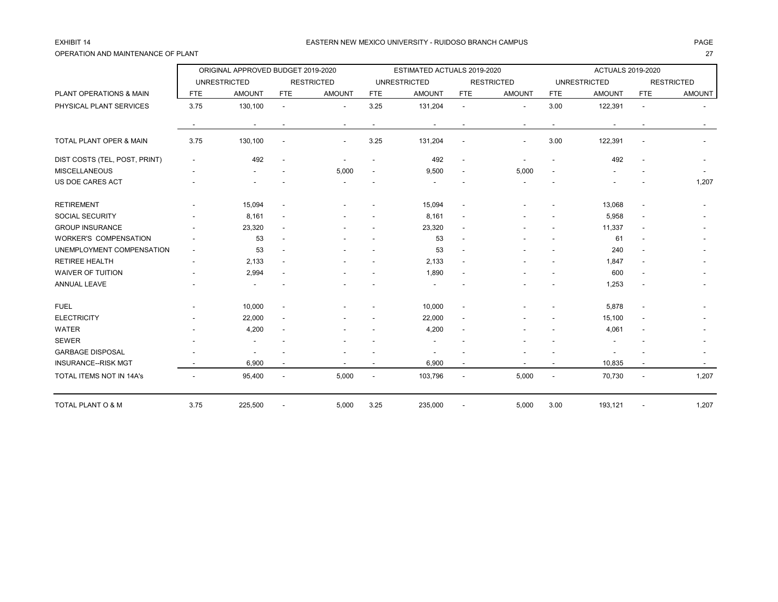## OPERATION AND MAINTENANCE OF PLANT 27

|                               |                          | ORIGINAL APPROVED BUDGET 2019-2020 |                          |                          |                          | ESTIMATED ACTUALS 2019-2020 |                          |                          | <b>ACTUALS 2019-2020</b><br><b>UNRESTRICTED</b><br><b>RESTRICTED</b> |               |                          |               |
|-------------------------------|--------------------------|------------------------------------|--------------------------|--------------------------|--------------------------|-----------------------------|--------------------------|--------------------------|----------------------------------------------------------------------|---------------|--------------------------|---------------|
|                               |                          | <b>UNRESTRICTED</b>                |                          | <b>RESTRICTED</b>        |                          | <b>UNRESTRICTED</b>         |                          | <b>RESTRICTED</b>        |                                                                      |               |                          |               |
| PLANT OPERATIONS & MAIN       | <b>FTE</b>               | <b>AMOUNT</b>                      | <b>FTE</b>               | <b>AMOUNT</b>            | <b>FTE</b>               | <b>AMOUNT</b>               | <b>FTE</b>               | <b>AMOUNT</b>            | <b>FTE</b>                                                           | <b>AMOUNT</b> | <b>FTE</b>               | <b>AMOUNT</b> |
| PHYSICAL PLANT SERVICES       | 3.75                     | 130,100                            | $\overline{a}$           | $\overline{\phantom{a}}$ | 3.25                     | 131,204                     | $\blacksquare$           | $\overline{\phantom{a}}$ | 3.00                                                                 | 122,391       | $\overline{\phantom{a}}$ |               |
|                               |                          | $\overline{\phantom{a}}$           |                          |                          | $\overline{\phantom{a}}$ | $\blacksquare$              | $\blacksquare$           | $\overline{\phantom{a}}$ | $\overline{\phantom{a}}$                                             |               |                          |               |
| TOTAL PLANT OPER & MAIN       | 3.75                     | 130,100                            |                          |                          | 3.25                     | 131,204                     | $\overline{a}$           |                          | 3.00                                                                 | 122,391       |                          |               |
| DIST COSTS (TEL, POST, PRINT) |                          | 492                                |                          |                          |                          | 492                         | $\blacksquare$           |                          |                                                                      | 492           |                          |               |
| <b>MISCELLANEOUS</b>          |                          |                                    |                          | 5,000                    |                          | 9,500                       | $\blacksquare$           | 5,000                    |                                                                      |               |                          |               |
| US DOE CARES ACT              |                          |                                    |                          |                          |                          |                             |                          |                          |                                                                      |               |                          | 1,207         |
| <b>RETIREMENT</b>             |                          | 15,094                             | $\blacksquare$           |                          |                          | 15,094                      | $\blacksquare$           |                          |                                                                      | 13,068        | $\overline{\phantom{a}}$ |               |
| <b>SOCIAL SECURITY</b>        |                          | 8,161                              |                          |                          |                          | 8,161                       | $\overline{\phantom{a}}$ |                          |                                                                      | 5,958         |                          |               |
| <b>GROUP INSURANCE</b>        |                          | 23,320                             | $\overline{\phantom{a}}$ |                          |                          | 23,320                      | $\overline{\phantom{a}}$ |                          |                                                                      | 11,337        | $\overline{\phantom{a}}$ |               |
| <b>WORKER'S COMPENSATION</b>  |                          | 53                                 | $\blacksquare$           |                          |                          | 53                          | $\overline{\phantom{a}}$ |                          |                                                                      | 61            |                          |               |
| UNEMPLOYMENT COMPENSATION     | $\overline{\phantom{a}}$ | 53                                 |                          |                          |                          | 53                          | $\overline{\phantom{a}}$ |                          |                                                                      | 240           |                          |               |
| <b>RETIREE HEALTH</b>         |                          | 2,133                              |                          |                          |                          | 2,133                       | $\blacksquare$           |                          |                                                                      | 1,847         |                          |               |
| <b>WAIVER OF TUITION</b>      |                          | 2,994                              |                          |                          |                          | 1,890                       | $\overline{a}$           |                          |                                                                      | 600           |                          |               |
| <b>ANNUAL LEAVE</b>           |                          |                                    |                          |                          |                          |                             |                          |                          |                                                                      | 1,253         |                          |               |
| <b>FUEL</b>                   |                          | 10,000                             | $\overline{\phantom{a}}$ |                          |                          | 10,000                      | $\blacksquare$           |                          |                                                                      | 5,878         | $\overline{\phantom{a}}$ |               |
| <b>ELECTRICITY</b>            |                          | 22,000                             |                          |                          |                          | 22,000                      | $\blacksquare$           |                          |                                                                      | 15,100        |                          |               |
| <b>WATER</b>                  |                          | 4,200                              |                          |                          |                          | 4,200                       | $\overline{a}$           |                          |                                                                      | 4,061         |                          |               |
| <b>SEWER</b>                  |                          |                                    |                          |                          |                          |                             |                          |                          |                                                                      |               |                          |               |
| <b>GARBAGE DISPOSAL</b>       |                          |                                    |                          |                          |                          |                             |                          |                          |                                                                      |               |                          |               |
| <b>INSURANCE--RISK MGT</b>    |                          | 6,900                              |                          |                          |                          | 6,900                       | $\overline{\phantom{a}}$ |                          |                                                                      | 10,835        |                          |               |
| TOTAL ITEMS NOT IN 14A's      |                          | 95,400                             |                          | 5,000                    | $\overline{\phantom{a}}$ | 103,796                     | $\overline{\phantom{a}}$ | 5,000                    | $\overline{\phantom{a}}$                                             | 70,730        | $\overline{\phantom{a}}$ | 1,207         |
| TOTAL PLANT O & M             | 3.75                     | 225,500                            |                          | 5,000                    | 3.25                     | 235,000                     |                          | 5,000                    | 3.00                                                                 | 193,121       |                          | 1,207         |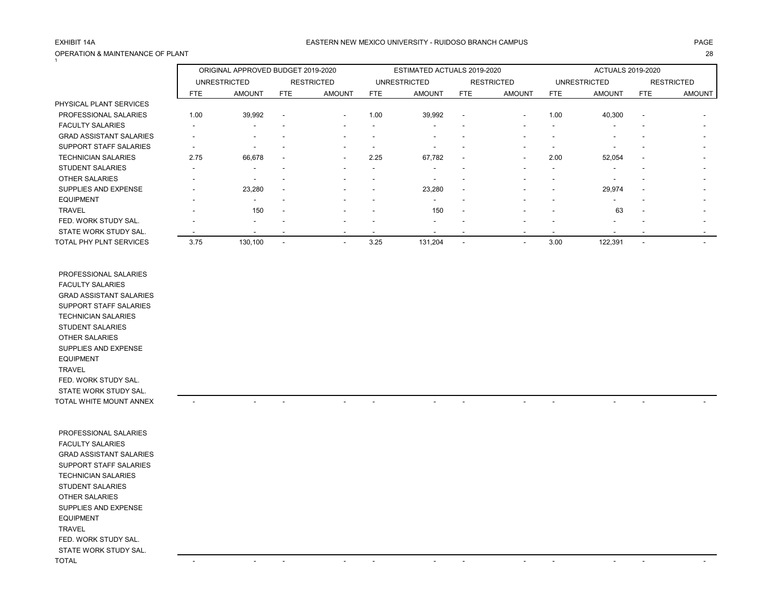## OPERATION & MAINTENANCE OF PLANT 28 1

### EXHIBIT 14A PAGE EASTERN NEW MEXICO UNIVERSITY - RUIDOSO BRANCH CAMPUS

|                                |            | ORIGINAL APPROVED BUDGET 2019-2020 |                          |                          |                          | ESTIMATED ACTUALS 2019-2020 |                          |                          | <b>ACTUALS 2019-2020</b> |                          |                          |                          |
|--------------------------------|------------|------------------------------------|--------------------------|--------------------------|--------------------------|-----------------------------|--------------------------|--------------------------|--------------------------|--------------------------|--------------------------|--------------------------|
|                                |            | <b>UNRESTRICTED</b>                |                          | <b>RESTRICTED</b>        |                          | <b>UNRESTRICTED</b>         |                          | <b>RESTRICTED</b>        |                          | <b>UNRESTRICTED</b>      |                          | <b>RESTRICTED</b>        |
|                                | <b>FTE</b> | <b>AMOUNT</b>                      | FTE                      | <b>AMOUNT</b>            | FTE                      | <b>AMOUNT</b>               | FTE                      | <b>AMOUNT</b>            | <b>FTE</b>               | <b>AMOUNT</b>            | <b>FTE</b>               | <b>AMOUNT</b>            |
| PHYSICAL PLANT SERVICES        |            |                                    |                          |                          |                          |                             |                          |                          |                          |                          |                          |                          |
| PROFESSIONAL SALARIES          | 1.00       | 39,992                             | $\overline{\phantom{a}}$ | $\sim$                   | 1.00                     | 39,992                      | $\blacksquare$           |                          | 1.00                     | 40,300                   | $\overline{\phantom{a}}$ |                          |
| <b>FACULTY SALARIES</b>        | -          | $\overline{\phantom{a}}$           | -                        | -                        |                          | ۰                           | $\overline{\phantom{a}}$ | $\sim$                   |                          | $\overline{\phantom{0}}$ |                          |                          |
| <b>GRAD ASSISTANT SALARIES</b> |            |                                    |                          |                          |                          |                             |                          |                          |                          |                          |                          |                          |
| <b>SUPPORT STAFF SALARIES</b>  |            |                                    | $\overline{\phantom{a}}$ |                          |                          |                             |                          |                          |                          |                          |                          |                          |
| <b>TECHNICIAN SALARIES</b>     | 2.75       | 66,678                             | $\blacksquare$           | $\sim$                   | 2.25                     | 67,782                      | $\overline{\phantom{a}}$ | $\overline{\phantom{a}}$ | 2.00                     | 52,054                   | $\overline{\phantom{a}}$ |                          |
| <b>STUDENT SALARIES</b>        |            | $\overline{\phantom{a}}$           |                          |                          |                          | ۰.                          | $\overline{\phantom{a}}$ |                          |                          |                          |                          | $\overline{\phantom{a}}$ |
| <b>OTHER SALARIES</b>          |            | $\overline{\phantom{a}}$           |                          |                          |                          |                             |                          |                          |                          |                          |                          | -                        |
| SUPPLIES AND EXPENSE           |            | 23,280                             | $\overline{\phantom{a}}$ |                          |                          | 23,280                      | $\blacksquare$           |                          |                          | 29,974                   |                          |                          |
| <b>EQUIPMENT</b>               |            | ٠                                  |                          |                          |                          |                             |                          |                          |                          |                          |                          |                          |
| <b>TRAVEL</b>                  |            | 150                                | $\overline{\phantom{a}}$ |                          |                          | 150                         | $\overline{\phantom{a}}$ |                          |                          | 63                       | ۰.                       |                          |
| FED. WORK STUDY SAL.           |            | $\overline{\phantom{a}}$           |                          |                          |                          | ۰.                          | $\overline{\phantom{a}}$ |                          |                          | $\overline{\phantom{0}}$ |                          | $\overline{\phantom{0}}$ |
| STATE WORK STUDY SAL.          |            |                                    | $\overline{\phantom{a}}$ | $\overline{\phantom{a}}$ | $\overline{\phantom{0}}$ |                             | $\overline{\phantom{a}}$ | $\overline{\phantom{a}}$ | $\overline{\phantom{a}}$ | $\overline{\phantom{a}}$ |                          | $\overline{\phantom{0}}$ |
| TOTAL PHY PLNT SERVICES        | 3.75       | 130,100                            | $\blacksquare$           | $\sim$                   | 3.25                     | 131,204                     | $\blacksquare$           |                          | 3.00                     | 122,391                  |                          |                          |

 PROFESSIONAL SALARIES FACULTY SALARIES GRAD ASSISTANT SALARIES SUPPORT STAFF SALARIES TECHNICIAN SALARIES STUDENT SALARIES OTHER SALARIES SUPPLIES AND EXPENSE EQUIPMENT TRAVEL FED. WORK STUDY SAL. STATE WORK STUDY SAL. TOTAL WHITE MOUNT ANNEX - - - - - - - - - - - -

 PROFESSIONAL SALARIES FACULTY SALARIES GRAD ASSISTANT SALARIES SUPPORT STAFF SALARIES TECHNICIAN SALARIES STUDENT SALARIES OTHER SALARIES SUPPLIES AND EXPENSE EQUIPMENT TRAVEL FED. WORK STUDY SAL. STATE WORK STUDY SAL. TOTAL - - - - - - - - - - - -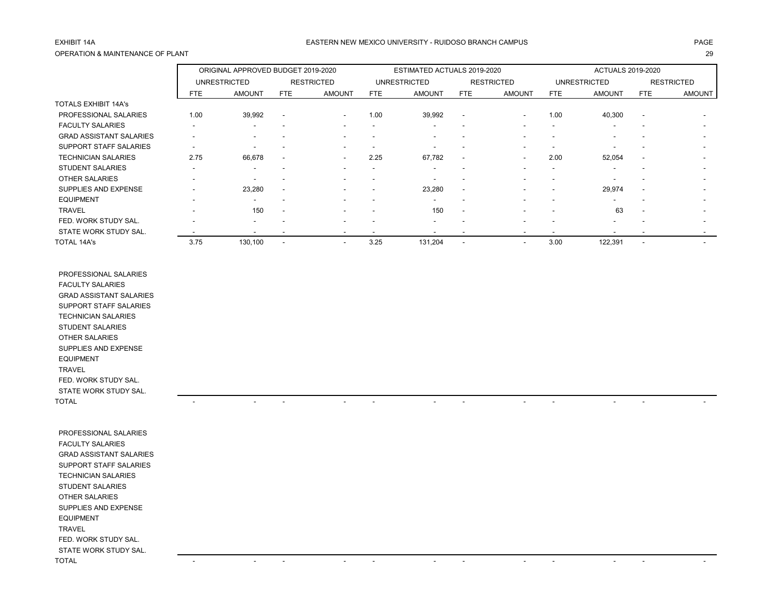## OPERATION & MAINTENANCE OF PLANT 29

### EXHIBIT 14A PAGE EASTERN NEW MEXICO UNIVERSITY - RUIDOSO BRANCH CAMPUS

|                                |      | ORIGINAL APPROVED BUDGET 2019-2020 |                          |                          |                          | ESTIMATED ACTUALS 2019-2020 |                          |                          | <b>ACTUALS 2019-2020</b> |                          |                          |                          |
|--------------------------------|------|------------------------------------|--------------------------|--------------------------|--------------------------|-----------------------------|--------------------------|--------------------------|--------------------------|--------------------------|--------------------------|--------------------------|
|                                |      | <b>UNRESTRICTED</b>                |                          | <b>RESTRICTED</b>        |                          | <b>UNRESTRICTED</b>         |                          | <b>RESTRICTED</b>        |                          | <b>UNRESTRICTED</b>      |                          | <b>RESTRICTED</b>        |
|                                | FTE. | <b>AMOUNT</b>                      | <b>FTE</b>               | <b>AMOUNT</b>            | <b>FTE</b>               | <b>AMOUNT</b>               | FTE                      | <b>AMOUNT</b>            | <b>FTE</b>               | <b>AMOUNT</b>            | <b>FTE</b>               | <b>AMOUNT</b>            |
| <b>TOTALS EXHIBIT 14A's</b>    |      |                                    |                          |                          |                          |                             |                          |                          |                          |                          |                          |                          |
| PROFESSIONAL SALARIES          | 1.00 | 39,992                             | $\overline{\phantom{a}}$ | $\overline{\phantom{a}}$ | 1.00                     | 39,992                      | $\overline{\phantom{a}}$ | $\overline{\phantom{a}}$ | 1.00                     | 40,300                   | $\overline{\phantom{a}}$ |                          |
| <b>FACULTY SALARIES</b>        |      |                                    |                          |                          |                          | ٠                           | $\overline{\phantom{0}}$ |                          |                          | $\overline{\phantom{a}}$ |                          |                          |
| <b>GRAD ASSISTANT SALARIES</b> | -    |                                    |                          |                          |                          |                             | $\overline{\phantom{0}}$ |                          | $\overline{\phantom{a}}$ |                          |                          |                          |
| SUPPORT STAFF SALARIES         |      |                                    |                          |                          | $\overline{\phantom{a}}$ | -                           | $\overline{\phantom{a}}$ |                          | $\overline{\phantom{a}}$ |                          | -                        |                          |
| <b>TECHNICIAN SALARIES</b>     | 2.75 | 66,678                             | $\overline{\phantom{a}}$ | $\overline{\phantom{a}}$ | 2.25                     | 67,782                      | $\overline{\phantom{a}}$ | $\overline{\phantom{a}}$ | 2.00                     | 52,054                   | $\overline{\phantom{a}}$ | $\overline{\phantom{a}}$ |
| <b>STUDENT SALARIES</b>        |      | $\overline{\phantom{a}}$           |                          |                          | $\overline{\phantom{a}}$ | ۰                           | $\overline{\phantom{a}}$ |                          | $\overline{\phantom{a}}$ |                          | -                        | $\sim$                   |
| <b>OTHER SALARIES</b>          |      |                                    |                          |                          |                          |                             |                          |                          |                          |                          |                          | $\overline{\phantom{0}}$ |
| SUPPLIES AND EXPENSE           |      | 23,280                             |                          |                          |                          | 23,280                      | $\blacksquare$           |                          |                          | 29,974                   | $\overline{\phantom{a}}$ | $\overline{\phantom{0}}$ |
| <b>EQUIPMENT</b>               |      | $\overline{\phantom{a}}$           |                          |                          |                          | ۰                           | $\overline{\phantom{0}}$ |                          | $\overline{\phantom{a}}$ |                          |                          | $\overline{\phantom{0}}$ |
| <b>TRAVEL</b>                  |      | 150                                | $\overline{\phantom{a}}$ |                          |                          | 150                         | $\overline{\phantom{a}}$ |                          |                          | 63                       | $\overline{\phantom{a}}$ |                          |
| FED. WORK STUDY SAL.           |      |                                    |                          |                          |                          | -                           |                          |                          |                          |                          |                          | $\overline{\phantom{a}}$ |
| STATE WORK STUDY SAL.          |      |                                    |                          |                          | $\overline{\phantom{a}}$ |                             | $\overline{\phantom{a}}$ |                          |                          |                          |                          | $\overline{\phantom{0}}$ |
| <b>TOTAL 14A's</b>             | 3.75 | 130,100                            |                          |                          | 3.25                     | 131,204                     |                          |                          | 3.00                     | 122,391                  |                          |                          |

 PROFESSIONAL SALARIES FACULTY SALARIES GRAD ASSISTANT SALARIES SUPPORT STAFF SALARIES TECHNICIAN SALARIES STUDENT SALARIES OTHER SALARIES SUPPLIES AND EXPENSE EQUIPMENT TRAVEL FED. WORK STUDY SAL. STATE WORK STUDY SAL. TOTAL - - - - - - - - - - - -

| PROFESSIONAL SALARIES          |                          |                          |                          |                          |                                                      |                          |                                                      |                          |
|--------------------------------|--------------------------|--------------------------|--------------------------|--------------------------|------------------------------------------------------|--------------------------|------------------------------------------------------|--------------------------|
| <b>FACULTY SALARIES</b>        |                          |                          |                          |                          |                                                      |                          |                                                      |                          |
| <b>GRAD ASSISTANT SALARIES</b> |                          |                          |                          |                          |                                                      |                          |                                                      |                          |
| SUPPORT STAFF SALARIES         |                          |                          |                          |                          |                                                      |                          |                                                      |                          |
| <b>TECHNICIAN SALARIES</b>     |                          |                          |                          |                          |                                                      |                          |                                                      |                          |
| STUDENT SALARIES               |                          |                          |                          |                          |                                                      |                          |                                                      |                          |
| OTHER SALARIES                 |                          |                          |                          |                          |                                                      |                          |                                                      |                          |
| SUPPLIES AND EXPENSE           |                          |                          |                          |                          |                                                      |                          |                                                      |                          |
| <b>EQUIPMENT</b>               |                          |                          |                          |                          |                                                      |                          |                                                      |                          |
| <b>TRAVEL</b>                  |                          |                          |                          |                          |                                                      |                          |                                                      |                          |
| FED. WORK STUDY SAL.           |                          |                          |                          |                          |                                                      |                          |                                                      |                          |
| STATE WORK STUDY SAL.          |                          |                          |                          |                          |                                                      |                          |                                                      |                          |
| TOTAL                          | $\overline{\phantom{0}}$ | $\overline{\phantom{a}}$ | $\overline{\phantom{0}}$ | $\overline{\phantom{a}}$ | $\overline{\phantom{0}}$<br>$\overline{\phantom{a}}$ | $\overline{\phantom{a}}$ | $\overline{\phantom{0}}$<br>$\overline{\phantom{a}}$ | $\overline{\phantom{0}}$ |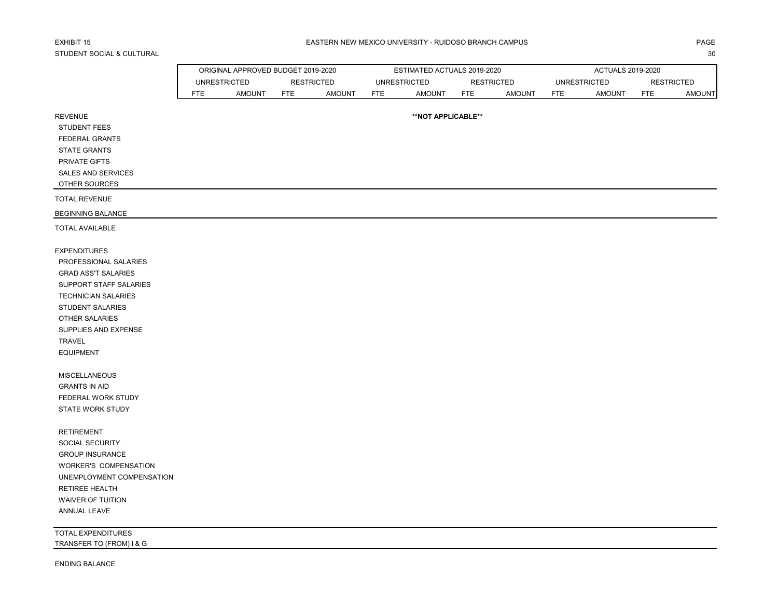# STUDENT SOCIAL & CULTURAL 30

|                            | ORIGINAL APPROVED BUDGET 2019-2020 |               |     | ESTIMATED ACTUALS 2019-2020 |            |                     |                   | ACTUALS 2019-2020 |            |                     |            |                   |
|----------------------------|------------------------------------|---------------|-----|-----------------------------|------------|---------------------|-------------------|-------------------|------------|---------------------|------------|-------------------|
|                            | <b>UNRESTRICTED</b>                |               |     | <b>RESTRICTED</b>           |            | <b>UNRESTRICTED</b> | <b>RESTRICTED</b> |                   |            | <b>UNRESTRICTED</b> |            | <b>RESTRICTED</b> |
|                            | <b>FTE</b>                         | <b>AMOUNT</b> | FTE | <b>AMOUNT</b>               | <b>FTE</b> | <b>AMOUNT</b>       | <b>FTE</b>        | <b>AMOUNT</b>     | <b>FTE</b> | <b>AMOUNT</b>       | <b>FTE</b> | <b>AMOUNT</b>     |
| <b>REVENUE</b>             |                                    |               |     |                             |            | **NOT APPLICABLE**  |                   |                   |            |                     |            |                   |
| <b>STUDENT FEES</b>        |                                    |               |     |                             |            |                     |                   |                   |            |                     |            |                   |
| FEDERAL GRANTS             |                                    |               |     |                             |            |                     |                   |                   |            |                     |            |                   |
| <b>STATE GRANTS</b>        |                                    |               |     |                             |            |                     |                   |                   |            |                     |            |                   |
| PRIVATE GIFTS              |                                    |               |     |                             |            |                     |                   |                   |            |                     |            |                   |
| SALES AND SERVICES         |                                    |               |     |                             |            |                     |                   |                   |            |                     |            |                   |
| OTHER SOURCES              |                                    |               |     |                             |            |                     |                   |                   |            |                     |            |                   |
| <b>TOTAL REVENUE</b>       |                                    |               |     |                             |            |                     |                   |                   |            |                     |            |                   |
| <b>BEGINNING BALANCE</b>   |                                    |               |     |                             |            |                     |                   |                   |            |                     |            |                   |
| <b>TOTAL AVAILABLE</b>     |                                    |               |     |                             |            |                     |                   |                   |            |                     |            |                   |
| <b>EXPENDITURES</b>        |                                    |               |     |                             |            |                     |                   |                   |            |                     |            |                   |
| PROFESSIONAL SALARIES      |                                    |               |     |                             |            |                     |                   |                   |            |                     |            |                   |
| <b>GRAD ASS'T SALARIES</b> |                                    |               |     |                             |            |                     |                   |                   |            |                     |            |                   |
| SUPPORT STAFF SALARIES     |                                    |               |     |                             |            |                     |                   |                   |            |                     |            |                   |
| <b>TECHNICIAN SALARIES</b> |                                    |               |     |                             |            |                     |                   |                   |            |                     |            |                   |
| STUDENT SALARIES           |                                    |               |     |                             |            |                     |                   |                   |            |                     |            |                   |
| OTHER SALARIES             |                                    |               |     |                             |            |                     |                   |                   |            |                     |            |                   |
| SUPPLIES AND EXPENSE       |                                    |               |     |                             |            |                     |                   |                   |            |                     |            |                   |
| TRAVEL                     |                                    |               |     |                             |            |                     |                   |                   |            |                     |            |                   |
| <b>EQUIPMENT</b>           |                                    |               |     |                             |            |                     |                   |                   |            |                     |            |                   |
| <b>MISCELLANEOUS</b>       |                                    |               |     |                             |            |                     |                   |                   |            |                     |            |                   |
| <b>GRANTS IN AID</b>       |                                    |               |     |                             |            |                     |                   |                   |            |                     |            |                   |
| FEDERAL WORK STUDY         |                                    |               |     |                             |            |                     |                   |                   |            |                     |            |                   |
| <b>STATE WORK STUDY</b>    |                                    |               |     |                             |            |                     |                   |                   |            |                     |            |                   |
| <b>RETIREMENT</b>          |                                    |               |     |                             |            |                     |                   |                   |            |                     |            |                   |
| SOCIAL SECURITY            |                                    |               |     |                             |            |                     |                   |                   |            |                     |            |                   |
| <b>GROUP INSURANCE</b>     |                                    |               |     |                             |            |                     |                   |                   |            |                     |            |                   |
| WORKER'S COMPENSATION      |                                    |               |     |                             |            |                     |                   |                   |            |                     |            |                   |
| UNEMPLOYMENT COMPENSATION  |                                    |               |     |                             |            |                     |                   |                   |            |                     |            |                   |
| <b>RETIREE HEALTH</b>      |                                    |               |     |                             |            |                     |                   |                   |            |                     |            |                   |
| WAIVER OF TUITION          |                                    |               |     |                             |            |                     |                   |                   |            |                     |            |                   |
| ANNUAL LEAVE               |                                    |               |     |                             |            |                     |                   |                   |            |                     |            |                   |
| TOTAL EXPENDITURES         |                                    |               |     |                             |            |                     |                   |                   |            |                     |            |                   |
| TRANSFER TO (FROM) I & G   |                                    |               |     |                             |            |                     |                   |                   |            |                     |            |                   |
| <b>ENDING BALANCE</b>      |                                    |               |     |                             |            |                     |                   |                   |            |                     |            |                   |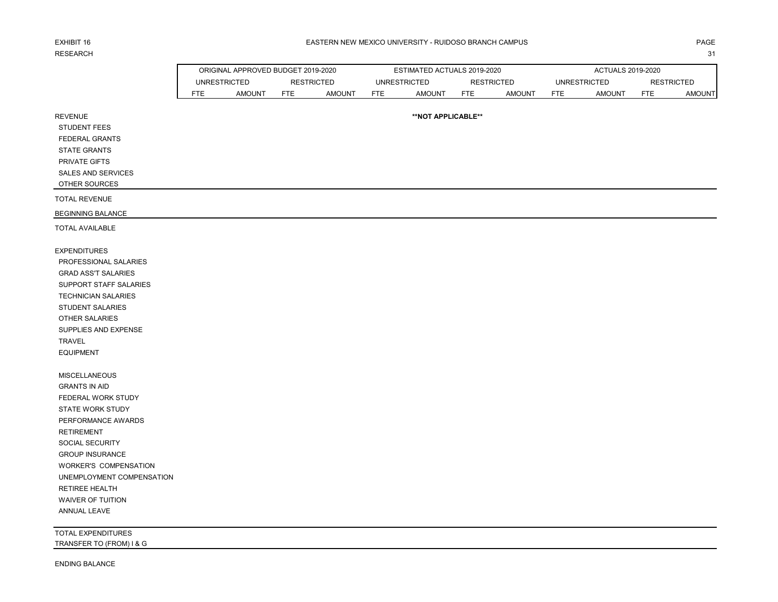# RESEARCH NEIL ANN AN 1999. IS 1999 AN 1999 AN 1999 AN 1999 AN 1999 AN 1999 AN 1999 AN 1999 AN 1999 AN 1999 AN 1

REVENUE

#### EXHIBIT 16 PAGE PAGE IN THE SEASTERN NEW MEXICO UNIVERSITY - RUIDOSO BRANCH CAMPUS AND THE SEASTERN ONLY ANGE

|                            | ORIGINAL APPROVED BUDGET 2019-2020 |     |               |                                                   | ESTIMATED ACTUALS 2019-2020 |     |        | ACTUALS 2019-2020 |        |      |               |  |
|----------------------------|------------------------------------|-----|---------------|---------------------------------------------------|-----------------------------|-----|--------|-------------------|--------|------|---------------|--|
| RESTRICTED<br>UNRESTRICTED |                                    |     |               | UNRESTRICTED<br>UNRESTRICTED<br><b>RESTRICTED</b> |                             |     |        | <b>RESTRICTED</b> |        |      |               |  |
| FTE.                       | AMOUNT                             | FTE | <b>AMOUNT</b> | <b>FTE</b>                                        | AMOUNT                      | FTE | AMOUNT | FTE.              | AMOUN1 | FTE. | <b>AMOUNT</b> |  |

**\*\*NOT APPLICABLE\*\***

 STUDENT FEES FEDERAL GRANTS STATE GRANTS

PRIVATE GIFTS

SALES AND SERVICES

OTHER SOURCES

TOTAL REVENUE

BEGINNING BALANCE

TOTAL AVAILABLE

EXPENDITURES PROFESSIONAL SALARIES GRAD ASS'T SALARIES SUPPORT STAFF SALARIES TECHNICIAN SALARIES STUDENT SALARIES OTHER SALARIES SUPPLIES AND EXPENSE TRAVEL EQUIPMENT

 MISCELLANEOUS GRANTS IN AID FEDERAL WORK STUDY STATE WORK STUDY PERFORMANCE AWARDS RETIREMENT SOCIAL SECURITY GROUP INSURANCE WORKER'S COMPENSATION UNEMPLOYMENT COMPENSATION RETIREE HEALTH WAIVER OF TUITION ANNUAL LEAVE

TOTAL EXPENDITURES TRANSFER TO (FROM) I & G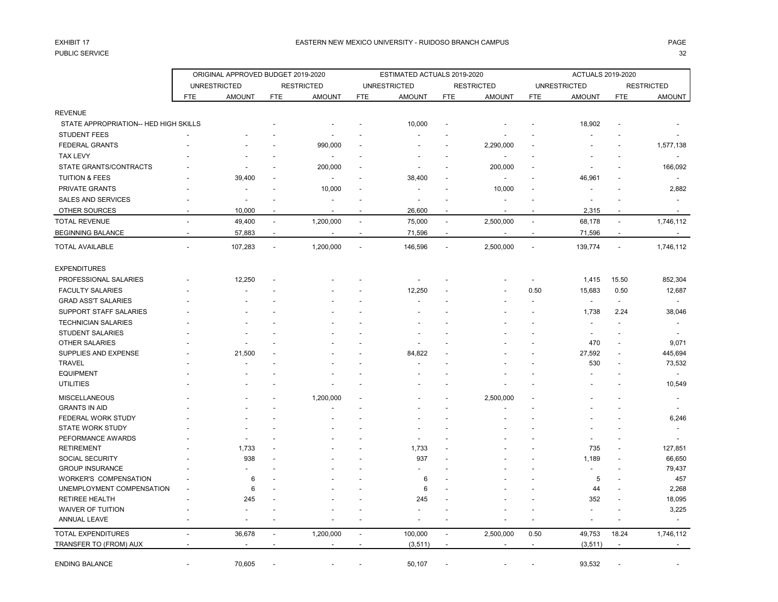## PUBLIC SERVICE 32

|                                       |                          | ORIGINAL APPROVED BUDGET 2019-2020 |                          |                   |                          | ESTIMATED ACTUALS 2019-2020 |                          |                          |                          | ACTUALS 2019-2020        |                          |                          |
|---------------------------------------|--------------------------|------------------------------------|--------------------------|-------------------|--------------------------|-----------------------------|--------------------------|--------------------------|--------------------------|--------------------------|--------------------------|--------------------------|
|                                       |                          | <b>UNRESTRICTED</b>                |                          | <b>RESTRICTED</b> |                          | <b>UNRESTRICTED</b>         |                          | <b>RESTRICTED</b>        |                          | <b>UNRESTRICTED</b>      |                          | <b>RESTRICTED</b>        |
|                                       | <b>FTE</b>               | <b>AMOUNT</b>                      | <b>FTE</b>               | <b>AMOUNT</b>     | <b>FTE</b>               | <b>AMOUNT</b>               | <b>FTE</b>               | <b>AMOUNT</b>            | <b>FTE</b>               | <b>AMOUNT</b>            | <b>FTE</b>               | <b>AMOUNT</b>            |
| <b>REVENUE</b>                        |                          |                                    |                          |                   |                          |                             |                          |                          |                          |                          |                          |                          |
| STATE APPROPRIATION-- HED HIGH SKILLS |                          |                                    |                          |                   |                          | 10,000                      |                          |                          |                          | 18,902                   |                          |                          |
| <b>STUDENT FEES</b>                   |                          |                                    |                          |                   |                          |                             |                          |                          |                          |                          |                          |                          |
| <b>FEDERAL GRANTS</b>                 |                          |                                    |                          | 990,000           |                          |                             |                          | 2,290,000                |                          |                          |                          | 1,577,138                |
| <b>TAX LEVY</b>                       |                          |                                    |                          |                   |                          |                             |                          |                          |                          |                          |                          |                          |
| STATE GRANTS/CONTRACTS                |                          |                                    |                          | 200,000           |                          |                             |                          | 200,000                  |                          |                          |                          | 166,092                  |
| <b>TUITION &amp; FEES</b>             |                          | 39,400                             |                          | $\blacksquare$    |                          | 38,400                      |                          | $\overline{\phantom{a}}$ |                          | 46,961                   |                          |                          |
| PRIVATE GRANTS                        |                          |                                    |                          | 10,000            |                          |                             |                          | 10,000                   |                          |                          |                          | 2,882                    |
| <b>SALES AND SERVICES</b>             |                          |                                    |                          |                   |                          | $\overline{a}$              |                          |                          |                          | $\overline{a}$           |                          | $\overline{a}$           |
|                                       |                          |                                    |                          |                   |                          |                             |                          |                          |                          |                          |                          |                          |
| OTHER SOURCES                         |                          | 10,000                             |                          |                   |                          | 26,600                      |                          |                          |                          | 2,315                    |                          |                          |
| <b>TOTAL REVENUE</b>                  | $\overline{\phantom{a}}$ | 49,400                             | $\overline{\phantom{a}}$ | 1,200,000         | $\overline{\phantom{a}}$ | 75,000                      | $\overline{\phantom{a}}$ | 2,500,000                | $\overline{\phantom{a}}$ | 68,178                   | $\overline{\phantom{a}}$ | 1,746,112                |
| <b>BEGINNING BALANCE</b>              |                          | 57,883                             | $\overline{\phantom{a}}$ |                   | $\overline{\phantom{a}}$ | 71,596                      | $\overline{a}$           |                          | $\overline{\phantom{a}}$ | 71,596                   | $\overline{\phantom{0}}$ | $\overline{\phantom{a}}$ |
| <b>TOTAL AVAILABLE</b>                |                          | 107,283                            |                          | 1,200,000         | $\overline{a}$           | 146,596                     | ÷,                       | 2,500,000                |                          | 139,774                  | $\overline{a}$           | 1,746,112                |
| <b>EXPENDITURES</b>                   |                          |                                    |                          |                   |                          |                             |                          |                          |                          |                          |                          |                          |
| PROFESSIONAL SALARIES                 |                          | 12,250                             |                          |                   |                          |                             |                          |                          |                          | 1,415                    | 15.50                    | 852,304                  |
| <b>FACULTY SALARIES</b>               |                          |                                    |                          |                   |                          | 12,250                      |                          |                          | 0.50                     | 15,683                   | 0.50                     | 12,687                   |
| <b>GRAD ASS'T SALARIES</b>            |                          |                                    |                          |                   |                          |                             |                          |                          |                          | $\blacksquare$           | $\overline{\phantom{a}}$ |                          |
| SUPPORT STAFF SALARIES                |                          |                                    |                          |                   |                          |                             |                          |                          |                          | 1,738                    | 2.24                     | 38,046                   |
| <b>TECHNICIAN SALARIES</b>            |                          |                                    |                          |                   |                          |                             |                          |                          |                          | $\overline{\phantom{a}}$ |                          |                          |
| <b>STUDENT SALARIES</b>               |                          |                                    |                          |                   |                          |                             |                          |                          |                          |                          |                          |                          |
| <b>OTHER SALARIES</b>                 |                          |                                    |                          |                   |                          |                             |                          |                          |                          | 470                      |                          | 9,071                    |
| SUPPLIES AND EXPENSE                  |                          | 21,500                             |                          |                   |                          | 84,822                      |                          |                          |                          | 27,592                   |                          | 445,694                  |
| <b>TRAVEL</b>                         |                          |                                    |                          |                   |                          |                             |                          |                          |                          | 530                      |                          | 73,532                   |
| <b>EQUIPMENT</b>                      |                          |                                    |                          |                   |                          |                             |                          |                          |                          |                          |                          | $\overline{a}$           |
| <b>UTILITIES</b>                      |                          |                                    |                          |                   |                          |                             |                          |                          |                          |                          |                          | 10,549                   |
| <b>MISCELLANEOUS</b>                  |                          |                                    |                          | 1,200,000         |                          |                             |                          | 2,500,000                |                          |                          |                          |                          |
| <b>GRANTS IN AID</b>                  |                          |                                    |                          |                   |                          |                             |                          |                          |                          |                          |                          |                          |
| FEDERAL WORK STUDY                    |                          |                                    |                          |                   |                          |                             |                          |                          |                          |                          |                          | 6,246                    |
| <b>STATE WORK STUDY</b>               |                          |                                    |                          |                   |                          |                             |                          |                          |                          |                          |                          |                          |
| PEFORMANCE AWARDS                     |                          |                                    |                          |                   |                          |                             |                          |                          |                          |                          |                          |                          |
| <b>RETIREMENT</b>                     |                          | 1,733                              |                          |                   |                          | 1,733                       |                          |                          |                          | 735                      |                          | 127,851                  |
| <b>SOCIAL SECURITY</b>                |                          | 938                                |                          |                   |                          | 937                         |                          |                          |                          | 1,189                    |                          | 66,650                   |
| <b>GROUP INSURANCE</b>                |                          |                                    |                          |                   |                          |                             |                          |                          |                          |                          |                          | 79,437                   |
| <b>WORKER'S COMPENSATION</b>          |                          | 6                                  |                          |                   |                          | 6                           |                          |                          |                          | 5                        |                          | 457                      |
| UNEMPLOYMENT COMPENSATION             |                          | 6                                  |                          |                   |                          | 6                           |                          |                          |                          | 44                       |                          | 2,268                    |
| <b>RETIREE HEALTH</b>                 |                          | 245                                |                          |                   |                          | 245                         |                          |                          |                          | 352                      |                          | 18,095                   |
| <b>WAIVER OF TUITION</b>              |                          |                                    |                          |                   |                          |                             |                          |                          |                          |                          |                          | 3,225                    |
| ANNUAL LEAVE                          |                          |                                    |                          |                   |                          |                             |                          |                          |                          | $\overline{a}$           |                          | $\overline{a}$           |
| <b>TOTAL EXPENDITURES</b>             |                          | 36,678                             | $\overline{\phantom{a}}$ | 1,200,000         | $\overline{\phantom{a}}$ | 100,000                     | $\blacksquare$           | 2,500,000                | 0.50                     | 49,753                   | 18.24                    | 1,746,112                |
| TRANSFER TO (FROM) AUX                |                          |                                    |                          |                   | $\overline{\phantom{a}}$ | (3, 511)                    | $\overline{\phantom{a}}$ |                          | $\overline{\phantom{a}}$ | (3, 511)                 | $\sim$                   |                          |
| <b>ENDING BALANCE</b>                 |                          | 70,605                             |                          |                   |                          | 50,107                      |                          |                          |                          | 93,532                   |                          |                          |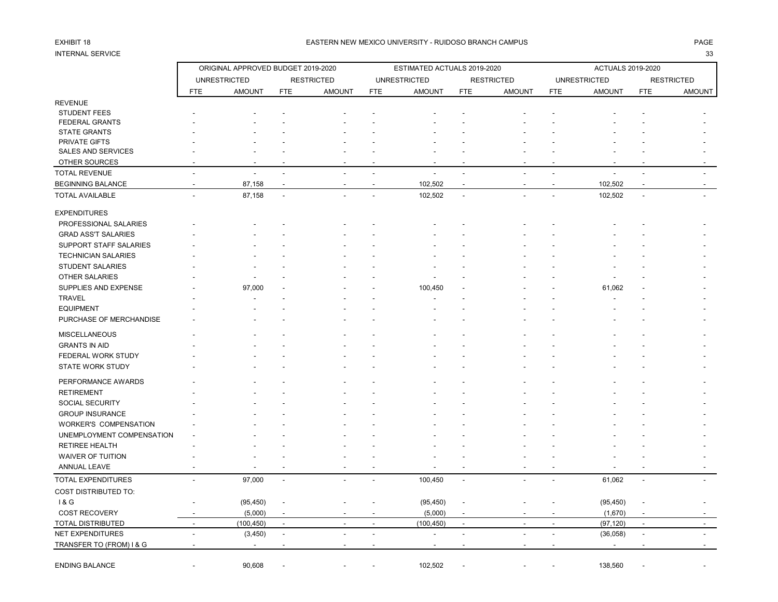# INTERNAL SERVICE 33

### EXHIBIT 18 PAGE PAGE IN THE SEASTERN NEW MEXICO UNIVERSITY - RUIDOSO BRANCH CAMPUS AND THE SEASTERN NEW MEXICO UNIVERSITY - RUIDOSO BRANCH CAMPUS

| <b>UNRESTRICTED</b><br><b>RESTRICTED</b><br><b>UNRESTRICTED</b><br><b>RESTRICTED</b><br><b>UNRESTRICTED</b><br><b>RESTRICTED</b><br><b>FTE</b><br><b>AMOUNT</b><br><b>FTE</b><br><b>AMOUNT</b><br><b>FTE</b><br><b>AMOUNT</b><br><b>FTE</b><br><b>AMOUNT</b><br><b>FTE</b><br><b>AMOUNT</b><br><b>FTE</b><br>AMOUNT<br><b>REVENUE</b><br><b>STUDENT FEES</b><br>FEDERAL GRANTS<br><b>STATE GRANTS</b><br>PRIVATE GIFTS<br><b>SALES AND SERVICES</b><br>OTHER SOURCES<br>$\overline{a}$<br>÷,<br>87,158<br>102,502<br>102,502<br>$\blacksquare$<br>87,158<br>102,502<br>102,502<br>L.<br>$\overline{a}$<br>$\overline{\phantom{a}}$<br>$\overline{a}$<br>PROFESSIONAL SALARIES<br><b>GRAD ASS'T SALARIES</b><br>SUPPORT STAFF SALARIES<br><b>TECHNICIAN SALARIES</b><br><b>STUDENT SALARIES</b><br><b>OTHER SALARIES</b><br>SUPPLIES AND EXPENSE<br>97,000<br>100,450<br>61,062<br><b>TRAVEL</b><br><b>EQUIPMENT</b><br>PURCHASE OF MERCHANDISE<br><b>MISCELLANEOUS</b><br><b>GRANTS IN AID</b><br>FEDERAL WORK STUDY<br><b>STATE WORK STUDY</b><br>PERFORMANCE AWARDS<br><b>RETIREMENT</b><br><b>SOCIAL SECURITY</b><br><b>GROUP INSURANCE</b><br>WORKER'S COMPENSATION<br>UNEMPLOYMENT COMPENSATION<br><b>RETIREE HEALTH</b><br><b>WAIVER OF TUITION</b><br>ANNUAL LEAVE<br><b>TOTAL EXPENDITURES</b><br>97,000<br>100,450<br>61,062<br>$\blacksquare$<br>$\sim$<br>$\blacksquare$<br>18G<br>(95, 450)<br>(95, 450)<br>(95, 450)<br><b>COST RECOVERY</b><br>(5,000)<br>(5,000)<br>(1,670)<br>$\overline{\phantom{a}}$<br>(100, 450)<br>(100, 450)<br>(97, 120)<br>$\overline{\phantom{a}}$<br>$\sim$<br>$\overline{\phantom{a}}$<br>$\overline{a}$<br>$\overline{\phantom{a}}$<br>$\overline{a}$<br>÷<br>$\overline{\phantom{a}}$<br>(3, 450)<br>(36,058)<br>÷,<br>$\overline{a}$<br>$\overline{a}$<br>$\overline{a}$<br>$\overline{a}$<br>$\overline{a}$<br>$\overline{a}$<br>$\ddot{\phantom{a}}$<br>$\overline{a}$<br>$\overline{\phantom{a}}$<br><b>ENDING BALANCE</b><br>90,608<br>102,502<br>138,560 |                          | ORIGINAL APPROVED BUDGET 2019-2020 |  | ESTIMATED ACTUALS 2019-2020 |  | <b>ACTUALS 2019-2020</b> |  |
|-------------------------------------------------------------------------------------------------------------------------------------------------------------------------------------------------------------------------------------------------------------------------------------------------------------------------------------------------------------------------------------------------------------------------------------------------------------------------------------------------------------------------------------------------------------------------------------------------------------------------------------------------------------------------------------------------------------------------------------------------------------------------------------------------------------------------------------------------------------------------------------------------------------------------------------------------------------------------------------------------------------------------------------------------------------------------------------------------------------------------------------------------------------------------------------------------------------------------------------------------------------------------------------------------------------------------------------------------------------------------------------------------------------------------------------------------------------------------------------------------------------------------------------------------------------------------------------------------------------------------------------------------------------------------------------------------------------------------------------------------------------------------------------------------------------------------------------------------------------------------------------------------------------------------------------------------------------------------------------------------------------|--------------------------|------------------------------------|--|-----------------------------|--|--------------------------|--|
|                                                                                                                                                                                                                                                                                                                                                                                                                                                                                                                                                                                                                                                                                                                                                                                                                                                                                                                                                                                                                                                                                                                                                                                                                                                                                                                                                                                                                                                                                                                                                                                                                                                                                                                                                                                                                                                                                                                                                                                                             |                          |                                    |  |                             |  |                          |  |
|                                                                                                                                                                                                                                                                                                                                                                                                                                                                                                                                                                                                                                                                                                                                                                                                                                                                                                                                                                                                                                                                                                                                                                                                                                                                                                                                                                                                                                                                                                                                                                                                                                                                                                                                                                                                                                                                                                                                                                                                             |                          |                                    |  |                             |  |                          |  |
|                                                                                                                                                                                                                                                                                                                                                                                                                                                                                                                                                                                                                                                                                                                                                                                                                                                                                                                                                                                                                                                                                                                                                                                                                                                                                                                                                                                                                                                                                                                                                                                                                                                                                                                                                                                                                                                                                                                                                                                                             |                          |                                    |  |                             |  |                          |  |
|                                                                                                                                                                                                                                                                                                                                                                                                                                                                                                                                                                                                                                                                                                                                                                                                                                                                                                                                                                                                                                                                                                                                                                                                                                                                                                                                                                                                                                                                                                                                                                                                                                                                                                                                                                                                                                                                                                                                                                                                             |                          |                                    |  |                             |  |                          |  |
|                                                                                                                                                                                                                                                                                                                                                                                                                                                                                                                                                                                                                                                                                                                                                                                                                                                                                                                                                                                                                                                                                                                                                                                                                                                                                                                                                                                                                                                                                                                                                                                                                                                                                                                                                                                                                                                                                                                                                                                                             |                          |                                    |  |                             |  |                          |  |
|                                                                                                                                                                                                                                                                                                                                                                                                                                                                                                                                                                                                                                                                                                                                                                                                                                                                                                                                                                                                                                                                                                                                                                                                                                                                                                                                                                                                                                                                                                                                                                                                                                                                                                                                                                                                                                                                                                                                                                                                             |                          |                                    |  |                             |  |                          |  |
|                                                                                                                                                                                                                                                                                                                                                                                                                                                                                                                                                                                                                                                                                                                                                                                                                                                                                                                                                                                                                                                                                                                                                                                                                                                                                                                                                                                                                                                                                                                                                                                                                                                                                                                                                                                                                                                                                                                                                                                                             |                          |                                    |  |                             |  |                          |  |
|                                                                                                                                                                                                                                                                                                                                                                                                                                                                                                                                                                                                                                                                                                                                                                                                                                                                                                                                                                                                                                                                                                                                                                                                                                                                                                                                                                                                                                                                                                                                                                                                                                                                                                                                                                                                                                                                                                                                                                                                             |                          |                                    |  |                             |  |                          |  |
|                                                                                                                                                                                                                                                                                                                                                                                                                                                                                                                                                                                                                                                                                                                                                                                                                                                                                                                                                                                                                                                                                                                                                                                                                                                                                                                                                                                                                                                                                                                                                                                                                                                                                                                                                                                                                                                                                                                                                                                                             |                          |                                    |  |                             |  |                          |  |
|                                                                                                                                                                                                                                                                                                                                                                                                                                                                                                                                                                                                                                                                                                                                                                                                                                                                                                                                                                                                                                                                                                                                                                                                                                                                                                                                                                                                                                                                                                                                                                                                                                                                                                                                                                                                                                                                                                                                                                                                             | <b>TOTAL REVENUE</b>     |                                    |  |                             |  |                          |  |
|                                                                                                                                                                                                                                                                                                                                                                                                                                                                                                                                                                                                                                                                                                                                                                                                                                                                                                                                                                                                                                                                                                                                                                                                                                                                                                                                                                                                                                                                                                                                                                                                                                                                                                                                                                                                                                                                                                                                                                                                             | <b>BEGINNING BALANCE</b> |                                    |  |                             |  |                          |  |
|                                                                                                                                                                                                                                                                                                                                                                                                                                                                                                                                                                                                                                                                                                                                                                                                                                                                                                                                                                                                                                                                                                                                                                                                                                                                                                                                                                                                                                                                                                                                                                                                                                                                                                                                                                                                                                                                                                                                                                                                             | <b>TOTAL AVAILABLE</b>   |                                    |  |                             |  |                          |  |
|                                                                                                                                                                                                                                                                                                                                                                                                                                                                                                                                                                                                                                                                                                                                                                                                                                                                                                                                                                                                                                                                                                                                                                                                                                                                                                                                                                                                                                                                                                                                                                                                                                                                                                                                                                                                                                                                                                                                                                                                             | <b>EXPENDITURES</b>      |                                    |  |                             |  |                          |  |
|                                                                                                                                                                                                                                                                                                                                                                                                                                                                                                                                                                                                                                                                                                                                                                                                                                                                                                                                                                                                                                                                                                                                                                                                                                                                                                                                                                                                                                                                                                                                                                                                                                                                                                                                                                                                                                                                                                                                                                                                             |                          |                                    |  |                             |  |                          |  |
|                                                                                                                                                                                                                                                                                                                                                                                                                                                                                                                                                                                                                                                                                                                                                                                                                                                                                                                                                                                                                                                                                                                                                                                                                                                                                                                                                                                                                                                                                                                                                                                                                                                                                                                                                                                                                                                                                                                                                                                                             |                          |                                    |  |                             |  |                          |  |
|                                                                                                                                                                                                                                                                                                                                                                                                                                                                                                                                                                                                                                                                                                                                                                                                                                                                                                                                                                                                                                                                                                                                                                                                                                                                                                                                                                                                                                                                                                                                                                                                                                                                                                                                                                                                                                                                                                                                                                                                             |                          |                                    |  |                             |  |                          |  |
|                                                                                                                                                                                                                                                                                                                                                                                                                                                                                                                                                                                                                                                                                                                                                                                                                                                                                                                                                                                                                                                                                                                                                                                                                                                                                                                                                                                                                                                                                                                                                                                                                                                                                                                                                                                                                                                                                                                                                                                                             |                          |                                    |  |                             |  |                          |  |
|                                                                                                                                                                                                                                                                                                                                                                                                                                                                                                                                                                                                                                                                                                                                                                                                                                                                                                                                                                                                                                                                                                                                                                                                                                                                                                                                                                                                                                                                                                                                                                                                                                                                                                                                                                                                                                                                                                                                                                                                             |                          |                                    |  |                             |  |                          |  |
|                                                                                                                                                                                                                                                                                                                                                                                                                                                                                                                                                                                                                                                                                                                                                                                                                                                                                                                                                                                                                                                                                                                                                                                                                                                                                                                                                                                                                                                                                                                                                                                                                                                                                                                                                                                                                                                                                                                                                                                                             |                          |                                    |  |                             |  |                          |  |
|                                                                                                                                                                                                                                                                                                                                                                                                                                                                                                                                                                                                                                                                                                                                                                                                                                                                                                                                                                                                                                                                                                                                                                                                                                                                                                                                                                                                                                                                                                                                                                                                                                                                                                                                                                                                                                                                                                                                                                                                             |                          |                                    |  |                             |  |                          |  |
|                                                                                                                                                                                                                                                                                                                                                                                                                                                                                                                                                                                                                                                                                                                                                                                                                                                                                                                                                                                                                                                                                                                                                                                                                                                                                                                                                                                                                                                                                                                                                                                                                                                                                                                                                                                                                                                                                                                                                                                                             |                          |                                    |  |                             |  |                          |  |
|                                                                                                                                                                                                                                                                                                                                                                                                                                                                                                                                                                                                                                                                                                                                                                                                                                                                                                                                                                                                                                                                                                                                                                                                                                                                                                                                                                                                                                                                                                                                                                                                                                                                                                                                                                                                                                                                                                                                                                                                             |                          |                                    |  |                             |  |                          |  |
|                                                                                                                                                                                                                                                                                                                                                                                                                                                                                                                                                                                                                                                                                                                                                                                                                                                                                                                                                                                                                                                                                                                                                                                                                                                                                                                                                                                                                                                                                                                                                                                                                                                                                                                                                                                                                                                                                                                                                                                                             |                          |                                    |  |                             |  |                          |  |
|                                                                                                                                                                                                                                                                                                                                                                                                                                                                                                                                                                                                                                                                                                                                                                                                                                                                                                                                                                                                                                                                                                                                                                                                                                                                                                                                                                                                                                                                                                                                                                                                                                                                                                                                                                                                                                                                                                                                                                                                             |                          |                                    |  |                             |  |                          |  |
|                                                                                                                                                                                                                                                                                                                                                                                                                                                                                                                                                                                                                                                                                                                                                                                                                                                                                                                                                                                                                                                                                                                                                                                                                                                                                                                                                                                                                                                                                                                                                                                                                                                                                                                                                                                                                                                                                                                                                                                                             |                          |                                    |  |                             |  |                          |  |
|                                                                                                                                                                                                                                                                                                                                                                                                                                                                                                                                                                                                                                                                                                                                                                                                                                                                                                                                                                                                                                                                                                                                                                                                                                                                                                                                                                                                                                                                                                                                                                                                                                                                                                                                                                                                                                                                                                                                                                                                             |                          |                                    |  |                             |  |                          |  |
|                                                                                                                                                                                                                                                                                                                                                                                                                                                                                                                                                                                                                                                                                                                                                                                                                                                                                                                                                                                                                                                                                                                                                                                                                                                                                                                                                                                                                                                                                                                                                                                                                                                                                                                                                                                                                                                                                                                                                                                                             |                          |                                    |  |                             |  |                          |  |
|                                                                                                                                                                                                                                                                                                                                                                                                                                                                                                                                                                                                                                                                                                                                                                                                                                                                                                                                                                                                                                                                                                                                                                                                                                                                                                                                                                                                                                                                                                                                                                                                                                                                                                                                                                                                                                                                                                                                                                                                             |                          |                                    |  |                             |  |                          |  |
|                                                                                                                                                                                                                                                                                                                                                                                                                                                                                                                                                                                                                                                                                                                                                                                                                                                                                                                                                                                                                                                                                                                                                                                                                                                                                                                                                                                                                                                                                                                                                                                                                                                                                                                                                                                                                                                                                                                                                                                                             |                          |                                    |  |                             |  |                          |  |
|                                                                                                                                                                                                                                                                                                                                                                                                                                                                                                                                                                                                                                                                                                                                                                                                                                                                                                                                                                                                                                                                                                                                                                                                                                                                                                                                                                                                                                                                                                                                                                                                                                                                                                                                                                                                                                                                                                                                                                                                             |                          |                                    |  |                             |  |                          |  |
|                                                                                                                                                                                                                                                                                                                                                                                                                                                                                                                                                                                                                                                                                                                                                                                                                                                                                                                                                                                                                                                                                                                                                                                                                                                                                                                                                                                                                                                                                                                                                                                                                                                                                                                                                                                                                                                                                                                                                                                                             |                          |                                    |  |                             |  |                          |  |
|                                                                                                                                                                                                                                                                                                                                                                                                                                                                                                                                                                                                                                                                                                                                                                                                                                                                                                                                                                                                                                                                                                                                                                                                                                                                                                                                                                                                                                                                                                                                                                                                                                                                                                                                                                                                                                                                                                                                                                                                             |                          |                                    |  |                             |  |                          |  |
|                                                                                                                                                                                                                                                                                                                                                                                                                                                                                                                                                                                                                                                                                                                                                                                                                                                                                                                                                                                                                                                                                                                                                                                                                                                                                                                                                                                                                                                                                                                                                                                                                                                                                                                                                                                                                                                                                                                                                                                                             |                          |                                    |  |                             |  |                          |  |
|                                                                                                                                                                                                                                                                                                                                                                                                                                                                                                                                                                                                                                                                                                                                                                                                                                                                                                                                                                                                                                                                                                                                                                                                                                                                                                                                                                                                                                                                                                                                                                                                                                                                                                                                                                                                                                                                                                                                                                                                             |                          |                                    |  |                             |  |                          |  |
|                                                                                                                                                                                                                                                                                                                                                                                                                                                                                                                                                                                                                                                                                                                                                                                                                                                                                                                                                                                                                                                                                                                                                                                                                                                                                                                                                                                                                                                                                                                                                                                                                                                                                                                                                                                                                                                                                                                                                                                                             |                          |                                    |  |                             |  |                          |  |
|                                                                                                                                                                                                                                                                                                                                                                                                                                                                                                                                                                                                                                                                                                                                                                                                                                                                                                                                                                                                                                                                                                                                                                                                                                                                                                                                                                                                                                                                                                                                                                                                                                                                                                                                                                                                                                                                                                                                                                                                             |                          |                                    |  |                             |  |                          |  |
|                                                                                                                                                                                                                                                                                                                                                                                                                                                                                                                                                                                                                                                                                                                                                                                                                                                                                                                                                                                                                                                                                                                                                                                                                                                                                                                                                                                                                                                                                                                                                                                                                                                                                                                                                                                                                                                                                                                                                                                                             |                          |                                    |  |                             |  |                          |  |
|                                                                                                                                                                                                                                                                                                                                                                                                                                                                                                                                                                                                                                                                                                                                                                                                                                                                                                                                                                                                                                                                                                                                                                                                                                                                                                                                                                                                                                                                                                                                                                                                                                                                                                                                                                                                                                                                                                                                                                                                             |                          |                                    |  |                             |  |                          |  |
|                                                                                                                                                                                                                                                                                                                                                                                                                                                                                                                                                                                                                                                                                                                                                                                                                                                                                                                                                                                                                                                                                                                                                                                                                                                                                                                                                                                                                                                                                                                                                                                                                                                                                                                                                                                                                                                                                                                                                                                                             |                          |                                    |  |                             |  |                          |  |
|                                                                                                                                                                                                                                                                                                                                                                                                                                                                                                                                                                                                                                                                                                                                                                                                                                                                                                                                                                                                                                                                                                                                                                                                                                                                                                                                                                                                                                                                                                                                                                                                                                                                                                                                                                                                                                                                                                                                                                                                             | COST DISTRIBUTED TO:     |                                    |  |                             |  |                          |  |
|                                                                                                                                                                                                                                                                                                                                                                                                                                                                                                                                                                                                                                                                                                                                                                                                                                                                                                                                                                                                                                                                                                                                                                                                                                                                                                                                                                                                                                                                                                                                                                                                                                                                                                                                                                                                                                                                                                                                                                                                             |                          |                                    |  |                             |  |                          |  |
|                                                                                                                                                                                                                                                                                                                                                                                                                                                                                                                                                                                                                                                                                                                                                                                                                                                                                                                                                                                                                                                                                                                                                                                                                                                                                                                                                                                                                                                                                                                                                                                                                                                                                                                                                                                                                                                                                                                                                                                                             |                          |                                    |  |                             |  |                          |  |
|                                                                                                                                                                                                                                                                                                                                                                                                                                                                                                                                                                                                                                                                                                                                                                                                                                                                                                                                                                                                                                                                                                                                                                                                                                                                                                                                                                                                                                                                                                                                                                                                                                                                                                                                                                                                                                                                                                                                                                                                             | <b>TOTAL DISTRIBUTED</b> |                                    |  |                             |  |                          |  |
|                                                                                                                                                                                                                                                                                                                                                                                                                                                                                                                                                                                                                                                                                                                                                                                                                                                                                                                                                                                                                                                                                                                                                                                                                                                                                                                                                                                                                                                                                                                                                                                                                                                                                                                                                                                                                                                                                                                                                                                                             | <b>NET EXPENDITURES</b>  |                                    |  |                             |  |                          |  |
|                                                                                                                                                                                                                                                                                                                                                                                                                                                                                                                                                                                                                                                                                                                                                                                                                                                                                                                                                                                                                                                                                                                                                                                                                                                                                                                                                                                                                                                                                                                                                                                                                                                                                                                                                                                                                                                                                                                                                                                                             | TRANSFER TO (FROM) I & G |                                    |  |                             |  |                          |  |
|                                                                                                                                                                                                                                                                                                                                                                                                                                                                                                                                                                                                                                                                                                                                                                                                                                                                                                                                                                                                                                                                                                                                                                                                                                                                                                                                                                                                                                                                                                                                                                                                                                                                                                                                                                                                                                                                                                                                                                                                             |                          |                                    |  |                             |  |                          |  |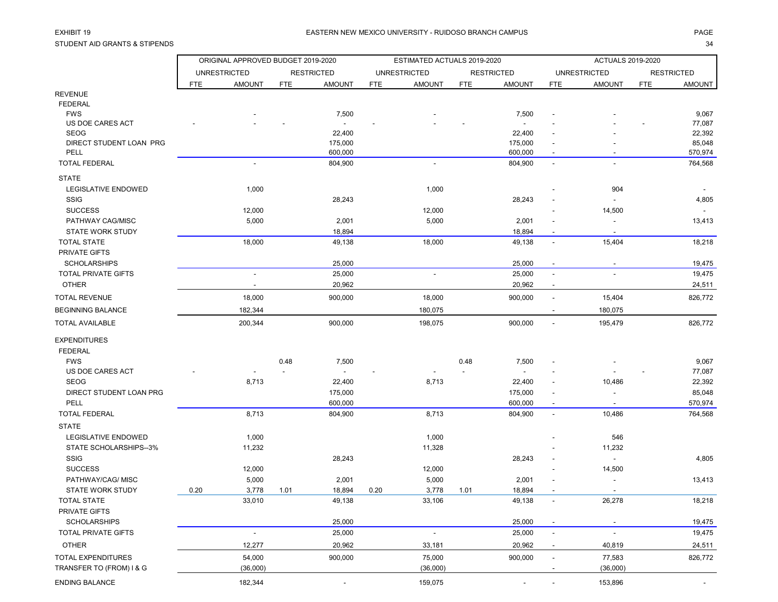STUDENT AID GRANTS & STIPENDS 34

|                                 |            | ORIGINAL APPROVED BUDGET 2019-2020 |            |                    |            | ESTIMATED ACTUALS 2019-2020 |            |                    |                          | <b>ACTUALS 2019-2020</b> |            |                   |
|---------------------------------|------------|------------------------------------|------------|--------------------|------------|-----------------------------|------------|--------------------|--------------------------|--------------------------|------------|-------------------|
|                                 |            | <b>UNRESTRICTED</b>                |            | <b>RESTRICTED</b>  |            | <b>UNRESTRICTED</b>         |            | <b>RESTRICTED</b>  |                          | <b>UNRESTRICTED</b>      |            | <b>RESTRICTED</b> |
|                                 | <b>FTE</b> | <b>AMOUNT</b>                      | <b>FTE</b> | <b>AMOUNT</b>      | <b>FTE</b> | <b>AMOUNT</b>               | <b>FTE</b> | <b>AMOUNT</b>      | <b>FTE</b>               | <b>AMOUNT</b>            | <b>FTE</b> | AMOUNT            |
| <b>REVENUE</b>                  |            |                                    |            |                    |            |                             |            |                    |                          |                          |            |                   |
| <b>FEDERAL</b>                  |            |                                    |            |                    |            |                             |            |                    |                          |                          |            |                   |
| <b>FWS</b>                      |            |                                    |            | 7,500              |            |                             |            | 7,500              |                          |                          |            | 9,067             |
| US DOE CARES ACT                |            |                                    |            |                    |            |                             |            |                    |                          |                          |            | 77,087            |
| <b>SEOG</b>                     |            |                                    |            | 22,400             |            |                             |            | 22,400             |                          |                          |            | 22,392            |
| DIRECT STUDENT LOAN PRG<br>PELL |            |                                    |            | 175,000<br>600,000 |            |                             |            | 175,000<br>600,000 |                          |                          |            | 85,048<br>570,974 |
| <b>TOTAL FEDERAL</b>            |            | $\overline{\phantom{a}}$           |            | 804,900            |            | $\blacksquare$              |            | 804,900            | $\overline{\phantom{a}}$ | $\overline{\phantom{a}}$ |            | 764,568           |
| <b>STATE</b>                    |            |                                    |            |                    |            |                             |            |                    |                          |                          |            |                   |
| LEGISLATIVE ENDOWED             |            | 1,000                              |            |                    |            | 1,000                       |            |                    |                          | 904                      |            |                   |
| <b>SSIG</b>                     |            |                                    |            | 28,243             |            |                             |            | 28,243             |                          |                          |            | 4,805             |
| <b>SUCCESS</b>                  |            | 12,000                             |            |                    |            | 12,000                      |            |                    |                          | 14,500                   |            | $\blacksquare$    |
| PATHWAY CAG/MISC                |            | 5,000                              |            | 2,001              |            | 5,000                       |            | 2,001              |                          |                          |            | 13,413            |
| <b>STATE WORK STUDY</b>         |            |                                    |            | 18,894             |            |                             |            | 18,894             | $\overline{\phantom{a}}$ | $\sim$                   |            |                   |
| <b>TOTAL STATE</b>              |            | 18,000                             |            | 49,138             |            | 18,000                      |            | 49,138             | $\overline{\phantom{a}}$ | 15,404                   |            | 18,218            |
| PRIVATE GIFTS                   |            |                                    |            |                    |            |                             |            |                    |                          |                          |            |                   |
| <b>SCHOLARSHIPS</b>             |            |                                    |            | 25,000             |            |                             |            | 25,000             | $\blacksquare$           | $\overline{\phantom{a}}$ |            | 19,475            |
| <b>TOTAL PRIVATE GIFTS</b>      |            |                                    |            | 25,000             |            |                             |            | 25,000             |                          |                          |            | 19,475            |
| <b>OTHER</b>                    |            |                                    |            | 20,962             |            |                             |            | 20,962             | $\overline{\phantom{a}}$ |                          |            | 24,511            |
| <b>TOTAL REVENUE</b>            |            | 18,000                             |            | 900,000            |            | 18,000                      |            | 900,000            | $\blacksquare$           | 15,404                   |            | 826,772           |
| <b>BEGINNING BALANCE</b>        |            | 182,344                            |            |                    |            | 180,075                     |            |                    | $\overline{\phantom{a}}$ | 180,075                  |            |                   |
| <b>TOTAL AVAILABLE</b>          |            | 200,344                            |            | 900,000            |            | 198,075                     |            | 900,000            | $\blacksquare$           | 195,479                  |            | 826,772           |
| <b>EXPENDITURES</b>             |            |                                    |            |                    |            |                             |            |                    |                          |                          |            |                   |
| <b>FEDERAL</b>                  |            |                                    |            |                    |            |                             |            |                    |                          |                          |            |                   |
| <b>FWS</b>                      |            |                                    | 0.48       | 7,500              |            |                             | 0.48       | 7,500              |                          |                          |            | 9,067             |
| US DOE CARES ACT                |            |                                    |            |                    |            |                             |            |                    |                          |                          |            | 77,087            |
| <b>SEOG</b>                     |            | 8,713                              |            | 22,400             |            | 8,713                       |            | 22,400             |                          | 10,486                   |            | 22,392            |
| DIRECT STUDENT LOAN PRG         |            |                                    |            | 175,000            |            |                             |            | 175,000            |                          |                          |            | 85,048            |
| PELL                            |            |                                    |            | 600,000            |            |                             |            | 600,000            |                          |                          |            | 570,974           |
| <b>TOTAL FEDERAL</b>            |            | 8,713                              |            | 804,900            |            | 8,713                       |            | 804,900            | $\sim$                   | 10,486                   |            | 764,568           |
| <b>STATE</b>                    |            |                                    |            |                    |            |                             |            |                    |                          |                          |            |                   |
| LEGISLATIVE ENDOWED             |            | 1,000                              |            |                    |            | 1,000                       |            |                    |                          | 546                      |            |                   |
| STATE SCHOLARSHIPS--3%          |            | 11,232                             |            |                    |            | 11,328                      |            |                    |                          | 11,232                   |            |                   |
| <b>SSIG</b>                     |            |                                    |            | 28,243             |            |                             |            | 28,243             |                          | $\blacksquare$           |            | 4,805             |
| <b>SUCCESS</b>                  |            | 12,000                             |            |                    |            | 12,000                      |            |                    |                          | 14,500                   |            |                   |
| PATHWAY/CAG/ MISC               |            | 5,000                              |            | 2,001              |            | 5,000                       |            | 2,001              |                          |                          |            | 13,413            |
| <b>STATE WORK STUDY</b>         | 0.20       | 3,778                              | 1.01       | 18,894             | 0.20       | 3,778                       | 1.01       | 18,894             |                          |                          |            |                   |
| <b>TOTAL STATE</b>              |            | 33,010                             |            | 49,138             |            | 33,106                      |            | 49,138             | $\overline{\phantom{a}}$ | 26,278                   |            | 18,218            |
| PRIVATE GIFTS                   |            |                                    |            |                    |            |                             |            |                    |                          |                          |            |                   |
| <b>SCHOLARSHIPS</b>             |            |                                    |            | 25,000             |            |                             |            | 25,000             |                          | $\overline{\phantom{a}}$ |            | 19,475            |
| <b>TOTAL PRIVATE GIFTS</b>      |            | $\blacksquare$                     |            | 25,000             |            | $\overline{\phantom{a}}$    |            | 25,000             | $\blacksquare$           |                          |            | 19,475            |
| <b>OTHER</b>                    |            | 12,277                             |            | 20,962             |            | 33,181                      |            | 20,962             |                          | 40,819                   |            | 24,511            |
| TOTAL EXPENDITURES              |            | 54,000                             |            | 900,000            |            | 75,000                      |            | 900,000            | $\overline{\phantom{a}}$ | 77,583                   |            | 826,772           |
| TRANSFER TO (FROM) I & G        |            | (36,000)                           |            |                    |            | (36,000)                    |            |                    |                          | (36,000)                 |            |                   |
| <b>ENDING BALANCE</b>           |            | 182,344                            |            |                    |            | 159,075                     |            |                    |                          | 153,896                  |            | $\sim$            |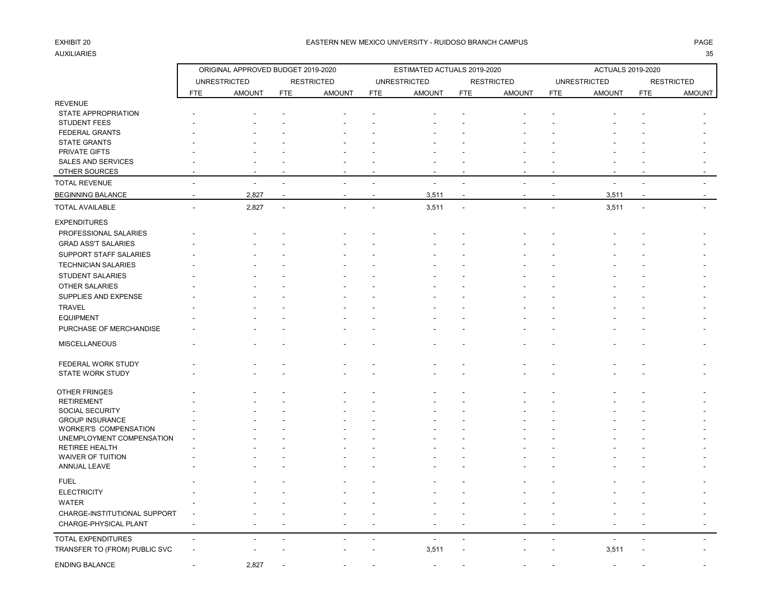# AUXILIARIES 35

### EXHIBIT 20 PAGE PAGE IN THE SERVICE OF THE SERVICE OF THE SERVICE OF THE SERVICE OF THE SERVICE OF THE SERVICE OF THE SERVICE OF THE SERVICE OF THE SERVICE OF THE SERVICE OF THE SERVICE OF THE SERVICE OF THE SERVICE OF THE

|                               |                          | ORIGINAL APPROVED BUDGET 2019-2020 |                |                   |                | ESTIMATED ACTUALS 2019-2020 |                |                          |                          | <b>ACTUALS 2019-2020</b> |                          |                   |
|-------------------------------|--------------------------|------------------------------------|----------------|-------------------|----------------|-----------------------------|----------------|--------------------------|--------------------------|--------------------------|--------------------------|-------------------|
|                               |                          | <b>UNRESTRICTED</b>                |                | <b>RESTRICTED</b> |                | <b>UNRESTRICTED</b>         |                | <b>RESTRICTED</b>        |                          | <b>UNRESTRICTED</b>      |                          | <b>RESTRICTED</b> |
|                               | <b>FTE</b>               | <b>AMOUNT</b>                      | <b>FTE</b>     | <b>AMOUNT</b>     | <b>FTE</b>     | <b>AMOUNT</b>               | <b>FTE</b>     | <b>AMOUNT</b>            | <b>FTE</b>               | <b>AMOUNT</b>            | FTE                      | AMOUNT            |
| <b>REVENUE</b>                |                          |                                    |                |                   |                |                             |                |                          |                          |                          |                          |                   |
| <b>STATE APPROPRIATION</b>    |                          |                                    |                |                   |                |                             |                |                          |                          |                          |                          |                   |
| <b>STUDENT FEES</b>           |                          |                                    |                |                   |                |                             |                |                          |                          |                          |                          |                   |
| <b>FEDERAL GRANTS</b>         |                          |                                    |                |                   |                |                             |                |                          |                          |                          |                          |                   |
| <b>STATE GRANTS</b>           |                          |                                    |                |                   |                |                             |                |                          |                          |                          |                          |                   |
| PRIVATE GIFTS                 |                          |                                    |                |                   |                |                             |                |                          |                          |                          |                          |                   |
| <b>SALES AND SERVICES</b>     |                          |                                    |                |                   |                |                             |                |                          |                          |                          |                          |                   |
| OTHER SOURCES                 |                          |                                    |                |                   |                |                             |                |                          |                          |                          |                          |                   |
| <b>TOTAL REVENUE</b>          |                          |                                    |                |                   |                |                             |                |                          |                          |                          |                          |                   |
| <b>BEGINNING BALANCE</b>      | $\overline{\phantom{a}}$ | 2,827                              |                | ÷                 | $\overline{a}$ | 3,511                       | $\blacksquare$ | $\overline{\phantom{a}}$ | $\overline{\phantom{a}}$ | 3,511                    | $\overline{\phantom{a}}$ | $\sim$            |
| <b>TOTAL AVAILABLE</b>        | $\overline{a}$           | 2,827                              | $\blacksquare$ |                   | L.             | 3,511                       | ÷,             |                          |                          | 3,511                    | ÷,                       |                   |
| <b>EXPENDITURES</b>           |                          |                                    |                |                   |                |                             |                |                          |                          |                          |                          |                   |
|                               |                          |                                    |                |                   |                |                             |                |                          |                          |                          |                          |                   |
| PROFESSIONAL SALARIES         |                          |                                    |                |                   |                |                             |                |                          |                          |                          |                          |                   |
| <b>GRAD ASS'T SALARIES</b>    |                          |                                    |                |                   |                |                             |                |                          |                          |                          |                          |                   |
| SUPPORT STAFF SALARIES        |                          |                                    |                |                   |                |                             |                |                          |                          |                          |                          |                   |
| <b>TECHNICIAN SALARIES</b>    |                          |                                    |                |                   |                |                             |                |                          |                          |                          |                          |                   |
| <b>STUDENT SALARIES</b>       |                          |                                    |                |                   |                |                             |                |                          |                          |                          |                          |                   |
| OTHER SALARIES                |                          |                                    |                |                   |                |                             |                |                          |                          |                          |                          |                   |
| SUPPLIES AND EXPENSE          |                          |                                    |                |                   |                |                             |                |                          |                          |                          |                          |                   |
| <b>TRAVEL</b>                 |                          |                                    |                |                   |                |                             |                |                          |                          |                          |                          |                   |
| <b>EQUIPMENT</b>              |                          |                                    |                |                   |                |                             |                |                          |                          |                          |                          |                   |
| PURCHASE OF MERCHANDISE       |                          |                                    |                |                   |                |                             |                |                          |                          |                          |                          |                   |
| <b>MISCELLANEOUS</b>          |                          |                                    |                |                   |                |                             |                |                          |                          |                          |                          |                   |
|                               |                          |                                    |                |                   |                |                             |                |                          |                          |                          |                          |                   |
| FEDERAL WORK STUDY            |                          |                                    |                |                   |                |                             |                |                          |                          |                          |                          |                   |
| <b>STATE WORK STUDY</b>       |                          |                                    |                |                   |                |                             |                |                          |                          |                          |                          |                   |
| OTHER FRINGES                 |                          |                                    |                |                   |                |                             |                |                          |                          |                          |                          |                   |
| <b>RETIREMENT</b>             |                          |                                    |                |                   |                |                             |                |                          |                          |                          |                          |                   |
| SOCIAL SECURITY               |                          |                                    |                |                   |                |                             |                |                          |                          |                          |                          |                   |
| <b>GROUP INSURANCE</b>        |                          |                                    |                |                   |                |                             |                |                          |                          |                          |                          |                   |
| WORKER'S COMPENSATION         |                          |                                    |                |                   |                |                             |                |                          |                          |                          |                          |                   |
| UNEMPLOYMENT COMPENSATION     |                          |                                    |                |                   |                |                             |                |                          |                          |                          |                          |                   |
| RETIREE HEALTH                |                          |                                    |                |                   |                |                             |                |                          |                          |                          |                          |                   |
| WAIVER OF TUITION             |                          |                                    |                |                   |                |                             |                |                          |                          |                          |                          |                   |
| ANNUAL LEAVE                  |                          |                                    |                |                   |                |                             |                |                          |                          |                          |                          |                   |
| <b>FUEL</b>                   |                          |                                    |                |                   |                |                             |                |                          |                          |                          |                          |                   |
| <b>ELECTRICITY</b>            |                          |                                    |                |                   |                |                             |                |                          |                          |                          |                          |                   |
| <b>WATER</b>                  |                          |                                    |                |                   |                |                             |                |                          |                          |                          |                          |                   |
| CHARGE-INSTITUTIONAL SUPPORT  |                          |                                    |                |                   |                |                             |                |                          |                          |                          |                          |                   |
| CHARGE-PHYSICAL PLANT         |                          |                                    |                |                   |                |                             |                |                          |                          |                          |                          |                   |
|                               |                          |                                    |                |                   |                |                             |                |                          |                          |                          |                          |                   |
| <b>TOTAL EXPENDITURES</b>     | $\overline{\phantom{a}}$ |                                    |                |                   |                | $\overline{\phantom{a}}$    | $\blacksquare$ |                          |                          | $\overline{\phantom{a}}$ |                          |                   |
| TRANSFER TO (FROM) PUBLIC SVC |                          |                                    |                |                   |                | 3,511                       |                |                          |                          | 3,511                    |                          |                   |
| <b>ENDING BALANCE</b>         |                          | 2,827                              |                |                   |                |                             |                |                          |                          |                          |                          |                   |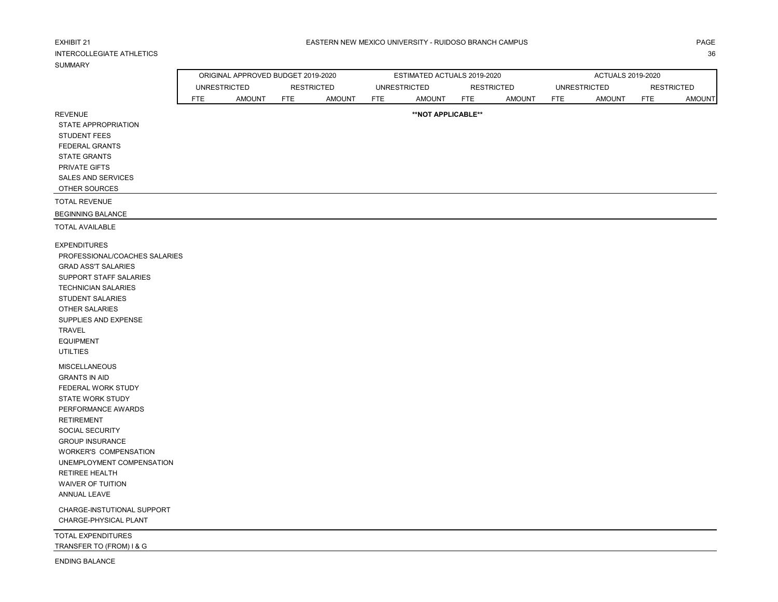| <b>EXHIBIT 21</b>                |                     |               |                                                         |            | EASTERN NEW MEXICO UNIVERSITY - RUIDOSO BRANCH CAMPUS |                   |               |            |                                                 |                                 | PAGE          |
|----------------------------------|---------------------|---------------|---------------------------------------------------------|------------|-------------------------------------------------------|-------------------|---------------|------------|-------------------------------------------------|---------------------------------|---------------|
| <b>INTERCOLLEGIATE ATHLETICS</b> |                     |               |                                                         |            |                                                       |                   |               |            |                                                 |                                 | 36            |
| <b>SUMMARY</b>                   |                     |               |                                                         |            |                                                       |                   |               |            |                                                 |                                 |               |
|                                  | <b>UNRESTRICTED</b> |               | ORIGINAL APPROVED BUDGET 2019-2020<br><b>RESTRICTED</b> |            | ESTIMATED ACTUALS 2019-2020<br><b>UNRESTRICTED</b>    | <b>RESTRICTED</b> |               |            | <b>ACTUALS 2019-2020</b><br><b>UNRESTRICTED</b> |                                 |               |
|                                  | <b>FTE</b>          | <b>AMOUNT</b> | <b>FTE</b><br><b>AMOUNT</b>                             | <b>FTE</b> | <b>AMOUNT</b>                                         | FTE               | <b>AMOUNT</b> | <b>FTE</b> | <b>AMOUNT</b>                                   | <b>RESTRICTED</b><br><b>FTE</b> | <b>AMOUNT</b> |
| <b>REVENUE</b>                   |                     |               |                                                         |            | **NOT APPLICABLE**                                    |                   |               |            |                                                 |                                 |               |
| STATE APPROPRIATION              |                     |               |                                                         |            |                                                       |                   |               |            |                                                 |                                 |               |
| <b>STUDENT FEES</b>              |                     |               |                                                         |            |                                                       |                   |               |            |                                                 |                                 |               |
| FEDERAL GRANTS                   |                     |               |                                                         |            |                                                       |                   |               |            |                                                 |                                 |               |
| <b>STATE GRANTS</b>              |                     |               |                                                         |            |                                                       |                   |               |            |                                                 |                                 |               |
| PRIVATE GIFTS                    |                     |               |                                                         |            |                                                       |                   |               |            |                                                 |                                 |               |
| <b>SALES AND SERVICES</b>        |                     |               |                                                         |            |                                                       |                   |               |            |                                                 |                                 |               |
| OTHER SOURCES                    |                     |               |                                                         |            |                                                       |                   |               |            |                                                 |                                 |               |
| <b>TOTAL REVENUE</b>             |                     |               |                                                         |            |                                                       |                   |               |            |                                                 |                                 |               |
| <b>BEGINNING BALANCE</b>         |                     |               |                                                         |            |                                                       |                   |               |            |                                                 |                                 |               |
| <b>TOTAL AVAILABLE</b>           |                     |               |                                                         |            |                                                       |                   |               |            |                                                 |                                 |               |
| <b>EXPENDITURES</b>              |                     |               |                                                         |            |                                                       |                   |               |            |                                                 |                                 |               |
| PROFESSIONAL/COACHES SALARIES    |                     |               |                                                         |            |                                                       |                   |               |            |                                                 |                                 |               |
| <b>GRAD ASS'T SALARIES</b>       |                     |               |                                                         |            |                                                       |                   |               |            |                                                 |                                 |               |
| SUPPORT STAFF SALARIES           |                     |               |                                                         |            |                                                       |                   |               |            |                                                 |                                 |               |
| <b>TECHNICIAN SALARIES</b>       |                     |               |                                                         |            |                                                       |                   |               |            |                                                 |                                 |               |
| STUDENT SALARIES                 |                     |               |                                                         |            |                                                       |                   |               |            |                                                 |                                 |               |
| OTHER SALARIES                   |                     |               |                                                         |            |                                                       |                   |               |            |                                                 |                                 |               |
| SUPPLIES AND EXPENSE             |                     |               |                                                         |            |                                                       |                   |               |            |                                                 |                                 |               |
| <b>TRAVEL</b>                    |                     |               |                                                         |            |                                                       |                   |               |            |                                                 |                                 |               |
| <b>EQUIPMENT</b>                 |                     |               |                                                         |            |                                                       |                   |               |            |                                                 |                                 |               |
| <b>UTILTIES</b>                  |                     |               |                                                         |            |                                                       |                   |               |            |                                                 |                                 |               |
| <b>MISCELLANEOUS</b>             |                     |               |                                                         |            |                                                       |                   |               |            |                                                 |                                 |               |
| <b>GRANTS IN AID</b>             |                     |               |                                                         |            |                                                       |                   |               |            |                                                 |                                 |               |
| FEDERAL WORK STUDY               |                     |               |                                                         |            |                                                       |                   |               |            |                                                 |                                 |               |
| <b>STATE WORK STUDY</b>          |                     |               |                                                         |            |                                                       |                   |               |            |                                                 |                                 |               |
| PERFORMANCE AWARDS               |                     |               |                                                         |            |                                                       |                   |               |            |                                                 |                                 |               |
| <b>RETIREMENT</b>                |                     |               |                                                         |            |                                                       |                   |               |            |                                                 |                                 |               |
| SOCIAL SECURITY                  |                     |               |                                                         |            |                                                       |                   |               |            |                                                 |                                 |               |
| <b>GROUP INSURANCE</b>           |                     |               |                                                         |            |                                                       |                   |               |            |                                                 |                                 |               |
| <b>WORKER'S COMPENSATION</b>     |                     |               |                                                         |            |                                                       |                   |               |            |                                                 |                                 |               |
| UNEMPLOYMENT COMPENSATION        |                     |               |                                                         |            |                                                       |                   |               |            |                                                 |                                 |               |
| <b>RETIREE HEALTH</b>            |                     |               |                                                         |            |                                                       |                   |               |            |                                                 |                                 |               |
| <b>WAIVER OF TUITION</b>         |                     |               |                                                         |            |                                                       |                   |               |            |                                                 |                                 |               |
| ANNUAL LEAVE                     |                     |               |                                                         |            |                                                       |                   |               |            |                                                 |                                 |               |
| CHARGE-INSTUTIONAL SUPPORT       |                     |               |                                                         |            |                                                       |                   |               |            |                                                 |                                 |               |
| CHARGE-PHYSICAL PLANT            |                     |               |                                                         |            |                                                       |                   |               |            |                                                 |                                 |               |
| TOTAL EXPENDITURES               |                     |               |                                                         |            |                                                       |                   |               |            |                                                 |                                 |               |
| TRANSFER TO (FROM) I & G         |                     |               |                                                         |            |                                                       |                   |               |            |                                                 |                                 |               |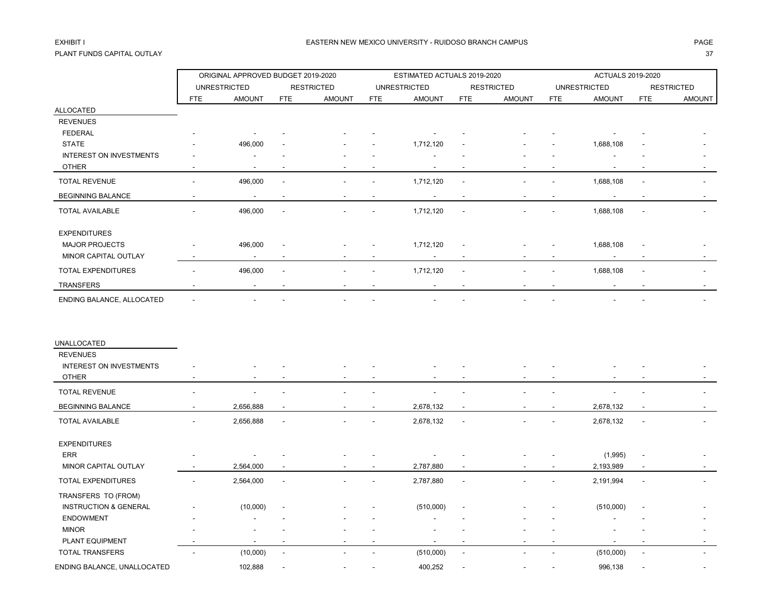## PLANT FUNDS CAPITAL OUTLAY 37

|                                  |                | ORIGINAL APPROVED BUDGET 2019-2020 |                |                   |            | ESTIMATED ACTUALS 2019-2020 |                |                   |            | <b>ACTUALS 2019-2020</b> |                          |                   |
|----------------------------------|----------------|------------------------------------|----------------|-------------------|------------|-----------------------------|----------------|-------------------|------------|--------------------------|--------------------------|-------------------|
|                                  |                | <b>UNRESTRICTED</b>                |                | <b>RESTRICTED</b> |            | <b>UNRESTRICTED</b>         |                | <b>RESTRICTED</b> |            | <b>UNRESTRICTED</b>      |                          | <b>RESTRICTED</b> |
|                                  | <b>FTE</b>     | <b>AMOUNT</b>                      | <b>FTE</b>     | <b>AMOUNT</b>     | <b>FTE</b> | <b>AMOUNT</b>               | <b>FTE</b>     | <b>AMOUNT</b>     | <b>FTE</b> | <b>AMOUNT</b>            | <b>FTE</b>               | <b>AMOUNT</b>     |
| <b>ALLOCATED</b>                 |                |                                    |                |                   |            |                             |                |                   |            |                          |                          |                   |
| <b>REVENUES</b>                  |                |                                    |                |                   |            |                             |                |                   |            |                          |                          |                   |
| <b>FEDERAL</b>                   |                |                                    |                |                   |            |                             |                |                   |            |                          |                          |                   |
| <b>STATE</b>                     |                | 496,000                            |                |                   |            | 1,712,120                   |                |                   |            | 1,688,108                |                          |                   |
| <b>INTEREST ON INVESTMENTS</b>   |                |                                    |                |                   |            |                             |                |                   |            |                          |                          |                   |
| <b>OTHER</b>                     |                |                                    |                |                   |            |                             |                |                   |            |                          |                          |                   |
| <b>TOTAL REVENUE</b>             |                | 496,000                            |                |                   |            | 1,712,120                   |                |                   |            | 1,688,108                |                          |                   |
| <b>BEGINNING BALANCE</b>         |                | $\overline{\phantom{a}}$           |                |                   |            |                             |                |                   |            |                          |                          |                   |
| <b>TOTAL AVAILABLE</b>           |                | 496,000                            |                |                   |            | 1,712,120                   |                |                   |            | 1,688,108                |                          |                   |
| <b>EXPENDITURES</b>              |                |                                    |                |                   |            |                             |                |                   |            |                          |                          |                   |
| <b>MAJOR PROJECTS</b>            |                | 496,000                            |                |                   |            | 1,712,120                   |                |                   |            | 1,688,108                |                          |                   |
| MINOR CAPITAL OUTLAY             |                |                                    |                |                   |            |                             |                |                   |            |                          |                          |                   |
| <b>TOTAL EXPENDITURES</b>        |                | 496,000                            |                |                   |            | 1,712,120                   | $\overline{a}$ |                   |            | 1,688,108                |                          |                   |
| <b>TRANSFERS</b>                 |                | $\blacksquare$                     |                |                   |            |                             |                |                   |            |                          |                          |                   |
| ENDING BALANCE, ALLOCATED        |                |                                    |                |                   |            |                             |                |                   |            |                          |                          |                   |
| UNALLOCATED                      |                |                                    |                |                   |            |                             |                |                   |            |                          |                          |                   |
| <b>REVENUES</b>                  |                |                                    |                |                   |            |                             |                |                   |            |                          |                          |                   |
| <b>INTEREST ON INVESTMENTS</b>   |                |                                    |                |                   |            |                             |                |                   |            |                          |                          |                   |
| <b>OTHER</b>                     |                |                                    |                |                   |            |                             |                |                   |            |                          |                          |                   |
| <b>TOTAL REVENUE</b>             |                |                                    |                |                   |            |                             |                |                   |            |                          |                          |                   |
| <b>BEGINNING BALANCE</b>         | $\overline{a}$ | 2,656,888                          | $\overline{a}$ |                   |            | 2,678,132                   | $\blacksquare$ |                   |            | 2,678,132                |                          |                   |
| <b>TOTAL AVAILABLE</b>           |                | 2,656,888                          | $\overline{a}$ |                   |            | 2,678,132                   | $\overline{a}$ |                   |            | 2,678,132                | $\blacksquare$           |                   |
| <b>EXPENDITURES</b>              |                |                                    |                |                   |            |                             |                |                   |            |                          |                          |                   |
| <b>ERR</b>                       |                |                                    |                |                   |            |                             |                |                   |            | (1,995)                  |                          |                   |
| MINOR CAPITAL OUTLAY             |                | 2,564,000                          |                |                   |            | 2,787,880                   |                |                   | ٠          | 2,193,989                |                          |                   |
| TOTAL EXPENDITURES               |                | 2,564,000                          |                |                   |            | 2,787,880                   | $\overline{a}$ |                   |            | 2,191,994                |                          |                   |
| TRANSFERS TO (FROM)              |                |                                    |                |                   |            |                             |                |                   |            |                          |                          |                   |
| <b>INSTRUCTION &amp; GENERAL</b> |                | (10,000)                           |                |                   |            | (510,000)                   |                |                   |            | (510,000)                |                          |                   |
| <b>ENDOWMENT</b>                 |                |                                    |                |                   |            |                             |                |                   |            |                          |                          |                   |
| <b>MINOR</b>                     |                |                                    |                |                   |            |                             |                |                   |            |                          |                          |                   |
| PLANT EQUIPMENT                  |                |                                    |                |                   |            |                             |                |                   |            |                          |                          |                   |
| TOTAL TRANSFERS                  |                | (10,000)                           | $\overline{a}$ |                   |            | (510,000)                   | $\sim$         |                   |            | (510,000)                | $\overline{\phantom{a}}$ |                   |
| ENDING BALANCE, UNALLOCATED      |                | 102,888                            |                |                   |            | 400,252                     |                |                   |            | 996,138                  |                          |                   |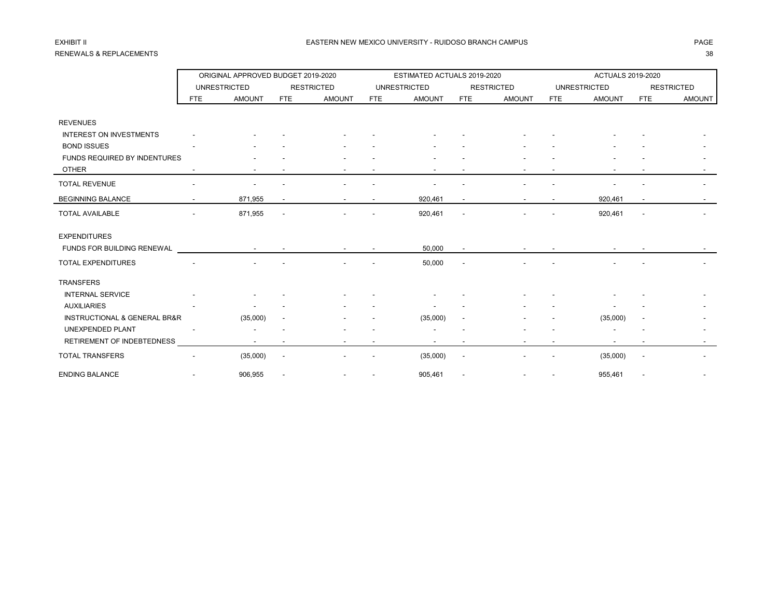## RENEWALS & REPLACEMENTS 38

|                                |     | ORIGINAL APPROVED BUDGET 2019-2020 |                          |                   |            | ESTIMATED ACTUALS 2019-2020 |            |                   |            | ACTUALS 2019-2020   |                          |                   |
|--------------------------------|-----|------------------------------------|--------------------------|-------------------|------------|-----------------------------|------------|-------------------|------------|---------------------|--------------------------|-------------------|
|                                |     | <b>UNRESTRICTED</b>                |                          | <b>RESTRICTED</b> |            | <b>UNRESTRICTED</b>         |            | <b>RESTRICTED</b> |            | <b>UNRESTRICTED</b> |                          | <b>RESTRICTED</b> |
|                                | FTE | <b>AMOUNT</b>                      | FTE                      | <b>AMOUNT</b>     | <b>FTE</b> | <b>AMOUNT</b>               | <b>FTE</b> | <b>AMOUNT</b>     | <b>FTE</b> | <b>AMOUNT</b>       | <b>FTE</b>               | <b>AMOUNT</b>     |
|                                |     |                                    |                          |                   |            |                             |            |                   |            |                     |                          |                   |
| <b>REVENUES</b>                |     |                                    |                          |                   |            |                             |            |                   |            |                     |                          |                   |
| <b>INTEREST ON INVESTMENTS</b> |     |                                    |                          |                   |            |                             |            |                   |            |                     |                          |                   |
| <b>BOND ISSUES</b>             |     |                                    |                          |                   |            |                             |            |                   |            |                     |                          |                   |
| FUNDS REQUIRED BY INDENTURES   |     |                                    |                          |                   |            |                             |            |                   |            |                     |                          |                   |
| <b>OTHER</b>                   |     |                                    |                          |                   |            |                             |            |                   |            |                     |                          |                   |
| <b>TOTAL REVENUE</b>           |     |                                    |                          |                   |            |                             |            |                   |            |                     |                          |                   |
| <b>BEGINNING BALANCE</b>       |     | 871,955                            | $\overline{\phantom{a}}$ |                   |            | 920,461                     |            |                   |            | 920,461             |                          |                   |
| <b>TOTAL AVAILABLE</b>         |     | 871,955                            | $\overline{\phantom{a}}$ |                   |            | 920,461                     |            |                   |            | 920,461             |                          |                   |
| <b>EXPENDITURES</b>            |     |                                    |                          |                   |            |                             |            |                   |            |                     |                          |                   |
| FUNDS FOR BUILDING RENEWAL     |     | $\overline{\phantom{a}}$           |                          |                   |            | 50,000                      |            |                   |            |                     |                          |                   |
| <b>TOTAL EXPENDITURES</b>      |     |                                    |                          |                   |            | 50,000                      |            |                   |            |                     |                          |                   |
| <b>TRANSFERS</b>               |     |                                    |                          |                   |            |                             |            |                   |            |                     |                          |                   |
| <b>INTERNAL SERVICE</b>        |     |                                    |                          |                   |            |                             |            |                   |            |                     |                          |                   |
| <b>AUXILIARIES</b>             |     |                                    |                          |                   |            |                             |            |                   |            |                     |                          |                   |
| INSTRUCTIONAL & GENERAL BR&R   |     | (35,000)                           | $\overline{\phantom{a}}$ |                   |            | (35,000)                    |            |                   |            | (35,000)            | $\overline{\phantom{a}}$ |                   |
| UNEXPENDED PLANT               |     |                                    |                          |                   |            |                             |            |                   |            |                     |                          |                   |
| RETIREMENT OF INDEBTEDNESS     |     |                                    |                          |                   |            |                             |            |                   |            |                     |                          |                   |
| <b>TOTAL TRANSFERS</b>         |     | (35,000)                           | $\overline{\phantom{a}}$ |                   |            | (35,000)                    |            |                   |            | (35,000)            | $\overline{\phantom{a}}$ |                   |
| <b>ENDING BALANCE</b>          |     | 906,955                            |                          |                   |            | 905,461                     |            |                   |            | 955,461             |                          |                   |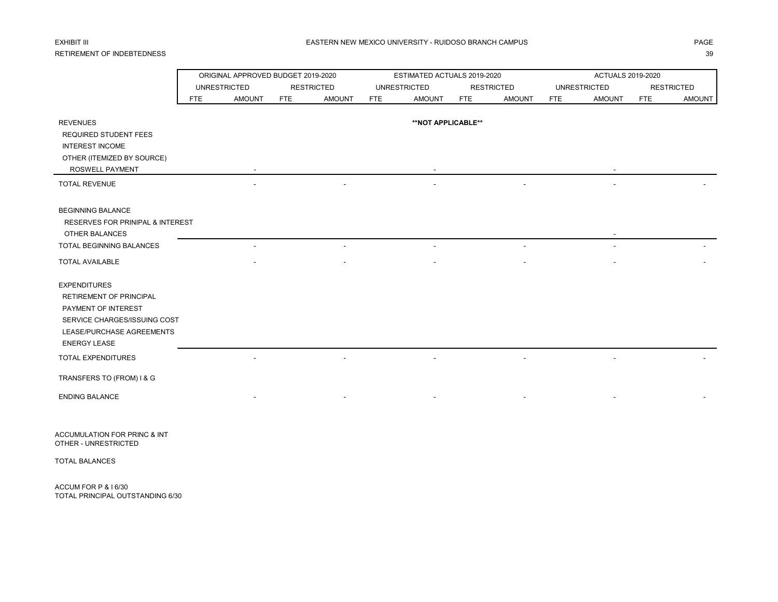## RETIREMENT OF INDEBTEDNESS 39

|                                             |            | ORIGINAL APPROVED BUDGET 2019-2020 |            |                   |            | ESTIMATED ACTUALS 2019-2020 |            |                          |            | ACTUALS 2019-2020   |            |                   |
|---------------------------------------------|------------|------------------------------------|------------|-------------------|------------|-----------------------------|------------|--------------------------|------------|---------------------|------------|-------------------|
|                                             |            | <b>UNRESTRICTED</b>                |            | <b>RESTRICTED</b> |            | <b>UNRESTRICTED</b>         |            | <b>RESTRICTED</b>        |            | <b>UNRESTRICTED</b> |            | <b>RESTRICTED</b> |
|                                             | <b>FTE</b> | <b>AMOUNT</b>                      | <b>FTE</b> | <b>AMOUNT</b>     | <b>FTE</b> | <b>AMOUNT</b>               | <b>FTE</b> | <b>AMOUNT</b>            | <b>FTE</b> | <b>AMOUNT</b>       | <b>FTE</b> | <b>AMOUNT</b>     |
|                                             |            |                                    |            |                   |            |                             |            |                          |            |                     |            |                   |
| <b>REVENUES</b>                             |            |                                    |            |                   |            | **NOT APPLICABLE**          |            |                          |            |                     |            |                   |
| <b>REQUIRED STUDENT FEES</b>                |            |                                    |            |                   |            |                             |            |                          |            |                     |            |                   |
| <b>INTEREST INCOME</b>                      |            |                                    |            |                   |            |                             |            |                          |            |                     |            |                   |
| OTHER (ITEMIZED BY SOURCE)                  |            |                                    |            |                   |            |                             |            |                          |            |                     |            |                   |
| ROSWELL PAYMENT                             |            |                                    |            |                   |            |                             |            |                          |            |                     |            |                   |
| <b>TOTAL REVENUE</b>                        |            |                                    |            |                   |            |                             |            |                          |            |                     |            |                   |
|                                             |            |                                    |            |                   |            |                             |            |                          |            |                     |            |                   |
|                                             |            |                                    |            |                   |            |                             |            |                          |            |                     |            |                   |
| <b>BEGINNING BALANCE</b>                    |            |                                    |            |                   |            |                             |            |                          |            |                     |            |                   |
| <b>RESERVES FOR PRINIPAL &amp; INTEREST</b> |            |                                    |            |                   |            |                             |            |                          |            |                     |            |                   |
| OTHER BALANCES                              |            |                                    |            |                   |            |                             |            |                          |            |                     |            |                   |
| <b>TOTAL BEGINNING BALANCES</b>             |            |                                    |            |                   |            |                             |            | $\overline{\phantom{a}}$ |            |                     |            |                   |
| <b>TOTAL AVAILABLE</b>                      |            |                                    |            |                   |            |                             |            |                          |            |                     |            |                   |
| <b>EXPENDITURES</b>                         |            |                                    |            |                   |            |                             |            |                          |            |                     |            |                   |
|                                             |            |                                    |            |                   |            |                             |            |                          |            |                     |            |                   |
| <b>RETIREMENT OF PRINCIPAL</b>              |            |                                    |            |                   |            |                             |            |                          |            |                     |            |                   |
| PAYMENT OF INTEREST                         |            |                                    |            |                   |            |                             |            |                          |            |                     |            |                   |
| SERVICE CHARGES/ISSUING COST                |            |                                    |            |                   |            |                             |            |                          |            |                     |            |                   |
| LEASE/PURCHASE AGREEMENTS                   |            |                                    |            |                   |            |                             |            |                          |            |                     |            |                   |
| <b>ENERGY LEASE</b>                         |            |                                    |            |                   |            |                             |            |                          |            |                     |            |                   |
| TOTAL EXPENDITURES                          |            |                                    |            |                   |            |                             |            |                          |            |                     |            |                   |
| TRANSFERS TO (FROM) I & G                   |            |                                    |            |                   |            |                             |            |                          |            |                     |            |                   |
| <b>ENDING BALANCE</b>                       |            |                                    |            |                   |            |                             |            |                          |            |                     |            |                   |
|                                             |            |                                    |            |                   |            |                             |            |                          |            |                     |            |                   |

ACCUMULATION FOR PRINC & INT OTHER - UNRESTRICTED

TOTAL BALANCES

ACCUM FOR P & I 6/30 TOTAL PRINCIPAL OUTSTANDING 6/30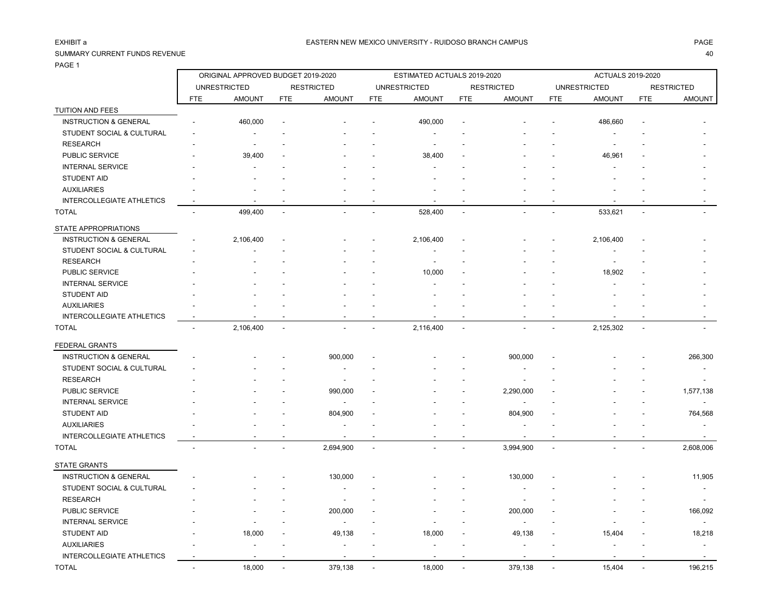## SUMMARY CURRENT FUNDS REVENUE 40

PAGE 1

|                                  |            | ORIGINAL APPROVED BUDGET 2019-2020 |            |                   |                | ESTIMATED ACTUALS 2019-2020 |                |                   |                | <b>ACTUALS 2019-2020</b> |            |                   |
|----------------------------------|------------|------------------------------------|------------|-------------------|----------------|-----------------------------|----------------|-------------------|----------------|--------------------------|------------|-------------------|
|                                  |            | <b>UNRESTRICTED</b>                |            | <b>RESTRICTED</b> |                | <b>UNRESTRICTED</b>         |                | <b>RESTRICTED</b> |                | <b>UNRESTRICTED</b>      |            | <b>RESTRICTED</b> |
|                                  | <b>FTE</b> | <b>AMOUNT</b>                      | <b>FTE</b> | <b>AMOUNT</b>     | <b>FTE</b>     | <b>AMOUNT</b>               | FTE            | <b>AMOUNT</b>     | <b>FTE</b>     | <b>AMOUNT</b>            | <b>FTE</b> | <b>AMOUNT</b>     |
| TUITION AND FEES                 |            |                                    |            |                   |                |                             |                |                   |                |                          |            |                   |
| <b>INSTRUCTION &amp; GENERAL</b> |            | 460,000                            |            |                   |                | 490,000                     |                |                   |                | 486,660                  |            |                   |
| STUDENT SOCIAL & CULTURAL        |            |                                    |            |                   |                |                             |                |                   |                |                          |            |                   |
| <b>RESEARCH</b>                  |            |                                    |            |                   |                | $\overline{\phantom{a}}$    |                |                   |                |                          |            |                   |
| PUBLIC SERVICE                   |            | 39,400                             |            |                   |                | 38,400                      |                |                   |                | 46,961                   |            |                   |
| <b>INTERNAL SERVICE</b>          |            |                                    |            |                   |                |                             |                |                   |                |                          |            |                   |
| <b>STUDENT AID</b>               |            |                                    |            |                   |                |                             |                |                   |                |                          |            |                   |
| <b>AUXILIARIES</b>               |            |                                    |            |                   |                |                             |                |                   |                |                          |            |                   |
| INTERCOLLEGIATE ATHLETICS        |            |                                    |            |                   |                |                             |                |                   |                |                          |            |                   |
| <b>TOTAL</b>                     |            | 499,400                            |            |                   |                | 528,400                     | $\overline{a}$ |                   |                | 533,621                  |            |                   |
| STATE APPROPRIATIONS             |            |                                    |            |                   |                |                             |                |                   |                |                          |            |                   |
| <b>INSTRUCTION &amp; GENERAL</b> |            | 2,106,400                          |            |                   |                | 2,106,400                   |                |                   |                | 2,106,400                |            |                   |
| STUDENT SOCIAL & CULTURAL        |            |                                    |            |                   |                |                             |                |                   |                |                          |            |                   |
| <b>RESEARCH</b>                  |            |                                    |            |                   |                |                             |                |                   |                |                          |            |                   |
| PUBLIC SERVICE                   |            |                                    |            |                   |                | 10,000                      |                |                   |                | 18,902                   |            |                   |
| <b>INTERNAL SERVICE</b>          |            |                                    |            |                   |                |                             |                |                   |                |                          |            |                   |
| <b>STUDENT AID</b>               |            |                                    |            |                   |                |                             |                |                   |                |                          |            |                   |
| <b>AUXILIARIES</b>               |            |                                    |            |                   |                |                             |                |                   |                |                          |            |                   |
| <b>INTERCOLLEGIATE ATHLETICS</b> |            |                                    |            |                   |                |                             |                |                   |                |                          |            |                   |
| <b>TOTAL</b>                     |            | 2,106,400                          |            |                   |                | 2,116,400                   | $\overline{a}$ |                   |                | 2,125,302                |            |                   |
| FEDERAL GRANTS                   |            |                                    |            |                   |                |                             |                |                   |                |                          |            |                   |
| <b>INSTRUCTION &amp; GENERAL</b> |            |                                    |            | 900,000           |                |                             |                | 900,000           |                |                          |            | 266,300           |
| STUDENT SOCIAL & CULTURAL        |            |                                    |            |                   |                |                             |                |                   |                |                          |            |                   |
| <b>RESEARCH</b>                  |            |                                    |            |                   |                |                             |                |                   |                |                          |            |                   |
| PUBLIC SERVICE                   |            |                                    |            | 990,000           |                |                             |                | 2,290,000         |                |                          |            | 1,577,138         |
| <b>INTERNAL SERVICE</b>          |            |                                    |            |                   |                |                             |                |                   |                |                          |            |                   |
| <b>STUDENT AID</b>               |            |                                    |            | 804,900           |                |                             |                | 804,900           |                |                          |            | 764,568           |
| <b>AUXILIARIES</b>               |            |                                    |            |                   |                |                             |                |                   |                |                          |            |                   |
| INTERCOLLEGIATE ATHLETICS        |            |                                    |            |                   |                |                             |                |                   |                |                          |            |                   |
| <b>TOTAL</b>                     |            |                                    |            | 2,694,900         | $\overline{a}$ |                             | $\overline{a}$ | 3,994,900         | $\overline{a}$ |                          |            | 2,608,006         |
| <b>STATE GRANTS</b>              |            |                                    |            |                   |                |                             |                |                   |                |                          |            |                   |
| <b>INSTRUCTION &amp; GENERAL</b> |            |                                    |            | 130,000           |                |                             |                | 130,000           |                |                          |            | 11,905            |
| STUDENT SOCIAL & CULTURAL        |            |                                    |            |                   |                |                             |                | $\blacksquare$    |                |                          |            |                   |
| <b>RESEARCH</b>                  |            |                                    |            |                   |                |                             |                |                   |                |                          |            |                   |
| PUBLIC SERVICE                   |            |                                    |            | 200,000           |                |                             |                | 200,000           |                |                          |            | 166,092           |
| <b>INTERNAL SERVICE</b>          |            |                                    |            |                   |                |                             |                | $\blacksquare$    |                |                          |            |                   |
| <b>STUDENT AID</b>               |            | 18,000                             |            | 49,138            |                | 18,000                      |                | 49,138            |                | 15,404                   |            | 18,218            |
| <b>AUXILIARIES</b>               |            |                                    |            |                   |                |                             |                |                   |                |                          |            |                   |
| <b>INTERCOLLEGIATE ATHLETICS</b> |            |                                    |            |                   |                |                             |                |                   |                |                          |            |                   |
| <b>TOTAL</b>                     |            | 18,000                             |            | 379,138           |                | 18,000                      |                | 379,138           |                | 15,404                   |            | 196,215           |
|                                  |            |                                    |            |                   |                |                             |                |                   |                |                          |            |                   |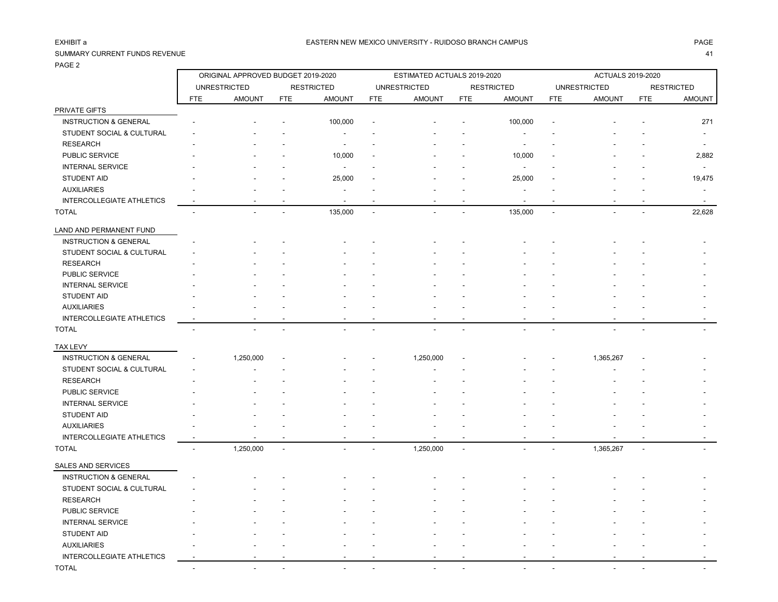PRIVATE GIFTS

### SUMMARY CURRENT FUNDS REVENUE 41

INTERCOLLEGIATE ATHLETICS -

PAGE 2

ORIGINAL APPROVED BUDGET 2019-2020 ESTIMATED ACTUALS 2019-2020 ACTUALS 2019-2020

UNRESTRICTED RESTRICTED UNRESTRICTED RESTRICTED UNRESTRICTED RESTRICTED FTE AMOUNT FTE AMOUNT FTE AMOUNT FTE AMOUNT FTE AMOUNT FTE AMOUNT

| <b>INSTRUCTION &amp; GENERAL</b> |                          |                          |                          | 100,000                  |           |                | 100,000                  |   |                          | 271                                                  |
|----------------------------------|--------------------------|--------------------------|--------------------------|--------------------------|-----------|----------------|--------------------------|---|--------------------------|------------------------------------------------------|
| STUDENT SOCIAL & CULTURAL        |                          |                          |                          |                          |           |                |                          |   |                          |                                                      |
| <b>RESEARCH</b>                  |                          |                          |                          |                          |           |                |                          |   |                          |                                                      |
| PUBLIC SERVICE                   |                          |                          |                          | 10,000                   |           |                | 10,000                   |   |                          | 2,882                                                |
| <b>INTERNAL SERVICE</b>          |                          |                          |                          | $\overline{\phantom{a}}$ |           |                | $\overline{\phantom{a}}$ |   |                          |                                                      |
| <b>STUDENT AID</b>               |                          |                          |                          | 25,000                   |           |                | 25,000                   |   |                          | 19,475                                               |
| <b>AUXILIARIES</b>               |                          |                          |                          |                          |           |                |                          |   |                          |                                                      |
| <b>INTERCOLLEGIATE ATHLETICS</b> |                          | $\overline{\phantom{a}}$ |                          | $\overline{\phantom{a}}$ |           |                | $\overline{\phantom{a}}$ |   | $\overline{\phantom{a}}$ | $\overline{\phantom{a}}$                             |
| <b>TOTAL</b>                     | $\overline{\phantom{a}}$ | $\overline{\phantom{a}}$ |                          | 135,000                  |           |                | 135,000                  | ٠ | $\blacksquare$           | 22,628                                               |
| LAND AND PERMANENT FUND          |                          |                          |                          |                          |           |                |                          |   |                          |                                                      |
| <b>INSTRUCTION &amp; GENERAL</b> |                          |                          |                          |                          |           |                |                          |   |                          |                                                      |
| STUDENT SOCIAL & CULTURAL        |                          |                          |                          |                          |           |                |                          |   |                          |                                                      |
| <b>RESEARCH</b>                  |                          |                          |                          |                          |           |                |                          |   |                          |                                                      |
| PUBLIC SERVICE                   |                          |                          |                          |                          |           |                |                          |   |                          |                                                      |
| <b>INTERNAL SERVICE</b>          |                          |                          |                          |                          |           |                |                          |   |                          |                                                      |
| <b>STUDENT AID</b>               |                          |                          |                          |                          |           |                |                          |   |                          |                                                      |
| <b>AUXILIARIES</b>               |                          |                          |                          |                          |           |                |                          |   |                          |                                                      |
| <b>INTERCOLLEGIATE ATHLETICS</b> |                          |                          |                          |                          |           |                |                          |   |                          |                                                      |
| <b>TOTAL</b>                     |                          |                          |                          |                          |           |                |                          |   |                          |                                                      |
| <b>TAX LEVY</b>                  |                          |                          |                          |                          |           |                |                          |   |                          |                                                      |
| <b>INSTRUCTION &amp; GENERAL</b> |                          | 1,250,000                |                          |                          | 1,250,000 |                |                          |   | 1,365,267                |                                                      |
| STUDENT SOCIAL & CULTURAL        |                          |                          |                          |                          |           |                |                          |   |                          |                                                      |
| <b>RESEARCH</b>                  |                          |                          |                          |                          |           |                |                          |   |                          |                                                      |
| PUBLIC SERVICE                   |                          |                          |                          |                          |           |                |                          |   |                          |                                                      |
| <b>INTERNAL SERVICE</b>          |                          |                          |                          |                          |           |                |                          |   |                          |                                                      |
| STUDENT AID                      |                          |                          |                          |                          |           |                |                          |   |                          |                                                      |
| <b>AUXILIARIES</b>               |                          |                          |                          |                          |           |                |                          |   |                          | $\overline{\phantom{a}}$                             |
| INTERCOLLEGIATE ATHLETICS        |                          |                          |                          | $\overline{\phantom{a}}$ |           |                | $\overline{\phantom{a}}$ |   |                          | $\overline{\phantom{a}}$                             |
| <b>TOTAL</b>                     | $\overline{\phantom{a}}$ | 1,250,000                | $\overline{\phantom{a}}$ |                          | 1,250,000 | $\blacksquare$ |                          |   | 1,365,267                | $\overline{\phantom{a}}$<br>$\overline{\phantom{a}}$ |
| <b>SALES AND SERVICES</b>        |                          |                          |                          |                          |           |                |                          |   |                          |                                                      |
| <b>INSTRUCTION &amp; GENERAL</b> |                          |                          |                          |                          |           |                |                          |   |                          |                                                      |
| STUDENT SOCIAL & CULTURAL        |                          |                          |                          |                          |           |                |                          |   |                          |                                                      |
| <b>RESEARCH</b>                  | ٠                        |                          |                          |                          |           |                |                          |   |                          |                                                      |

PUBLIC SERVICE - - - - - - - - - - - -

 STUDENT AID - - - - - - - - - - - - AUXILIARIES - - - - - - - - - - - -

TOTAL - - - - - - - - - - - -

INTERNAL SERVICE A SERVICE A SERVICE A SERVICE A SERVICE A SERVICE A SERVICE A SERVICE A SERVICE A SERVICE A S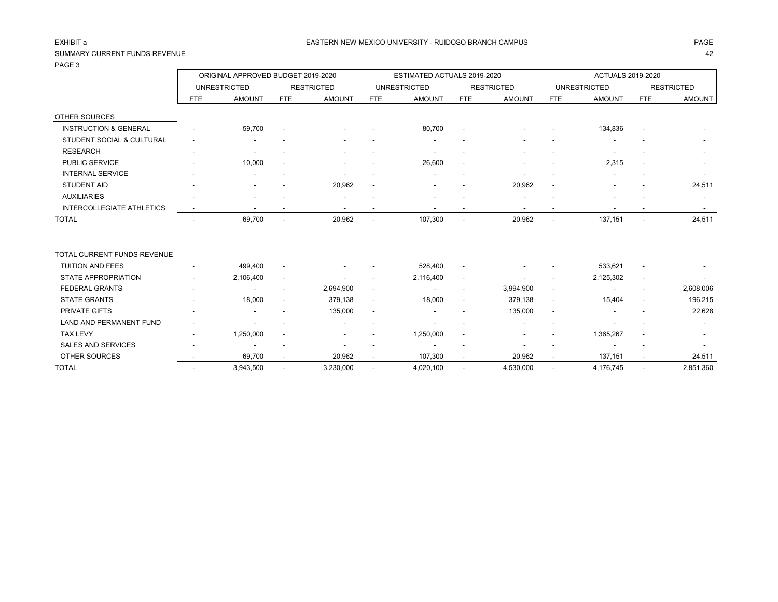## SUMMARY CURRENT FUNDS REVENUE 42

PAGE 3

|                                  |            | ORIGINAL APPROVED BUDGET 2019-2020 |                          |                          |                          | ESTIMATED ACTUALS 2019-2020 |                          |                          |                          | ACTUALS 2019-2020   |                          |                          |
|----------------------------------|------------|------------------------------------|--------------------------|--------------------------|--------------------------|-----------------------------|--------------------------|--------------------------|--------------------------|---------------------|--------------------------|--------------------------|
|                                  |            | <b>UNRESTRICTED</b>                |                          | <b>RESTRICTED</b>        |                          | <b>UNRESTRICTED</b>         |                          | <b>RESTRICTED</b>        |                          | <b>UNRESTRICTED</b> |                          | <b>RESTRICTED</b>        |
|                                  | <b>FTE</b> | <b>AMOUNT</b>                      | <b>FTE</b>               | <b>AMOUNT</b>            | FTE                      | <b>AMOUNT</b>               | FTE                      | <b>AMOUNT</b>            | <b>FTE</b>               | <b>AMOUNT</b>       | <b>FTE</b>               | <b>AMOUNT</b>            |
| OTHER SOURCES                    |            |                                    |                          |                          |                          |                             |                          |                          |                          |                     |                          |                          |
| <b>INSTRUCTION &amp; GENERAL</b> |            | 59,700                             | $\overline{\phantom{a}}$ |                          |                          | 80,700                      | $\overline{\phantom{a}}$ |                          |                          | 134,836             | $\overline{\phantom{a}}$ |                          |
| STUDENT SOCIAL & CULTURAL        |            |                                    |                          |                          |                          |                             |                          |                          |                          |                     |                          |                          |
| <b>RESEARCH</b>                  |            |                                    |                          |                          |                          |                             |                          |                          |                          |                     |                          |                          |
| PUBLIC SERVICE                   |            | 10,000                             |                          |                          |                          | 26,600                      |                          |                          |                          | 2,315               |                          |                          |
| <b>INTERNAL SERVICE</b>          |            |                                    |                          |                          |                          |                             |                          |                          |                          |                     |                          |                          |
| <b>STUDENT AID</b>               |            |                                    |                          | 20,962                   |                          |                             |                          | 20,962                   | $\overline{\phantom{a}}$ |                     |                          | 24,511                   |
| <b>AUXILIARIES</b>               |            |                                    |                          |                          |                          |                             |                          |                          |                          |                     |                          |                          |
| <b>INTERCOLLEGIATE ATHLETICS</b> |            | $\overline{\phantom{a}}$           |                          | $\overline{\phantom{a}}$ |                          | $\overline{\phantom{a}}$    | $\overline{\phantom{a}}$ | $\overline{\phantom{a}}$ | $\overline{\phantom{a}}$ |                     | $\overline{\phantom{a}}$ | $\overline{\phantom{a}}$ |
| <b>TOTAL</b>                     |            | 69,700                             | $\overline{\phantom{a}}$ | 20,962                   | $\overline{\phantom{a}}$ | 107,300                     | $\overline{\phantom{a}}$ | 20,962                   | $\overline{\phantom{a}}$ | 137,151             | $\overline{\phantom{a}}$ | 24,511                   |
| TOTAL CURRENT FUNDS REVENUE      |            |                                    |                          |                          |                          |                             |                          |                          |                          |                     |                          |                          |
| <b>TUITION AND FEES</b>          |            | 499,400                            | $\overline{\phantom{a}}$ |                          |                          | 528,400                     | $\overline{\phantom{a}}$ |                          |                          | 533,621             |                          |                          |
| <b>STATE APPROPRIATION</b>       |            | 2,106,400                          | $\overline{\phantom{a}}$ |                          |                          | 2,116,400                   | $\overline{\phantom{a}}$ |                          |                          | 2,125,302           | $\overline{\phantom{a}}$ |                          |
| <b>FEDERAL GRANTS</b>            |            |                                    | $\overline{\phantom{a}}$ | 2,694,900                | $\overline{\phantom{a}}$ | $\overline{\phantom{a}}$    | $\overline{\phantom{a}}$ | 3,994,900                | $\blacksquare$           |                     | $\overline{\phantom{a}}$ | 2,608,006                |
| <b>STATE GRANTS</b>              |            | 18,000                             | $\overline{\phantom{a}}$ | 379,138                  | $\overline{\phantom{a}}$ | 18,000                      | $\overline{\phantom{a}}$ | 379,138                  | $\overline{\phantom{a}}$ | 15,404              | $\overline{\phantom{a}}$ | 196,215                  |
| <b>PRIVATE GIFTS</b>             |            | $\overline{\phantom{a}}$           |                          | 135,000                  |                          |                             |                          | 135,000                  | $\overline{\phantom{a}}$ |                     |                          | 22,628                   |
| <b>LAND AND PERMANENT FUND</b>   |            |                                    |                          |                          |                          |                             |                          |                          |                          |                     |                          |                          |
| <b>TAX LEVY</b>                  |            | 1,250,000                          | $\overline{\phantom{a}}$ |                          |                          | 1,250,000                   | $\blacksquare$           |                          |                          | 1,365,267           |                          |                          |
| <b>SALES AND SERVICES</b>        |            |                                    |                          |                          |                          |                             |                          |                          |                          |                     |                          |                          |
| <b>OTHER SOURCES</b>             |            | 69,700                             |                          | 20,962                   |                          | 107,300                     |                          | 20,962                   |                          | 137,151             |                          | 24,511                   |
| <b>TOTAL</b>                     |            | 3,943,500                          | ٠                        | 3,230,000                |                          | 4,020,100                   | $\blacksquare$           | 4,530,000                |                          | 4,176,745           |                          | 2,851,360                |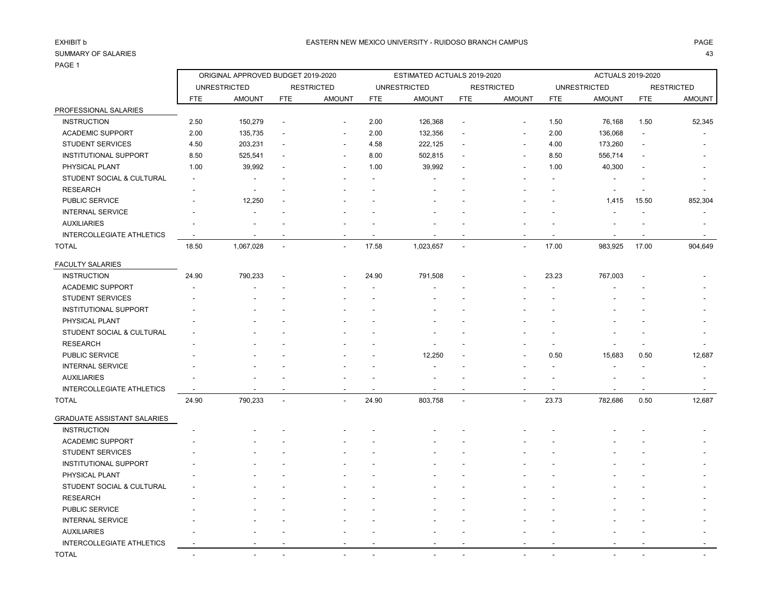## PAGE 1

ORIGINAL APPROVED BUDGET 2019-2020 ESTIMATED ACTUALS 2019-2020 ACTUALS 2019-2020

|                                  |                          | <b>UNRESTRICTED</b>      |                          | <b>RESTRICTED</b>        |                          | <b>UNRESTRICTED</b>      |                          | <b>RESTRICTED</b>        |                          | <b>UNRESTRICTED</b>      |                          | <b>RESTRICTED</b>        |
|----------------------------------|--------------------------|--------------------------|--------------------------|--------------------------|--------------------------|--------------------------|--------------------------|--------------------------|--------------------------|--------------------------|--------------------------|--------------------------|
|                                  | <b>FTE</b>               | <b>AMOUNT</b>            | <b>FTE</b>               | <b>AMOUNT</b>            | FTE                      | <b>AMOUNT</b>            | FTE                      | <b>AMOUNT</b>            | FTE                      | <b>AMOUNT</b>            | <b>FTE</b>               | <b>AMOUNT</b>            |
| PROFESSIONAL SALARIES            |                          |                          |                          |                          |                          |                          |                          |                          |                          |                          |                          |                          |
| <b>INSTRUCTION</b>               | 2.50                     | 150,279                  | $\overline{\phantom{a}}$ | $\overline{\phantom{a}}$ | 2.00                     | 126,368                  |                          | $\overline{\phantom{a}}$ | 1.50                     | 76,168                   | 1.50                     | 52,345                   |
| <b>ACADEMIC SUPPORT</b>          | 2.00                     | 135,735                  | $\overline{\phantom{a}}$ | $\overline{\phantom{a}}$ | 2.00                     | 132,356                  | $\overline{\phantom{a}}$ | $\overline{\phantom{a}}$ | 2.00                     | 136,068                  |                          |                          |
| <b>STUDENT SERVICES</b>          | 4.50                     | 203,231                  | $\blacksquare$           | $\overline{\phantom{a}}$ | 4.58                     | 222,125                  | $\blacksquare$           | $\overline{\phantom{a}}$ | 4.00                     | 173,260                  |                          | $\overline{\phantom{a}}$ |
| <b>INSTITUTIONAL SUPPORT</b>     | 8.50                     | 525,541                  | $\overline{\phantom{a}}$ | $\overline{\phantom{a}}$ | 8.00                     | 502,815                  | $\overline{\phantom{a}}$ | $\overline{\phantom{a}}$ | 8.50                     | 556,714                  |                          |                          |
| PHYSICAL PLANT                   | 1.00                     | 39,992                   | $\overline{\phantom{a}}$ | $\overline{\phantom{a}}$ | 1.00                     | 39,992                   |                          | $\overline{\phantom{a}}$ | 1.00                     | 40,300                   |                          |                          |
| STUDENT SOCIAL & CULTURAL        | $\sim$                   | $\overline{\phantom{a}}$ | $\overline{\phantom{a}}$ | $\overline{\phantom{a}}$ | $\overline{\phantom{a}}$ | $\overline{\phantom{a}}$ |                          | $\overline{\phantom{a}}$ |                          | $\overline{\phantom{a}}$ | $\overline{\phantom{a}}$ |                          |
| <b>RESEARCH</b>                  |                          |                          |                          |                          |                          |                          |                          |                          |                          |                          |                          |                          |
| <b>PUBLIC SERVICE</b>            |                          | 12,250                   | $\overline{\phantom{a}}$ |                          |                          |                          |                          |                          |                          | 1,415                    | 15.50                    | 852,304                  |
| <b>INTERNAL SERVICE</b>          |                          |                          |                          |                          |                          |                          |                          |                          |                          |                          |                          | $\overline{\phantom{a}}$ |
| <b>AUXILIARIES</b>               |                          |                          |                          |                          |                          |                          |                          |                          |                          |                          |                          |                          |
| <b>INTERCOLLEGIATE ATHLETICS</b> | $\overline{\phantom{a}}$ | $\overline{\phantom{a}}$ | $\overline{\phantom{a}}$ | $\sim$                   | $\overline{\phantom{a}}$ | $\overline{\phantom{0}}$ | $\overline{\phantom{a}}$ | $\overline{\phantom{a}}$ | $\overline{\phantom{a}}$ | $\overline{\phantom{a}}$ | $\sim$                   | $\sim$                   |
| <b>TOTAL</b>                     | 18.50                    | 1,067,028                | $\overline{\phantom{a}}$ | $\overline{\phantom{a}}$ | 17.58                    | 1,023,657                | $\blacksquare$           | $\blacksquare$           | 17.00                    | 983,925                  | 17.00                    | 904,649                  |
| <b>FACULTY SALARIES</b>          |                          |                          |                          |                          |                          |                          |                          |                          |                          |                          |                          |                          |
| <b>INSTRUCTION</b>               | 24.90                    | 790,233                  | $\overline{\phantom{a}}$ | $\overline{\phantom{a}}$ | 24.90                    | 791,508                  | $\overline{\phantom{a}}$ | $\overline{\phantom{a}}$ | 23.23                    | 767,003                  | $\overline{\phantom{a}}$ |                          |
| <b>ACADEMIC SUPPORT</b>          |                          |                          |                          |                          |                          |                          |                          |                          |                          |                          |                          |                          |
| <b>STUDENT SERVICES</b>          |                          |                          |                          |                          |                          |                          |                          |                          |                          |                          |                          |                          |
| <b>INSTITUTIONAL SUPPORT</b>     |                          |                          |                          |                          |                          |                          |                          |                          |                          |                          |                          |                          |
| PHYSICAL PLANT                   |                          |                          |                          |                          |                          |                          |                          |                          |                          |                          |                          |                          |
| STUDENT SOCIAL & CULTURAL        |                          |                          |                          |                          |                          |                          |                          |                          |                          |                          |                          |                          |
| <b>RESEARCH</b>                  |                          |                          |                          |                          |                          |                          |                          |                          |                          |                          |                          |                          |
| PUBLIC SERVICE                   |                          |                          |                          |                          |                          | 12,250                   |                          | $\blacksquare$           | 0.50                     | 15,683                   | 0.50                     | 12,687                   |
| <b>INTERNAL SERVICE</b>          |                          |                          |                          |                          |                          |                          |                          |                          |                          |                          |                          | $\overline{\phantom{a}}$ |
| <b>AUXILIARIES</b>               |                          |                          |                          |                          |                          |                          |                          |                          |                          |                          |                          |                          |
| <b>INTERCOLLEGIATE ATHLETICS</b> |                          | $\overline{\phantom{0}}$ |                          |                          | ٠                        |                          |                          | ٠                        |                          |                          |                          | $\overline{\phantom{a}}$ |

| <b>GRADUATE ASSISTANT SALARIES</b> |  |
|------------------------------------|--|
|                                    |  |

| UIMDUATE AUUIUTAINT UAEAINEU     |                          |                          |                          |                          |                          |                          |                          |                          |                          |                          |        |                          |  |
|----------------------------------|--------------------------|--------------------------|--------------------------|--------------------------|--------------------------|--------------------------|--------------------------|--------------------------|--------------------------|--------------------------|--------|--------------------------|--|
| <b>INSTRUCTION</b>               | $\overline{\phantom{0}}$ | $\overline{\phantom{a}}$ | $\overline{\phantom{a}}$ | $\overline{\phantom{a}}$ |                          | $\overline{\phantom{0}}$ | $\overline{\phantom{0}}$ | $\overline{\phantom{a}}$ | $\overline{\phantom{a}}$ | $\overline{\phantom{a}}$ |        |                          |  |
| <b>ACADEMIC SUPPORT</b>          | $\overline{\phantom{a}}$ | $\overline{\phantom{a}}$ |                          | . .                      | $\overline{\phantom{a}}$ | $\overline{\phantom{0}}$ | $\overline{\phantom{0}}$ | $\overline{\phantom{a}}$ | $\overline{\phantom{a}}$ |                          |        | $\overline{\phantom{a}}$ |  |
| <b>STUDENT SERVICES</b>          | $\overline{\phantom{a}}$ | $\overline{\phantom{0}}$ | . .                      | . .                      | $\overline{\phantom{0}}$ | -                        | $\overline{\phantom{0}}$ |                          | $\overline{\phantom{a}}$ |                          |        | -                        |  |
| INSTITUTIONAL SUPPORT            | $\overline{\phantom{0}}$ | $\overline{\phantom{a}}$ | . .                      | . .                      | $\overline{\phantom{0}}$ | -                        | $\overline{\phantom{0}}$ | $\overline{\phantom{0}}$ | $\overline{\phantom{a}}$ |                          |        |                          |  |
| PHYSICAL PLANT                   | $\overline{\phantom{0}}$ | $\overline{\phantom{a}}$ | $\overline{\phantom{0}}$ | . .                      | $\overline{\phantom{0}}$ | $\overline{\phantom{0}}$ | $\overline{\phantom{0}}$ | -                        | $\overline{\phantom{a}}$ |                          | $\sim$ |                          |  |
| STUDENT SOCIAL & CULTURAL        | $\overline{\phantom{0}}$ | -                        |                          | $\overline{\phantom{0}}$ | $\overline{\phantom{a}}$ | $\overline{\phantom{0}}$ | $\overline{\phantom{0}}$ | -                        | $\overline{\phantom{a}}$ |                          | $\sim$ |                          |  |
| <b>RESEARCH</b>                  | $\sim$                   | $\overline{\phantom{0}}$ |                          | $\overline{\phantom{0}}$ | $\overline{\phantom{a}}$ | $\overline{\phantom{0}}$ | $\overline{\phantom{0}}$ | $\sim$                   | $\overline{\phantom{a}}$ | $\overline{\phantom{0}}$ | . .    | $\overline{\phantom{a}}$ |  |
| PUBLIC SERVICE                   | $\sim$                   | $\overline{\phantom{a}}$ | . .                      | . .                      |                          | $\overline{\phantom{a}}$ | $\overline{\phantom{0}}$ | $\sim$                   | . .                      |                          | . .    | $\overline{\phantom{a}}$ |  |
| <b>INTERNAL SERVICE</b>          | $\overline{\phantom{a}}$ | $\overline{\phantom{a}}$ | . .                      | $\sim$                   | $\sim$                   | $\overline{\phantom{0}}$ | $\overline{\phantom{0}}$ | $\overline{\phantom{a}}$ | . .                      | $\overline{\phantom{0}}$ | $\sim$ | $\overline{\phantom{0}}$ |  |
| <b>AUXILIARIES</b>               | $\overline{\phantom{0}}$ | $\overline{\phantom{a}}$ | $\overline{\phantom{a}}$ | . .                      |                          | $\overline{\phantom{0}}$ | $\overline{\phantom{0}}$ | $\sim$                   | $\overline{\phantom{a}}$ | $\overline{\phantom{a}}$ |        | $\overline{\phantom{a}}$ |  |
| <b>INTERCOLLEGIATE ATHLETICS</b> | $\overline{\phantom{a}}$ | $\overline{\phantom{a}}$ |                          |                          |                          | $\overline{\phantom{0}}$ |                          | $\overline{\phantom{a}}$ | $\overline{\phantom{a}}$ |                          |        |                          |  |
| TOTAL                            | $\overline{\phantom{a}}$ | $\overline{\phantom{a}}$ |                          | $\overline{\phantom{0}}$ |                          | $\overline{\phantom{0}}$ | $\overline{\phantom{a}}$ | $\overline{\phantom{a}}$ |                          | $\overline{\phantom{a}}$ |        | $\overline{\phantom{0}}$ |  |

TOTAL 24.90 790,233 - - 24.90 803,758 - - 23.73 782,686 0.50 12,687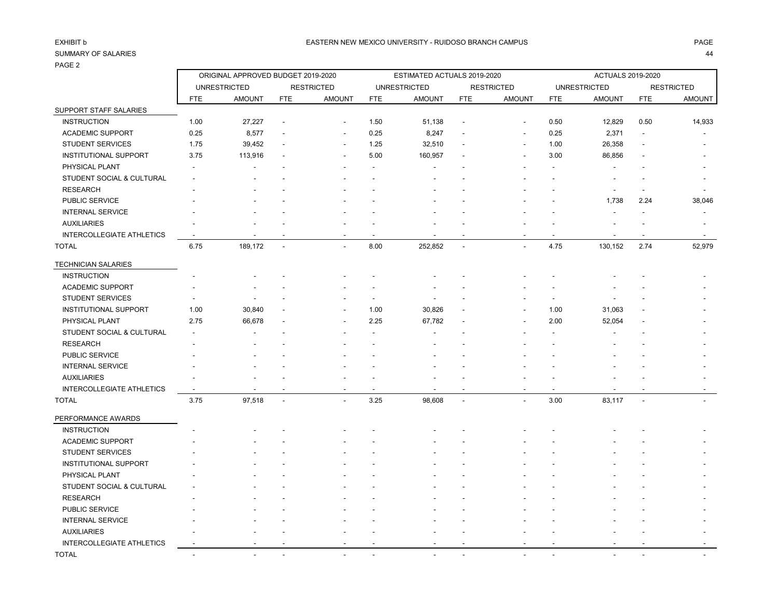## PAGE 2

| ∠ ∟טרו                           |                          |                                    |                |                   |            |                             |                |                          |            |                     |                |                   |
|----------------------------------|--------------------------|------------------------------------|----------------|-------------------|------------|-----------------------------|----------------|--------------------------|------------|---------------------|----------------|-------------------|
|                                  |                          | ORIGINAL APPROVED BUDGET 2019-2020 |                |                   |            | ESTIMATED ACTUALS 2019-2020 |                | <b>ACTUALS 2019-2020</b> |            |                     |                |                   |
|                                  |                          | <b>UNRESTRICTED</b>                |                | <b>RESTRICTED</b> |            | <b>UNRESTRICTED</b>         |                | <b>RESTRICTED</b>        |            | <b>UNRESTRICTED</b> |                | <b>RESTRICTED</b> |
|                                  | <b>FTE</b>               | <b>AMOUNT</b>                      | <b>FTE</b>     | <b>AMOUNT</b>     | <b>FTE</b> | <b>AMOUNT</b>               | <b>FTE</b>     | <b>AMOUNT</b>            | <b>FTE</b> | <b>AMOUNT</b>       | <b>FTE</b>     | <b>AMOUNT</b>     |
| SUPPORT STAFF SALARIES           |                          |                                    |                |                   |            |                             |                |                          |            |                     |                |                   |
| <b>INSTRUCTION</b>               | 1.00                     | 27,227                             |                |                   | 1.50       | 51,138                      |                |                          | 0.50       | 12,829              | 0.50           | 14,933            |
| ACADEMIC SUPPORT                 | 0.25                     | 8,577                              |                |                   | 0.25       | 8,247                       |                | $\overline{\phantom{a}}$ | 0.25       | 2,371               |                |                   |
| <b>STUDENT SERVICES</b>          | 1.75                     | 39,452                             |                |                   | 1.25       | 32,510                      |                |                          | 1.00       | 26,358              |                |                   |
| <b>INSTITUTIONAL SUPPORT</b>     | 3.75                     | 113,916                            |                |                   | 5.00       | 160,957                     |                |                          | 3.00       | 86,856              |                |                   |
| PHYSICAL PLANT                   |                          |                                    |                |                   |            |                             |                |                          |            |                     |                |                   |
| STUDENT SOCIAL & CULTURAL        |                          |                                    |                |                   |            |                             |                |                          |            |                     |                |                   |
| <b>RESEARCH</b>                  |                          |                                    |                |                   |            |                             |                |                          |            |                     |                |                   |
| PUBLIC SERVICE                   |                          |                                    |                |                   |            |                             |                |                          |            | 1,738               | 2.24           | 38,046            |
| <b>INTERNAL SERVICE</b>          |                          |                                    |                |                   |            |                             |                |                          |            |                     |                |                   |
| <b>AUXILIARIES</b>               |                          |                                    |                |                   |            |                             |                |                          |            |                     |                |                   |
| <b>INTERCOLLEGIATE ATHLETICS</b> | $\overline{\phantom{a}}$ |                                    |                |                   |            |                             |                |                          |            |                     | $\overline{a}$ |                   |
| <b>TOTAL</b>                     | 6.75                     | 189,172                            | $\overline{a}$ | $\overline{a}$    | 8.00       | 252,852                     | $\overline{a}$ |                          | 4.75       | 130,152             | 2.74           | 52,979            |
| <b>TECHNICIAN SALARIES</b>       |                          |                                    |                |                   |            |                             |                |                          |            |                     |                |                   |
| <b>INSTRUCTION</b>               |                          |                                    |                |                   |            |                             |                |                          |            |                     |                |                   |
| <b>ACADEMIC SUPPORT</b>          |                          |                                    |                |                   |            |                             |                |                          |            |                     |                |                   |
| <b>STUDENT SERVICES</b>          |                          |                                    |                |                   |            |                             |                |                          |            |                     |                |                   |
| <b>INSTITUTIONAL SUPPORT</b>     | 1.00                     | 30,840                             |                |                   | 1.00       | 30,826                      |                |                          | 1.00       | 31,063              |                |                   |
| PHYSICAL PLANT                   | 2.75                     | 66,678                             |                |                   | 2.25       | 67,782                      |                |                          | 2.00       | 52,054              |                |                   |
| STUDENT SOCIAL & CULTURAL        |                          |                                    |                |                   |            |                             |                |                          |            |                     |                |                   |
| <b>RESEARCH</b>                  |                          |                                    |                |                   |            |                             |                |                          |            |                     |                |                   |
| PUBLIC SERVICE                   |                          |                                    |                |                   |            |                             |                |                          |            |                     |                |                   |
| <b>INTERNAL SERVICE</b>          |                          |                                    |                |                   |            |                             |                |                          |            |                     |                |                   |
| <b>AUXILIARIES</b>               |                          |                                    |                |                   |            |                             |                |                          |            |                     |                |                   |
| <b>INTERCOLLEGIATE ATHLETICS</b> |                          |                                    |                |                   |            |                             |                |                          |            |                     |                |                   |
| <b>TOTAL</b>                     | 3.75                     | 97,518                             | $\overline{a}$ |                   | 3.25       | 98,608                      | $\overline{a}$ |                          | 3.00       | 83,117              | ÷,             |                   |
| PERFORMANCE AWARDS               |                          |                                    |                |                   |            |                             |                |                          |            |                     |                |                   |
| <b>INSTRUCTION</b>               |                          |                                    |                |                   |            |                             |                |                          |            |                     |                |                   |
| <b>ACADEMIC SUPPORT</b>          |                          |                                    |                |                   |            |                             |                |                          |            |                     |                |                   |
| <b>STUDENT SERVICES</b>          |                          |                                    |                |                   |            |                             |                |                          |            |                     |                |                   |
| <b>INSTITUTIONAL SUPPORT</b>     |                          |                                    |                |                   |            |                             |                |                          |            |                     |                |                   |
| PHYSICAL PLANT                   |                          |                                    |                |                   |            |                             |                |                          |            |                     |                |                   |
| STUDENT SOCIAL & CULTURAL        |                          |                                    |                |                   |            |                             |                |                          |            |                     |                |                   |
| <b>RESEARCH</b>                  |                          |                                    |                |                   |            |                             |                |                          |            |                     |                |                   |
| PUBLIC SERVICE                   |                          |                                    |                |                   |            |                             |                |                          |            |                     |                |                   |
| <b>INTERNAL SERVICE</b>          |                          |                                    |                |                   |            |                             |                |                          |            |                     |                |                   |
| <b>AUXILIARIES</b>               |                          |                                    |                |                   |            |                             |                |                          |            |                     |                |                   |
| <b>INTERCOLLEGIATE ATHLETICS</b> |                          |                                    |                |                   |            |                             |                |                          |            |                     |                |                   |
|                                  |                          |                                    |                |                   |            |                             |                |                          |            |                     |                |                   |

TOTAL - - - - - - - - - - - -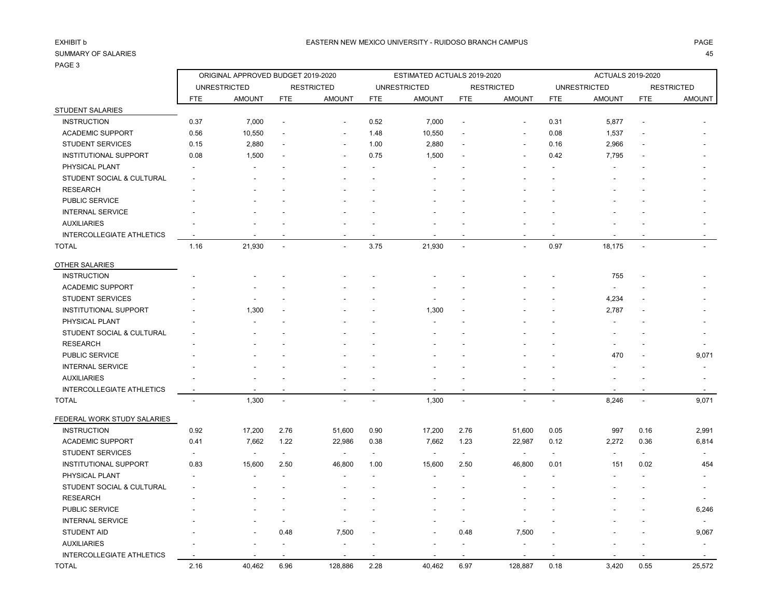## PAGE 3

| 45<br>۰. |
|----------|
|          |

| 170L <sub>0</sub>                |                |                                    |                          |                          |                          |                             |                          |                          |                          |                          |                |                          |
|----------------------------------|----------------|------------------------------------|--------------------------|--------------------------|--------------------------|-----------------------------|--------------------------|--------------------------|--------------------------|--------------------------|----------------|--------------------------|
|                                  |                | ORIGINAL APPROVED BUDGET 2019-2020 |                          |                          |                          | ESTIMATED ACTUALS 2019-2020 |                          |                          | ACTUALS 2019-2020        |                          |                |                          |
|                                  |                | <b>UNRESTRICTED</b>                |                          | <b>RESTRICTED</b>        |                          | <b>UNRESTRICTED</b>         |                          | <b>RESTRICTED</b>        |                          | <b>UNRESTRICTED</b>      |                | <b>RESTRICTED</b>        |
|                                  | <b>FTE</b>     | <b>AMOUNT</b>                      | <b>FTE</b>               | <b>AMOUNT</b>            | <b>FTE</b>               | <b>AMOUNT</b>               | <b>FTE</b>               | <b>AMOUNT</b>            | <b>FTE</b>               | <b>AMOUNT</b>            | <b>FTE</b>     | <b>AMOUNT</b>            |
| STUDENT SALARIES                 |                |                                    |                          |                          |                          |                             |                          |                          |                          |                          |                |                          |
| <b>INSTRUCTION</b>               | 0.37           | 7,000                              |                          |                          | 0.52                     | 7,000                       | $\overline{\phantom{a}}$ |                          | 0.31                     | 5,877                    |                |                          |
| <b>ACADEMIC SUPPORT</b>          | 0.56           | 10,550                             |                          | $\overline{\phantom{a}}$ | 1.48                     | 10,550                      | L,                       |                          | 0.08                     | 1,537                    |                |                          |
| <b>STUDENT SERVICES</b>          | 0.15           | 2,880                              |                          |                          | 1.00                     | 2,880                       |                          |                          | 0.16                     | 2,966                    |                |                          |
| <b>INSTITUTIONAL SUPPORT</b>     | 0.08           | 1,500                              |                          |                          | 0.75                     | 1,500                       |                          |                          | 0.42                     | 7,795                    |                |                          |
| PHYSICAL PLANT                   |                |                                    |                          |                          |                          |                             |                          |                          |                          |                          |                |                          |
| STUDENT SOCIAL & CULTURAL        |                |                                    |                          |                          |                          |                             |                          |                          |                          |                          |                |                          |
| <b>RESEARCH</b>                  |                |                                    |                          |                          |                          |                             |                          |                          |                          |                          |                |                          |
| PUBLIC SERVICE                   |                |                                    |                          |                          |                          |                             |                          |                          |                          |                          |                |                          |
| <b>INTERNAL SERVICE</b>          |                |                                    |                          |                          |                          |                             |                          |                          |                          |                          |                |                          |
| <b>AUXILIARIES</b>               |                |                                    |                          |                          |                          |                             |                          |                          |                          |                          |                |                          |
| <b>INTERCOLLEGIATE ATHLETICS</b> |                |                                    |                          |                          |                          |                             |                          |                          |                          |                          |                |                          |
| <b>TOTAL</b>                     | 1.16           | 21,930                             | ÷,                       | $\overline{a}$           | 3.75                     | 21,930                      | $\overline{a}$           |                          | 0.97                     | 18,175                   | $\overline{a}$ |                          |
| OTHER SALARIES                   |                |                                    |                          |                          |                          |                             |                          |                          |                          |                          |                |                          |
| <b>INSTRUCTION</b>               |                |                                    |                          |                          |                          |                             |                          |                          |                          | 755                      |                |                          |
| <b>ACADEMIC SUPPORT</b>          |                |                                    |                          |                          |                          |                             |                          |                          |                          | $\overline{\phantom{a}}$ |                |                          |
| <b>STUDENT SERVICES</b>          |                |                                    |                          |                          |                          |                             |                          |                          |                          | 4,234                    |                |                          |
| <b>INSTITUTIONAL SUPPORT</b>     |                | 1,300                              |                          |                          |                          | 1,300                       |                          |                          |                          | 2,787                    |                |                          |
| PHYSICAL PLANT                   |                |                                    |                          |                          |                          |                             |                          |                          |                          |                          |                |                          |
| STUDENT SOCIAL & CULTURAL        |                |                                    |                          |                          |                          |                             |                          |                          |                          |                          |                |                          |
| <b>RESEARCH</b>                  |                |                                    |                          |                          |                          |                             |                          |                          |                          |                          |                |                          |
| PUBLIC SERVICE                   |                |                                    |                          |                          |                          |                             |                          |                          |                          | 470                      |                | 9,071                    |
| <b>INTERNAL SERVICE</b>          |                |                                    |                          |                          |                          |                             |                          |                          |                          |                          |                |                          |
| <b>AUXILIARIES</b>               |                |                                    |                          |                          |                          |                             |                          |                          |                          |                          |                |                          |
| <b>INTERCOLLEGIATE ATHLETICS</b> |                |                                    |                          |                          |                          |                             | ÷                        |                          |                          |                          |                |                          |
| <b>TOTAL</b>                     | $\overline{a}$ | 1,300                              | $\overline{a}$           | $\overline{a}$           | $\overline{a}$           | 1,300                       | $\overline{a}$           |                          | $\sim$                   | 8,246                    | $\mathbf{r}$   | 9,071                    |
| FEDERAL WORK STUDY SALARIES      |                |                                    |                          |                          |                          |                             |                          |                          |                          |                          |                |                          |
| <b>INSTRUCTION</b>               | 0.92           | 17,200                             | 2.76                     | 51,600                   | 0.90                     | 17,200                      | 2.76                     | 51,600                   | 0.05                     | 997                      | 0.16           | 2,991                    |
| ACADEMIC SUPPORT                 | 0.41           | 7,662                              | 1.22                     | 22,986                   | 0.38                     | 7,662                       | 1.23                     | 22,987                   | 0.12                     | 2,272                    | 0.36           | 6,814                    |
| <b>STUDENT SERVICES</b>          |                |                                    | $\overline{\phantom{a}}$ | $\overline{\phantom{a}}$ | $\overline{\phantom{a}}$ | $\blacksquare$              | $\sim$                   | $\overline{\phantom{a}}$ | $\overline{\phantom{a}}$ | $\blacksquare$           | $\blacksquare$ | $\overline{\phantom{a}}$ |
| <b>INSTITUTIONAL SUPPORT</b>     | 0.83           | 15,600                             | 2.50                     | 46,800                   | 1.00                     | 15,600                      | 2.50                     | 46,800                   | 0.01                     | 151                      | 0.02           | 454                      |
| PHYSICAL PLANT                   |                |                                    |                          |                          |                          |                             |                          |                          |                          |                          |                |                          |
| STUDENT SOCIAL & CULTURAL        |                |                                    |                          |                          |                          |                             |                          |                          |                          |                          |                |                          |
| <b>RESEARCH</b>                  |                |                                    |                          |                          |                          |                             |                          |                          |                          |                          |                |                          |
| PUBLIC SERVICE                   |                |                                    |                          |                          |                          |                             |                          |                          |                          |                          |                | 6,246                    |
| <b>INTERNAL SERVICE</b>          |                |                                    |                          |                          |                          |                             | $\blacksquare$           |                          |                          |                          |                |                          |
| <b>STUDENT AID</b>               |                |                                    | 0.48                     | 7,500                    |                          |                             | 0.48                     | 7,500                    |                          |                          |                | 9,067                    |
| <b>AUXILIARIES</b>               |                |                                    |                          |                          |                          |                             |                          |                          |                          |                          |                |                          |
| <b>INTERCOLLEGIATE ATHLETICS</b> |                |                                    |                          |                          |                          |                             |                          |                          |                          |                          |                |                          |
| <b>TOTAL</b>                     | 2.16           | 40,462                             | 6.96                     | 128,886                  | 2.28                     | 40,462                      | 6.97                     | 128,887                  | 0.18                     | 3.420                    | 0.55           | 25,572                   |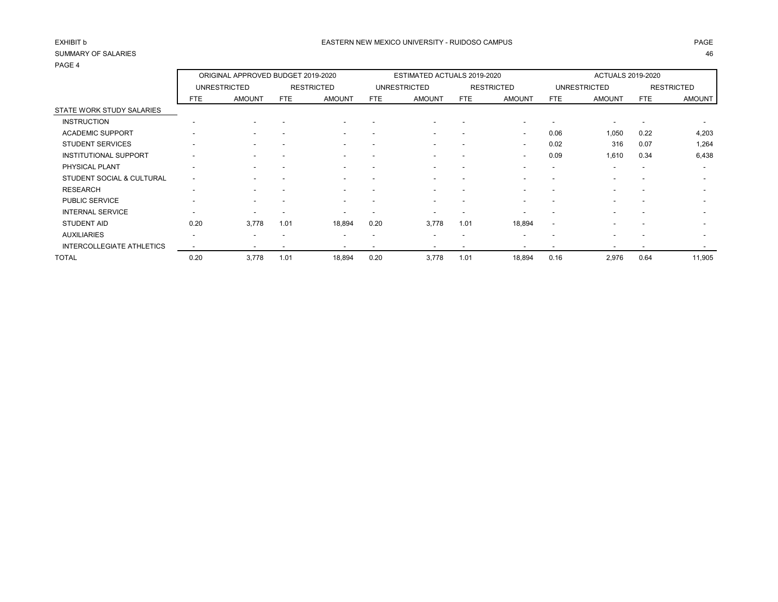| .                                |                          | ORIGINAL APPROVED BUDGET 2019-2020 |      |                   |      | ESTIMATED ACTUALS 2019-2020 |                          |                          |                          | <b>ACTUALS 2019-2020</b> |                          |                          |
|----------------------------------|--------------------------|------------------------------------|------|-------------------|------|-----------------------------|--------------------------|--------------------------|--------------------------|--------------------------|--------------------------|--------------------------|
|                                  |                          | <b>UNRESTRICTED</b>                |      | <b>RESTRICTED</b> |      | <b>UNRESTRICTED</b>         |                          | <b>RESTRICTED</b>        |                          | <b>UNRESTRICTED</b>      |                          | <b>RESTRICTED</b>        |
|                                  | FTE                      | <b>AMOUNT</b>                      | FTE. | <b>AMOUNT</b>     | FTE  | <b>AMOUNT</b>               | FTE                      | <b>AMOUNT</b>            | <b>FTE</b>               | <b>AMOUNT</b>            | <b>FTE</b>               | <b>AMOUNT</b>            |
| STATE WORK STUDY SALARIES        |                          |                                    |      |                   |      |                             |                          |                          |                          |                          |                          |                          |
| <b>INSTRUCTION</b>               |                          |                                    |      |                   |      |                             |                          |                          |                          |                          |                          |                          |
| <b>ACADEMIC SUPPORT</b>          |                          |                                    |      |                   |      |                             | $\overline{\phantom{a}}$ | $\overline{\phantom{a}}$ | 0.06                     | 1,050                    | 0.22                     | 4,203                    |
| <b>STUDENT SERVICES</b>          |                          |                                    |      |                   |      |                             |                          | $\overline{\phantom{a}}$ | 0.02                     | 316                      | 0.07                     | 1,264                    |
| <b>INSTITUTIONAL SUPPORT</b>     |                          |                                    |      |                   |      |                             |                          | $\overline{\phantom{a}}$ | 0.09                     | 1,610                    | 0.34                     | 6,438                    |
| PHYSICAL PLANT                   |                          |                                    |      |                   |      |                             | $\overline{\phantom{a}}$ |                          | $\overline{\phantom{a}}$ | $\overline{\phantom{a}}$ | $\overline{\phantom{a}}$ | $\overline{\phantom{a}}$ |
| STUDENT SOCIAL & CULTURAL        | $\overline{\phantom{a}}$ |                                    |      |                   |      |                             | $\overline{\phantom{a}}$ |                          |                          | $\overline{\phantom{0}}$ |                          | $\overline{\phantom{0}}$ |
| <b>RESEARCH</b>                  | $\overline{\phantom{a}}$ |                                    |      |                   |      |                             | $\overline{\phantom{0}}$ |                          |                          | $\overline{\phantom{0}}$ |                          |                          |
| PUBLIC SERVICE                   |                          |                                    |      |                   |      |                             | $\overline{\phantom{a}}$ |                          |                          | $\overline{\phantom{a}}$ |                          |                          |
| <b>INTERNAL SERVICE</b>          |                          |                                    |      |                   |      |                             |                          |                          |                          |                          |                          |                          |
| <b>STUDENT AID</b>               | 0.20                     | 3,778                              | 1.01 | 18,894            | 0.20 | 3.778                       | 1.01                     | 18,894                   | $\overline{\phantom{a}}$ |                          |                          |                          |
| <b>AUXILIARIES</b>               | $\overline{\phantom{a}}$ | -                                  |      | -                 |      |                             | $\overline{\phantom{a}}$ |                          |                          | $\overline{\phantom{0}}$ |                          |                          |
| <b>INTERCOLLEGIATE ATHLETICS</b> |                          |                                    |      |                   |      |                             | $\overline{\phantom{a}}$ |                          |                          |                          |                          |                          |
| TOTAL                            | 0.20                     | 3,778                              | 1.01 | 18,894            | 0.20 | 3,778                       | 1.01                     | 18,894                   | 0.16                     | 2,976                    | 0.64                     | 11,905                   |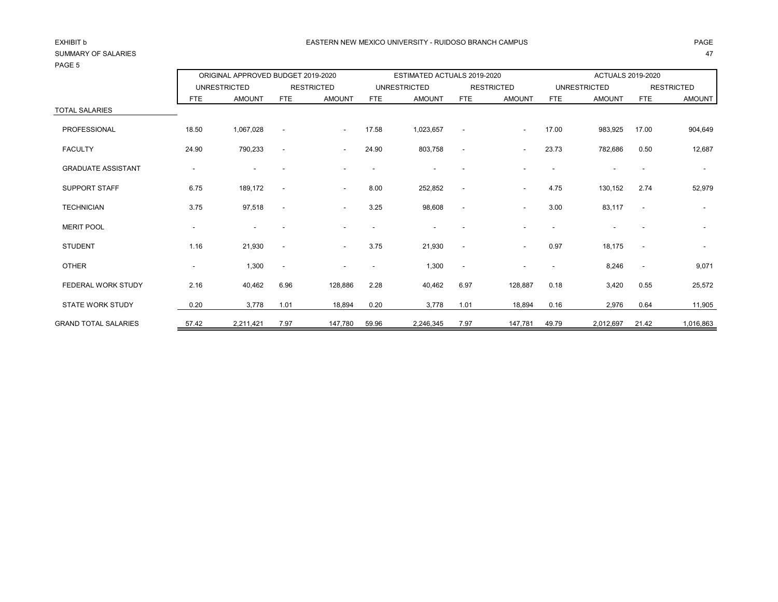| .                           |       | ORIGINAL APPROVED BUDGET 2019-2020 |                          |                          | ESTIMATED ACTUALS 2019-2020 |                     |                          | <b>ACTUALS 2019-2020</b> |                          |                     |                |                          |
|-----------------------------|-------|------------------------------------|--------------------------|--------------------------|-----------------------------|---------------------|--------------------------|--------------------------|--------------------------|---------------------|----------------|--------------------------|
|                             |       | <b>UNRESTRICTED</b>                |                          | <b>RESTRICTED</b>        |                             | <b>UNRESTRICTED</b> |                          | <b>RESTRICTED</b>        |                          | <b>UNRESTRICTED</b> |                | <b>RESTRICTED</b>        |
|                             | FTE   | <b>AMOUNT</b>                      | <b>FTE</b>               | <b>AMOUNT</b>            | <b>FTE</b>                  | <b>AMOUNT</b>       | <b>FTE</b>               | <b>AMOUNT</b>            | FTE                      | <b>AMOUNT</b>       | <b>FTE</b>     | <b>AMOUNT</b>            |
| <b>TOTAL SALARIES</b>       |       |                                    |                          |                          |                             |                     |                          |                          |                          |                     |                |                          |
| PROFESSIONAL                | 18.50 | 1,067,028                          | $\overline{\phantom{a}}$ | $\sim$                   | 17.58                       | 1,023,657           | $\sim$                   | $\overline{\phantom{a}}$ | 17.00                    | 983,925             | 17.00          | 904,649                  |
| <b>FACULTY</b>              | 24.90 | 790,233                            | $\overline{\phantom{a}}$ | $\sim$                   | 24.90                       | 803,758             | $\overline{\phantom{a}}$ | $\blacksquare$           | 23.73                    | 782,686             | 0.50           | 12,687                   |
| <b>GRADUATE ASSISTANT</b>   |       |                                    |                          |                          |                             |                     |                          |                          |                          |                     |                | $\overline{\phantom{a}}$ |
| <b>SUPPORT STAFF</b>        | 6.75  | 189,172                            | $\overline{\phantom{a}}$ | $\sim$                   | 8.00                        | 252,852             | $\overline{\phantom{a}}$ | $\blacksquare$           | 4.75                     | 130,152             | 2.74           | 52,979                   |
| <b>TECHNICIAN</b>           | 3.75  | 97,518                             | $\overline{\phantom{a}}$ | $\overline{\phantom{a}}$ | 3.25                        | 98,608              | $\overline{\phantom{a}}$ | $\overline{\phantom{a}}$ | 3.00                     | 83,117              | $\blacksquare$ |                          |
| <b>MERIT POOL</b>           |       |                                    |                          |                          |                             |                     |                          |                          |                          |                     |                |                          |
| <b>STUDENT</b>              | 1.16  | 21,930                             | $\overline{\phantom{a}}$ | $\sim$                   | 3.75                        | 21,930              | $\overline{\phantom{a}}$ | $\overline{\phantom{a}}$ | 0.97                     | 18,175              |                | $\overline{\phantom{a}}$ |
| <b>OTHER</b>                |       | 1,300                              | $\overline{\phantom{a}}$ |                          |                             | 1,300               | $\sim$                   |                          | $\overline{\phantom{a}}$ | 8,246               | $\blacksquare$ | 9,071                    |
| FEDERAL WORK STUDY          | 2.16  | 40,462                             | 6.96                     | 128,886                  | 2.28                        | 40,462              | 6.97                     | 128,887                  | 0.18                     | 3,420               | 0.55           | 25,572                   |
| <b>STATE WORK STUDY</b>     | 0.20  | 3,778                              | 1.01                     | 18,894                   | 0.20                        | 3,778               | 1.01                     | 18,894                   | 0.16                     | 2,976               | 0.64           | 11,905                   |
| <b>GRAND TOTAL SALARIES</b> | 57.42 | 2,211,421                          | 7.97                     | 147,780                  | 59.96                       | 2,246,345           | 7.97                     | 147,781                  | 49.79                    | 2,012,697           | 21.42          | 1,016,863                |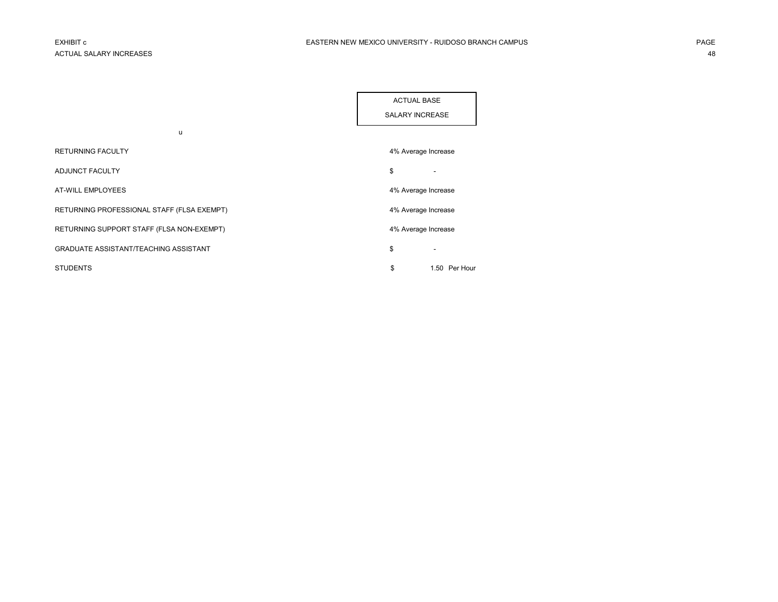| <b>ACTUAL BASE</b>     |  |
|------------------------|--|
| <b>SALARY INCREASE</b> |  |

| u                                            |                     |                          |
|----------------------------------------------|---------------------|--------------------------|
| <b>RETURNING FACULTY</b>                     | 4% Average Increase |                          |
| <b>ADJUNCT FACULTY</b>                       | \$                  | -                        |
| <b>AT-WILL EMPLOYEES</b>                     | 4% Average Increase |                          |
| RETURNING PROFESSIONAL STAFF (FLSA EXEMPT)   | 4% Average Increase |                          |
| RETURNING SUPPORT STAFF (FLSA NON-EXEMPT)    | 4% Average Increase |                          |
| <b>GRADUATE ASSISTANT/TEACHING ASSISTANT</b> | \$                  | $\overline{\phantom{a}}$ |
| <b>STUDENTS</b>                              | \$                  | 1.50 Per Hour            |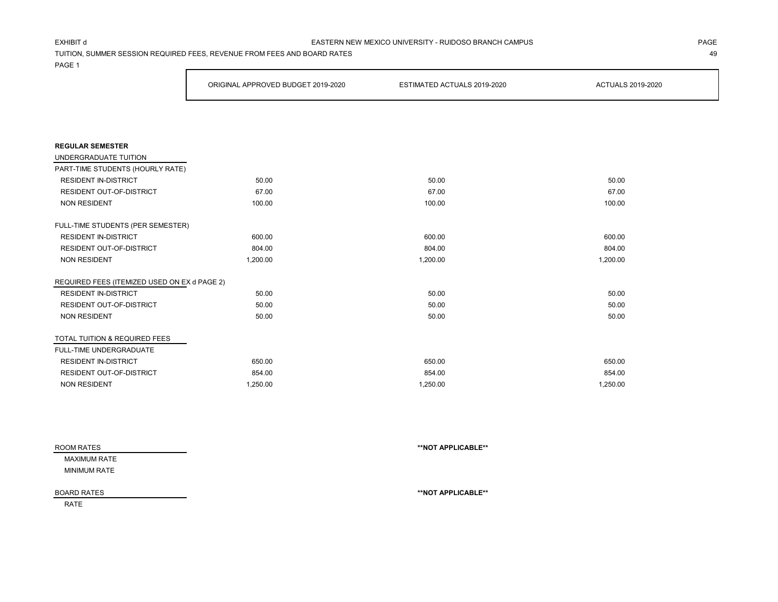#### EXHIBIT d PAGE EASTERN NEW MEXICO UNIVERSITY - RUIDOSO BRANCH CAMPUS

TUITION, SUMMER SESSION REQUIRED FEES, REVENUE FROM FEES AND BOARD RATES 49

PAGE 1

|                                              | ORIGINAL APPROVED BUDGET 2019-2020 | ESTIMATED ACTUALS 2019-2020 | <b>ACTUALS 2019-2020</b> |
|----------------------------------------------|------------------------------------|-----------------------------|--------------------------|
|                                              |                                    |                             |                          |
|                                              |                                    |                             |                          |
| <b>REGULAR SEMESTER</b>                      |                                    |                             |                          |
| UNDERGRADUATE TUITION                        |                                    |                             |                          |
| PART-TIME STUDENTS (HOURLY RATE)             |                                    |                             |                          |
| <b>RESIDENT IN-DISTRICT</b>                  | 50.00                              | 50.00                       | 50.00                    |
| <b>RESIDENT OUT-OF-DISTRICT</b>              | 67.00                              | 67.00                       | 67.00                    |
| <b>NON RESIDENT</b>                          | 100.00                             | 100.00                      | 100.00                   |
| FULL-TIME STUDENTS (PER SEMESTER)            |                                    |                             |                          |
| <b>RESIDENT IN-DISTRICT</b>                  | 600.00                             | 600.00                      | 600.00                   |
| <b>RESIDENT OUT-OF-DISTRICT</b>              | 804.00                             | 804.00                      | 804.00                   |
| <b>NON RESIDENT</b>                          | 1,200.00                           | 1,200.00                    | 1,200.00                 |
| REQUIRED FEES (ITEMIZED USED ON EX d PAGE 2) |                                    |                             |                          |
| <b>RESIDENT IN-DISTRICT</b>                  | 50.00                              | 50.00                       | 50.00                    |
| RESIDENT OUT-OF-DISTRICT                     | 50.00                              | 50.00                       | 50.00                    |
| <b>NON RESIDENT</b>                          | 50.00                              | 50.00                       | 50.00                    |
| TOTAL TUITION & REQUIRED FEES                |                                    |                             |                          |
| FULL-TIME UNDERGRADUATE                      |                                    |                             |                          |
| <b>RESIDENT IN-DISTRICT</b>                  | 650.00                             | 650.00                      | 650.00                   |
| <b>RESIDENT OUT-OF-DISTRICT</b>              | 854.00                             | 854.00                      | 854.00                   |
| <b>NON RESIDENT</b>                          | 1.250.00                           | 1.250.00                    | 1,250.00                 |

| ROOM RATES          | **NOT APPLICABLE** |  |
|---------------------|--------------------|--|
| MAXIMUM RATE        |                    |  |
| <b>MINIMUM RATE</b> |                    |  |
|                     |                    |  |
| <b>BOARD RATES</b>  | **NOT APPLICABLE** |  |
| <b>RATE</b>         |                    |  |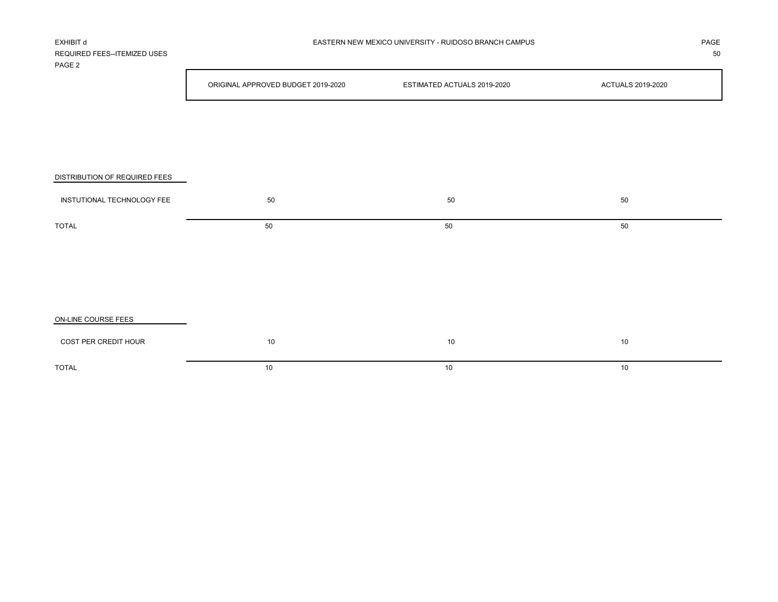| REQUIRED FEES--ITEMIZED USES<br>PAGE <sub>2</sub> |                                    |                             | 50                       |
|---------------------------------------------------|------------------------------------|-----------------------------|--------------------------|
|                                                   | ORIGINAL APPROVED BUDGET 2019-2020 | ESTIMATED ACTUALS 2019-2020 | <b>ACTUALS 2019-2020</b> |
|                                                   |                                    |                             |                          |
|                                                   |                                    |                             |                          |
| DISTRIBUTION OF REQUIRED FEES                     |                                    |                             |                          |
| INSTUTIONAL TECHNOLOGY FEE                        | 50                                 | 50                          | 50                       |
|                                                   |                                    |                             |                          |
| <b>TOTAL</b>                                      | 50                                 | 50                          | 50                       |
|                                                   |                                    |                             |                          |
|                                                   |                                    |                             |                          |
|                                                   |                                    |                             |                          |
| ON-LINE COURSE FEES                               |                                    |                             |                          |
| COST PER CREDIT HOUR                              | $10\,$                             | 10                          | 10                       |
| <b>TOTAL</b>                                      | $10$                               | 10                          | 10                       |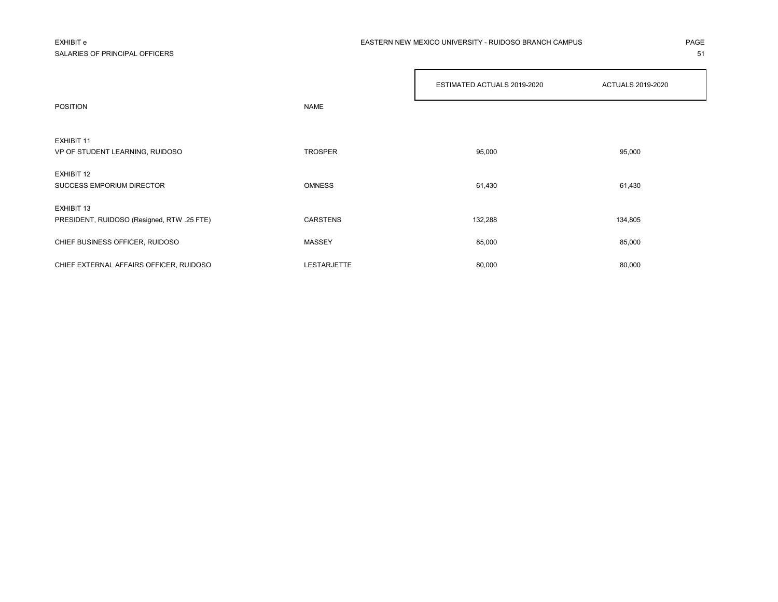SALARIES OF PRINCIPAL OFFICERS **51** 

### EXHIBIT e PAGE EASTERN NEW MEXICO UNIVERSITY - RUIDOSO BRANCH CAMPUS

|                                            |                 | ESTIMATED ACTUALS 2019-2020 | <b>ACTUALS 2019-2020</b> |
|--------------------------------------------|-----------------|-----------------------------|--------------------------|
| <b>POSITION</b>                            | <b>NAME</b>     |                             |                          |
|                                            |                 |                             |                          |
| EXHIBIT 11                                 |                 |                             |                          |
| VP OF STUDENT LEARNING, RUIDOSO            | <b>TROSPER</b>  | 95,000                      | 95,000                   |
|                                            |                 |                             |                          |
| EXHIBIT 12                                 |                 |                             |                          |
| <b>SUCCESS EMPORIUM DIRECTOR</b>           | <b>OMNESS</b>   | 61,430                      | 61,430                   |
|                                            |                 |                             |                          |
| EXHIBIT 13                                 |                 |                             |                          |
| PRESIDENT, RUIDOSO (Resigned, RTW .25 FTE) | <b>CARSTENS</b> | 132,288                     | 134,805                  |
|                                            |                 |                             |                          |
|                                            |                 |                             |                          |
| CHIEF BUSINESS OFFICER, RUIDOSO            | MASSEY          | 85,000                      | 85,000                   |
|                                            |                 |                             |                          |
| CHIEF EXTERNAL AFFAIRS OFFICER, RUIDOSO    | LESTARJETTE     | 80,000                      | 80,000                   |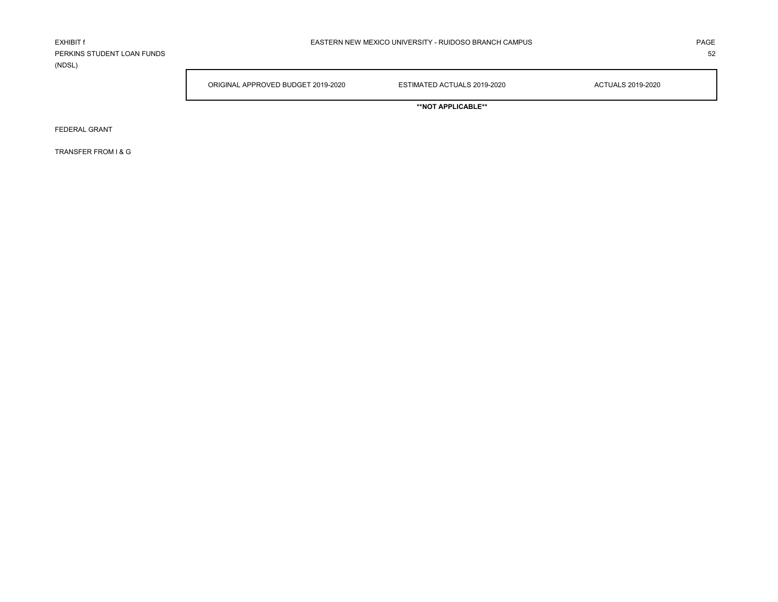PERKINS STUDENT LOAN FUNDS 52 (NDSL)

ORIGINAL APPROVED BUDGET 2019-2020 ESTIMATED ACTUALS 2019-2020 ACTUALS 2019-2020

**\*\*NOT APPLICABLE\*\***

FEDERAL GRANT

TRANSFER FROM I & G